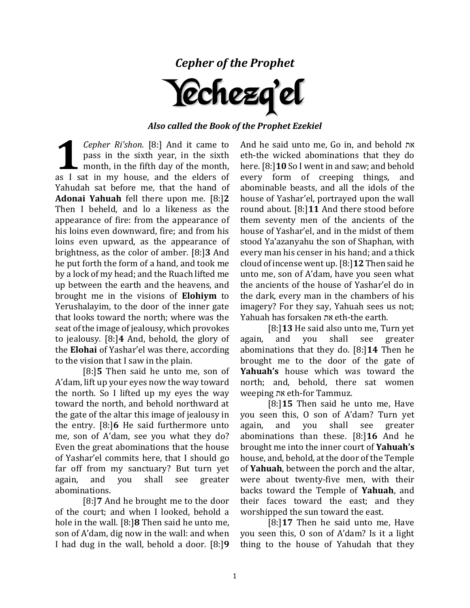*Cepher of the Prophet*



## *Also called the Book of the Prophet Ezekiel*

*Cepher Ri'shon.* [8:] And it came to pass in the sixth year, in the sixth month, in the fifth day of the month, **Example 1** Sepher Ri'shon. [8:] And it came to pass in the sixth year, in the sixth month, in the fifth day of the month, as I sat in my house, and the elders of Yahudah sat before me, that the hand of **Adonai Yahuah** fell there upon me. [8:]**2** Then I beheld, and lo a likeness as the appearance of fire: from the appearance of his loins even downward, fire; and from his loins even upward, as the appearance of brightness, as the color of amber. [8:]**3** And he put forth the form of a hand, and took me by a lock of my head; and the Ruach lifted me up between the earth and the heavens, and brought me in the visions of **Elohiym** to Yerushalayim, to the door of the inner gate that looks toward the north; where was the seat of the image of jealousy, which provokes to jealousy. [8:]**4** And, behold, the glory of the **Elohai** of Yashar'el was there, according to the vision that I saw in the plain.

[8:]**5** Then said he unto me, son of A'dam, lift up your eyes now the way toward the north. So I lifted up my eyes the way toward the north, and behold northward at the gate of the altar this image of jealousy in the entry. [8:]**6** He said furthermore unto me, son of A'dam, see you what they do? Even the great abominations that the house of Yashar'el commits here, that I should go far off from my sanctuary? But turn yet again, and you shall see greater abominations.

[8:]**7** And he brought me to the door of the court; and when I looked, behold a hole in the wall. [8:]**8** Then said he unto me, son of A'dam, dig now in the wall: and when I had dug in the wall, behold a door. [8:]**9**  And he said unto me, Go in, and behold את eth-the wicked abominations that they do here. [8:]**10** So I went in and saw; and behold every form of creeping things, and abominable beasts, and all the idols of the house of Yashar'el, portrayed upon the wall round about. [8:]**11** And there stood before them seventy men of the ancients of the house of Yashar'el, and in the midst of them stood Ya'azanyahu the son of Shaphan, with every man his censer in his hand; and a thick cloud of incense went up. [8:]**12** Then said he unto me, son of A'dam, have you seen what the ancients of the house of Yashar'el do in the dark, every man in the chambers of his imagery? For they say, Yahuah sees us not; Yahuah has forsaken את eth-the earth.

[8:]**13** He said also unto me, Turn yet again, and you shall see greater abominations that they do. [8:]**14** Then he brought me to the door of the gate of **Yahuah's** house which was toward the north; and, behold, there sat women weeping את eth-for Tammuz.

[8:]**15** Then said he unto me, Have you seen this, O son of A'dam? Turn yet again, and you shall see greater abominations than these. [8:]**16** And he brought me into the inner court of **Yahuah's**  house, and, behold, at the door of the Temple of **Yahuah**, between the porch and the altar, were about twenty-five men, with their backs toward the Temple of **Yahuah**, and their faces toward the east; and they worshipped the sun toward the east.

[8:]**17** Then he said unto me, Have you seen this, O son of A'dam? Is it a light thing to the house of Yahudah that they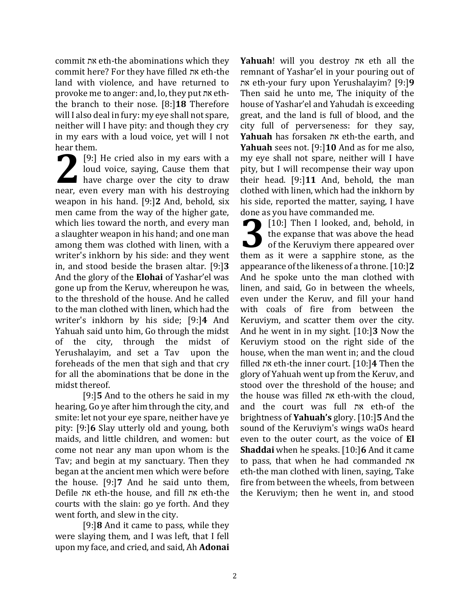commit את eth-the abominations which they commit here? For they have filled את eth-the land with violence, and have returned to provoke me to anger: and, lo, they put את eththe branch to their nose. [8:]**18** Therefore will I also deal in fury: my eye shall not spare, neither will I have pity: and though they cry in my ears with a loud voice, yet will I not hear them.

[9:] He cried also in my ears with a loud voice, saying, Cause them that have charge over the city to draw 19:] He cried also in my ears with a<br>loud voice, saying, Cause them that<br>have charge over the city to draw<br>near, even every man with his destroying weapon in his hand. [9:]**2** And, behold, six men came from the way of the higher gate, which lies toward the north, and every man a slaughter weapon in his hand; and one man among them was clothed with linen, with a writer's inkhorn by his side: and they went in, and stood beside the brasen altar. [9:]**3** And the glory of the **Elohai** of Yashar'el was gone up from the Keruv, whereupon he was, to the threshold of the house. And he called to the man clothed with linen, which had the writer's inkhorn by his side; [9:]**4** And Yahuah said unto him, Go through the midst of the city, through the midst of Yerushalayim, and set a Tav upon the foreheads of the men that sigh and that cry for all the abominations that be done in the midst thereof.

[9:]**5** And to the others he said in my hearing, Go ye after him through the city, and smite: let not your eye spare, neither have ye pity: [9:]**6** Slay utterly old and young, both maids, and little children, and women: but come not near any man upon whom is the Tav; and begin at my sanctuary. Then they began at the ancient men which were before the house. [9:]**7** And he said unto them, Defile את eth-the house, and fill את eth-the courts with the slain: go ye forth. And they went forth, and slew in the city.

[9:]**8** And it came to pass, while they were slaying them, and I was left, that I fell upon my face, and cried, and said, Ah **Adonai**  **Yahuah**! will you destroy את eth all the remnant of Yashar'el in your pouring out of את eth-your fury upon Yerushalayim? [9:]**9** Then said he unto me, The iniquity of the house of Yashar'el and Yahudah is exceeding great, and the land is full of blood, and the city full of perverseness: for they say, **Yahuah** has forsaken את eth-the earth, and **Yahuah** sees not. [9:]**10** And as for me also, my eye shall not spare, neither will I have pity, but I will recompense their way upon their head. [9:]**11** And, behold, the man clothed with linen, which had the inkhorn by his side, reported the matter, saying, I have done as you have commanded me.

[10:] Then I looked, and, behold, in the expanse that was above the head of the Keruviym there appeared over **10:** Then I looked, and, behold, in<br>the expanse that was above the head<br>of the Keruviym there appeared over<br>them as it were a sapphire stone, as the appearance of the likeness of a throne. [10:]**2**  And he spoke unto the man clothed with linen, and said, Go in between the wheels, even under the Keruv, and fill your hand with coals of fire from between the Keruviym, and scatter them over the city. And he went in in my sight. [10:]**3** Now the Keruviym stood on the right side of the house, when the man went in; and the cloud filled את eth-the inner court. [10:]**4** Then the glory of Yahuah went up from the Keruv, and stood over the threshold of the house; and the house was filled את eth-with the cloud, and the court was full את eth-of the brightness of **Yahuah's** glory. [10:]**5** And the sound of the Keruviym's wings waOs heard even to the outer court, as the voice of **El Shaddai** when he speaks. [10:]**6** And it came to pass, that when he had commanded את eth-the man clothed with linen, saying, Take fire from between the wheels, from between the Keruviym; then he went in, and stood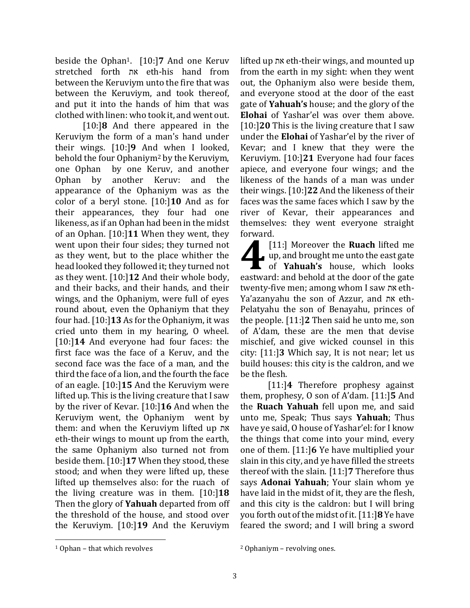beside the Ophan1. [10:]**7** And one Keruv stretched forth את eth-his hand from between the Keruviym unto the fire that was between the Keruviym, and took thereof, and put it into the hands of him that was clothed with linen: who took it, and went out.

[10:]**8** And there appeared in the Keruviym the form of a man's hand under their wings. [10:]**9** And when I looked, behold the four Ophaniym<sup>2</sup> by the Keruviym, one Ophan by one Keruv, and another Ophan by another Keruv: and the appearance of the Ophaniym was as the color of a beryl stone. [10:]**10** And as for their appearances, they four had one likeness, as if an Ophan had been in the midst of an Ophan. [10:]**11** When they went, they went upon their four sides; they turned not as they went, but to the place whither the head looked they followed it; they turned not as they went. [10:]**12** And their whole body, and their backs, and their hands, and their wings, and the Ophaniym, were full of eyes round about, even the Ophaniym that they four had. [10:]**13** As for the Ophaniym, it was cried unto them in my hearing, O wheel. [10:]**14** And everyone had four faces: the first face was the face of a Keruv, and the second face was the face of a man, and the third the face of a lion, and the fourth the face of an eagle. [10:]**15** And the Keruviym were lifted up. This is the living creature that I saw by the river of Kevar. [10:]**16** And when the Keruviym went, the Ophaniym went by them: and when the Keruviym lifted up את eth-their wings to mount up from the earth, the same Ophaniym also turned not from beside them. [10:]**17** When they stood, these stood; and when they were lifted up, these lifted up themselves also: for the ruach of the living creature was in them. [10:]**18** Then the glory of **Yahuah** departed from off the threshold of the house, and stood over the Keruviym. [10:]**19** And the Keruviym lifted up את eth-their wings, and mounted up from the earth in my sight: when they went out, the Ophaniym also were beside them, and everyone stood at the door of the east gate of **Yahuah's** house; and the glory of the **Elohai** of Yashar'el was over them above. [10:]**20** This is the living creature that I saw under the **Elohai** of Yashar'el by the river of Kevar; and I knew that they were the Keruviym. [10:]**21** Everyone had four faces apiece, and everyone four wings; and the likeness of the hands of a man was under their wings. [10:]**22** And the likeness of their faces was the same faces which I saw by the river of Kevar, their appearances and themselves: they went everyone straight forward.

[11:] Moreover the **Ruach** lifted me up, and brought me unto the east gate of **Yahuah's** house, which looks [11:] Moreover the **Ruach** lifted me<br>up, and brought me unto the east gate<br>of **Yahuah's** house, which looks<br>eastward: and behold at the door of the gate twenty-five men; among whom I saw את eth-Ya'azanyahu the son of Azzur, and את eth-Pelatyahu the son of Benayahu, princes of the people. [11:]**2** Then said he unto me, son of A'dam, these are the men that devise mischief, and give wicked counsel in this city: [11:]**3** Which say, It is not near; let us build houses: this city is the caldron, and we be the flesh.

[11:]**4** Therefore prophesy against them, prophesy, O son of A'dam. [11:]**5** And the **Ruach Yahuah** fell upon me, and said unto me, Speak; Thus says **Yahuah**; Thus have ye said, O house of Yashar'el: for I know the things that come into your mind, every one of them. [11:]**6** Ye have multiplied your slain in this city, and ye have filled the streets thereof with the slain. [11:]**7** Therefore thus says **Adonai Yahuah**; Your slain whom ye have laid in the midst of it, they are the flesh, and this city is the caldron: but I will bring you forth out of the midst of it. [11:]**8** Ye have feared the sword; and I will bring a sword

<sup>1</sup> Ophan – that which revolves

<sup>2</sup> Ophaniym – revolving ones.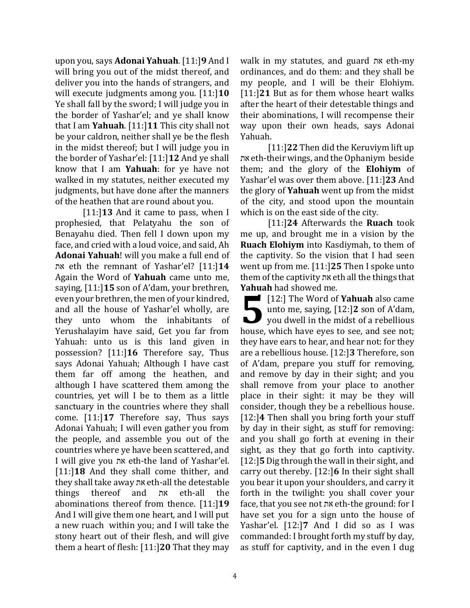upon you, says **Adonai Yahuah**. [11:]**9** And I will bring you out of the midst thereof, and deliver you into the hands of strangers, and will execute judgments among you. [11:]**10** Ye shall fall by the sword; I will judge you in the border of Yashar'el; and ye shall know that I am **Yahuah**. [11:]**11** This city shall not be your caldron, neither shall ye be the flesh in the midst thereof; but I will judge you in the border of Yashar'el: [11:]**12** And ye shall know that I am **Yahuah**: for ye have not walked in my statutes, neither executed my judgments, but have done after the manners of the heathen that are round about you.

[11:]**13** And it came to pass, when I prophesied, that Pelatyahu the son of Benayahu died. Then fell I down upon my face, and cried with a loud voice, and said, Ah **Adonai Yahuah**! will you make a full end of את eth the remnant of Yashar'el? [11:]**14**  Again the Word of **Yahuah** came unto me, saying, [11:]**15** son of A'dam, your brethren, even your brethren, the men of your kindred, and all the house of Yashar'el wholly, are they unto whom the inhabitants of Yerushalayim have said, Get you far from Yahuah: unto us is this land given in possession? [11:]**16** Therefore say, Thus says Adonai Yahuah; Although I have cast them far off among the heathen, and although I have scattered them among the countries, yet will I be to them as a little sanctuary in the countries where they shall come. [11:]**17** Therefore say, Thus says Adonai Yahuah; I will even gather you from the people, and assemble you out of the countries where ye have been scattered, and I will give you את eth-the land of Yashar'el. [11:]**18** And they shall come thither, and they shall take away את eth-all the detestable things thereof and את eth-all the abominations thereof from thence. [11:]**19** And I will give them one heart, and I will put a new ruach within you; and I will take the stony heart out of their flesh, and will give them a heart of flesh: [11:]**20** That they may

walk in my statutes, and guard את eth-my ordinances, and do them: and they shall be my people, and I will be their Elohiym. [11:]**21** But as for them whose heart walks after the heart of their detestable things and their abominations, I will recompense their way upon their own heads, says Adonai Yahuah.

[11:]**22** Then did the Keruviym lift up את eth-their wings, and the Ophaniym beside them; and the glory of the **Elohiym** of Yashar'el was over them above. [11:]**23** And the glory of **Yahuah** went up from the midst of the city, and stood upon the mountain which is on the east side of the city.

[11:]**24** Afterwards the **Ruach** took me up, and brought me in a vision by the **Ruach Elohiym** into Kasdiymah, to them of the captivity. So the vision that I had seen went up from me. [11:]**25** Then I spoke unto them of the captivity את eth all the things that **Yahuah** had showed me.

**[12:]** The Word of **Yahuah** also came unto me, saying, [12:]**2** son of A'dam, you dwell in the midst of a rebellious house, which have eyes to see, and see not; they have ears to hear, and hear not: for they are a rebellious house. [12:]**3** Therefore, son of A'dam, prepare you stuff for removing, and remove by day in their sight; and you shall remove from your place to another place in their sight: it may be they will consider, though they be a rebellious house. [12:]**4** Then shall you bring forth your stuff by day in their sight, as stuff for removing: and you shall go forth at evening in their sight, as they that go forth into captivity. [12:]**5** Dig through the wall in their sight, and carry out thereby. [12:]**6** In their sight shall you bear it upon your shoulders, and carry it forth in the twilight: you shall cover your face, that you see not את eth-the ground: for I have set you for a sign unto the house of Yashar'el. [12:]**7** And I did so as I was commanded: I brought forth my stuff by day, as stuff for captivity, and in the even I dug **5**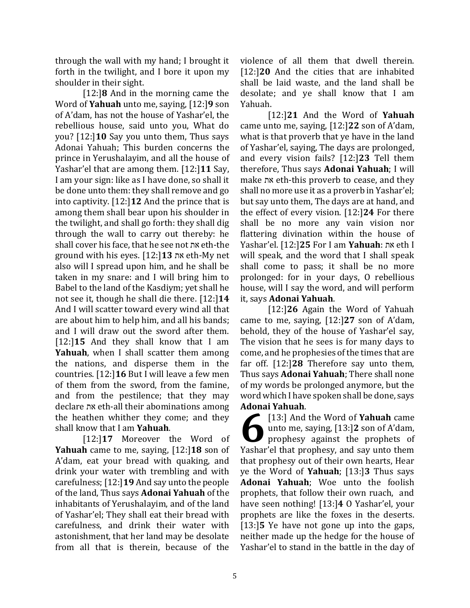through the wall with my hand; I brought it forth in the twilight, and I bore it upon my shoulder in their sight.

[12:]**8** And in the morning came the Word of **Yahuah** unto me, saying, [12:]**9** son of A'dam, has not the house of Yashar'el, the rebellious house, said unto you, What do you? [12:]**10** Say you unto them, Thus says Adonai Yahuah; This burden concerns the prince in Yerushalayim, and all the house of Yashar'el that are among them. [12:]**11** Say, I am your sign: like as I have done, so shall it be done unto them: they shall remove and go into captivity. [12:]**12** And the prince that is among them shall bear upon his shoulder in the twilight, and shall go forth: they shall dig through the wall to carry out thereby: he shall cover his face, that he see not את eth-the ground with his eyes. [12:]**13** את eth-My net also will I spread upon him, and he shall be taken in my snare: and I will bring him to Babel to the land of the Kasdiym; yet shall he not see it, though he shall die there. [12:]**14** And I will scatter toward every wind all that are about him to help him, and all his bands; and I will draw out the sword after them. [12:]**15** And they shall know that I am **Yahuah**, when I shall scatter them among the nations, and disperse them in the countries. [12:]**16** But I will leave a few men of them from the sword, from the famine, and from the pestilence; that they may declare את eth-all their abominations among the heathen whither they come; and they shall know that I am **Yahuah**.

[12:]**17** Moreover the Word of **Yahuah** came to me, saying, [12:]**18** son of A'dam, eat your bread with quaking, and drink your water with trembling and with carefulness; [12:]**19** And say unto the people of the land, Thus says **Adonai Yahuah** of the inhabitants of Yerushalayim, and of the land of Yashar'el; They shall eat their bread with carefulness, and drink their water with astonishment, that her land may be desolate from all that is therein, because of the

violence of all them that dwell therein. [12:]**20** And the cities that are inhabited shall be laid waste, and the land shall be desolate; and ye shall know that I am Yahuah.

[12:]**21** And the Word of **Yahuah** came unto me, saying, [12:]**22** son of A'dam, what is that proverb that ye have in the land of Yashar'el, saying, The days are prolonged, and every vision fails? [12:]**23** Tell them therefore, Thus says **Adonai Yahuah**; I will make את eth-this proverb to cease, and they shall no more use it as a proverb in Yashar'el; but say unto them, The days are at hand, and the effect of every vision. [12:]**24** For there shall be no more any vain vision nor flattering divination within the house of Yashar'el. [12:]**25** For I am **Yahuah**: את eth I will speak, and the word that I shall speak shall come to pass; it shall be no more prolonged: for in your days, O rebellious house, will I say the word, and will perform it, says **Adonai Yahuah**.

[12:]**26** Again the Word of Yahuah came to me, saying, [12:]**27** son of A'dam, behold, they of the house of Yashar'el say, The vision that he sees is for many days to come, and he prophesies of the times that are far off. [12:]**28** Therefore say unto them, Thus says **Adonai Yahuah**; There shall none of my words be prolonged anymore, but the word which I have spoken shall be done, says **Adonai Yahuah**.

[13:] And the Word of **Yahuah** came unto me, saying, [13:]**2** son of A'dam, prophesy against the prophets of [13:] And the Word of **Yahuah** came<br>unto me, saying, [13:] Son of A'dam,<br>prophesy against the prophets of<br>Yashar'el that prophesy, and say unto them that prophesy out of their own hearts, Hear ye the Word of **Yahuah**; [13:]**3** Thus says **Adonai Yahuah**; Woe unto the foolish prophets, that follow their own ruach, and have seen nothing! [13:]**4** O Yashar'el, your prophets are like the foxes in the deserts. [13:]**5** Ye have not gone up into the gaps, neither made up the hedge for the house of Yashar'el to stand in the battle in the day of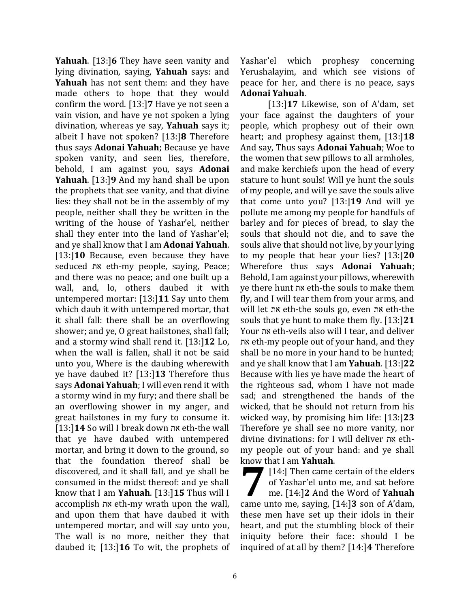**Yahuah**. [13:]**6** They have seen vanity and lying divination, saying, **Yahuah** says: and **Yahuah** has not sent them: and they have made others to hope that they would confirm the word. [13:]**7** Have ye not seen a vain vision, and have ye not spoken a lying divination, whereas ye say, **Yahuah** says it; albeit I have not spoken? [13:]**8** Therefore thus says **Adonai Yahuah**; Because ye have spoken vanity, and seen lies, therefore, behold, I am against you, says **Adonai Yahuah**. [13:]**9** And my hand shall be upon the prophets that see vanity, and that divine lies: they shall not be in the assembly of my people, neither shall they be written in the writing of the house of Yashar'el, neither shall they enter into the land of Yashar'el; and ye shall know that I am **Adonai Yahuah**. [13:]**10** Because, even because they have seduced את eth-my people, saying, Peace; and there was no peace; and one built up a wall, and, lo, others daubed it with untempered mortar: [13:]**11** Say unto them which daub it with untempered mortar, that it shall fall: there shall be an overflowing shower; and ye, O great hailstones, shall fall; and a stormy wind shall rend it. [13:]**12** Lo, when the wall is fallen, shall it not be said unto you, Where is the daubing wherewith ye have daubed it? [13:]**13** Therefore thus says **Adonai Yahuah**; I will even rend it with a stormy wind in my fury; and there shall be an overflowing shower in my anger, and great hailstones in my fury to consume it. [13:]**14** So will I break down את eth-the wall that ye have daubed with untempered mortar, and bring it down to the ground, so that the foundation thereof shall be discovered, and it shall fall, and ye shall be consumed in the midst thereof: and ye shall know that I am **Yahuah**. [13:]**15** Thus will I accomplish את eth-my wrath upon the wall, and upon them that have daubed it with untempered mortar, and will say unto you, The wall is no more, neither they that daubed it; [13:]**16** To wit, the prophets of Yashar'el which prophesy concerning Yerushalayim, and which see visions of peace for her, and there is no peace, says **Adonai Yahuah**.

[13:]**17** Likewise, son of A'dam, set your face against the daughters of your people, which prophesy out of their own heart; and prophesy against them, [13:]**18** And say, Thus says **Adonai Yahuah**; Woe to the women that sew pillows to all armholes, and make kerchiefs upon the head of every stature to hunt souls! Will ye hunt the souls of my people, and will ye save the souls alive that come unto you? [13:]**19** And will ye pollute me among my people for handfuls of barley and for pieces of bread, to slay the souls that should not die, and to save the souls alive that should not live, by your lying to my people that hear your lies? [13:]**20**  Wherefore thus says **Adonai Yahuah**; Behold, I am against your pillows, wherewith ye there hunt את eth-the souls to make them fly, and I will tear them from your arms, and will let את eth-the souls go, even את eth-the souls that ye hunt to make them fly. [13:]**21** Your את eth-veils also will I tear, and deliver את eth-my people out of your hand, and they shall be no more in your hand to be hunted; and ye shall know that I am **Yahuah**. [13:]**22** Because with lies ye have made the heart of the righteous sad, whom I have not made sad; and strengthened the hands of the wicked, that he should not return from his wicked way, by promising him life: [13:]**23**  Therefore ye shall see no more vanity, nor divine divinations: for I will deliver את ethmy people out of your hand: and ye shall know that I am **Yahuah**.

[14:] Then came certain of the elders of Yashar'el unto me, and sat before me. [14:]**2** And the Word of **Yahuah** came unto me, saying, [14:]**3** son of A'dam, these men have set up their idols in their heart, and put the stumbling block of their iniquity before their face: should I be inquired of at all by them? [14:]**4** Therefore **7**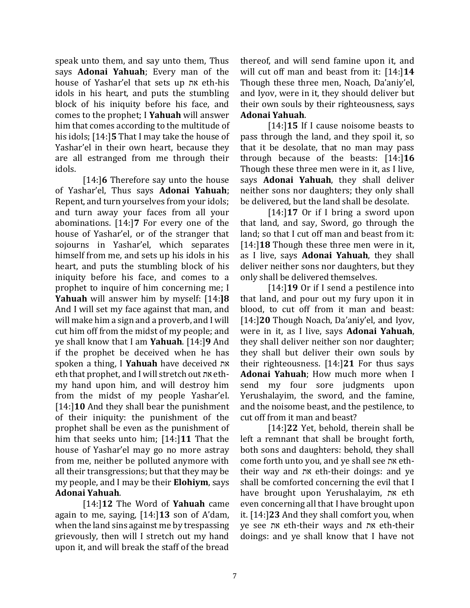speak unto them, and say unto them, Thus says **Adonai Yahuah**; Every man of the house of Yashar'el that sets up את eth-his idols in his heart, and puts the stumbling block of his iniquity before his face, and comes to the prophet; I **Yahuah** will answer him that comes according to the multitude of his idols; [14:]**5** That I may take the house of Yashar'el in their own heart, because they are all estranged from me through their idols.

[14:]**6** Therefore say unto the house of Yashar'el, Thus says **Adonai Yahuah**; Repent, and turn yourselves from your idols; and turn away your faces from all your abominations. [14:]**7** For every one of the house of Yashar'el, or of the stranger that sojourns in Yashar'el, which separates himself from me, and sets up his idols in his heart, and puts the stumbling block of his iniquity before his face, and comes to a prophet to inquire of him concerning me; I **Yahuah** will answer him by myself: [14:**]8** And I will set my face against that man, and will make him a sign and a proverb, and I will cut him off from the midst of my people; and ye shall know that I am **Yahuah**. [14:]**9** And if the prophet be deceived when he has spoken a thing, I **Yahuah** have deceived את eth that prophet, and I will stretch out את ethmy hand upon him, and will destroy him from the midst of my people Yashar'el. [14:]**10** And they shall bear the punishment of their iniquity: the punishment of the prophet shall be even as the punishment of him that seeks unto him; [14:]**11** That the house of Yashar'el may go no more astray from me, neither be polluted anymore with all their transgressions; but that they may be my people, and I may be their **Elohiym**, says **Adonai Yahuah**.

[14:]**12** The Word of **Yahuah** came again to me, saying, [14:]**13** son of A'dam, when the land sins against me by trespassing grievously, then will I stretch out my hand upon it, and will break the staff of the bread

thereof, and will send famine upon it, and will cut off man and beast from it: [14:]**14** Though these three men, Noach, Da'aniy'el, and Iyov, were in it, they should deliver but their own souls by their righteousness, says **Adonai Yahuah**.

[14:]**15** If I cause noisome beasts to pass through the land, and they spoil it, so that it be desolate, that no man may pass through because of the beasts: [14:]**16** Though these three men were in it, as I live, says **Adonai Yahuah**, they shall deliver neither sons nor daughters; they only shall be delivered, but the land shall be desolate.

[14:]**17** Or if I bring a sword upon that land, and say, Sword, go through the land; so that I cut off man and beast from it: [14:]**18** Though these three men were in it, as I live, says **Adonai Yahuah**, they shall deliver neither sons nor daughters, but they only shall be delivered themselves.

[14:]**19** Or if I send a pestilence into that land, and pour out my fury upon it in blood, to cut off from it man and beast: [14:]**20** Though Noach, Da'aniy'el, and Iyov, were in it, as I live, says **Adonai Yahuah**, they shall deliver neither son nor daughter; they shall but deliver their own souls by their righteousness. [14:]**21** For thus says **Adonai Yahuah**; How much more when I send my four sore judgments upon Yerushalayim, the sword, and the famine, and the noisome beast, and the pestilence, to cut off from it man and beast?

[14:]**22** Yet, behold, therein shall be left a remnant that shall be brought forth, both sons and daughters: behold, they shall come forth unto you, and ye shall see את eththeir way and את eth-their doings: and ye shall be comforted concerning the evil that I have brought upon Yerushalayim, את eth even concerning all that I have brought upon it. [14:]**23** And they shall comfort you, when ye see את eth-their ways and את eth-their doings: and ye shall know that I have not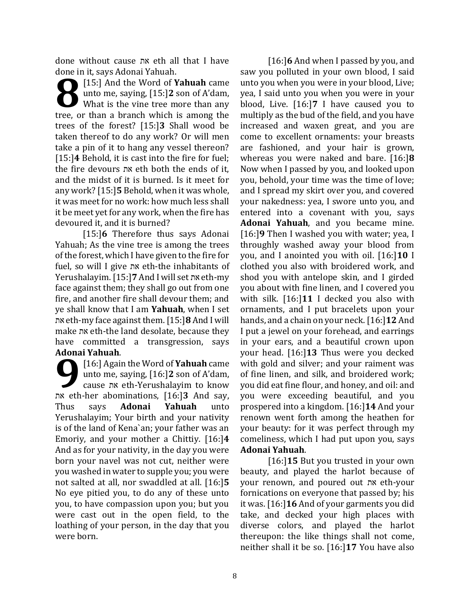done without cause את eth all that I have done in it, says Adonai Yahuah.

[15:] And the Word of **Yahuah** came unto me, saying, [15:]**2** son of A'dam, What is the vine tree more than any **115:** And the Word of **Yahuah** came<br>unto me, saying, [15:] 2 son of A'dam,<br>What is the vine tree more than any<br>tree, or than a branch which is among the trees of the forest? [15:]**3** Shall wood be taken thereof to do any work? Or will men take a pin of it to hang any vessel thereon? [15:]**4** Behold, it is cast into the fire for fuel; the fire devours את eth both the ends of it, and the midst of it is burned. Is it meet for any work? [15:]**5** Behold, when it was whole, it was meet for no work: how much less shall it be meet yet for any work, when the fire has devoured it, and it is burned?

[15:]**6** Therefore thus says Adonai Yahuah; As the vine tree is among the trees of the forest, which I have given to the fire for fuel, so will I give את eth-the inhabitants of Yerushalayim. [15:]**7** And I will set את eth-my face against them; they shall go out from one fire, and another fire shall devour them; and ye shall know that I am **Yahuah**, when I set את eth-my face against them. [15:]**8** And I will make את eth-the land desolate, because they have committed a transgression, says **Adonai Yahuah**.

[16:] Again the Word of **Yahuah** came unto me, saying, [16:]**2** son of A'dam, cause את eth-Yerushalayim to know Addin Tandan.<br>
[16:] Again the Word of **Yahuah** came<br>
unto me, saying, [16:] son of A'dam,<br>
cause *n*x eth-Yerushalayim to know<br>
we th-her abominations, [16:] 3 And say, Thus says **Adonai Yahuah** unto Yerushalayim; Your birth and your nativity is of the land of Kena`an; your father was an Emoriy, and your mother a Chittiy. [16:]**4** And as for your nativity, in the day you were born your navel was not cut, neither were you washed in water to supple you; you were not salted at all, nor swaddled at all. [16:]**5** No eye pitied you, to do any of these unto you, to have compassion upon you; but you were cast out in the open field, to the loathing of your person, in the day that you were born.

[16:]**6** And when I passed by you, and saw you polluted in your own blood, I said unto you when you were in your blood, Live; yea, I said unto you when you were in your blood, Live. [16:]**7** I have caused you to multiply as the bud of the field, and you have increased and waxen great, and you are come to excellent ornaments: your breasts are fashioned, and your hair is grown, whereas you were naked and bare. [16:]**8** Now when I passed by you, and looked upon you, behold, your time was the time of love; and I spread my skirt over you, and covered your nakedness: yea, I swore unto you, and entered into a covenant with you, says **Adonai Yahuah**, and you became mine. [16:]**9** Then I washed you with water; yea, I throughly washed away your blood from you, and I anointed you with oil. [16:]**10** I clothed you also with broidered work, and shod you with antelope skin, and I girded you about with fine linen, and I covered you with silk. [16:]**11** I decked you also with ornaments, and I put bracelets upon your hands, and a chain on your neck. [16:]**12** And I put a jewel on your forehead, and earrings in your ears, and a beautiful crown upon your head. [16:]**13** Thus were you decked with gold and silver; and your raiment was of fine linen, and silk, and broidered work; you did eat fine flour, and honey, and oil: and you were exceeding beautiful, and you prospered into a kingdom. [16:]**14** And your renown went forth among the heathen for your beauty: for it was perfect through my comeliness, which I had put upon you, says **Adonai Yahuah**.

[16:]**15** But you trusted in your own beauty, and played the harlot because of your renown, and poured out את eth-your fornications on everyone that passed by; his it was. [16:]**16** And of your garments you did take, and decked your high places with diverse colors, and played the harlot thereupon: the like things shall not come, neither shall it be so. [16:]**17** You have also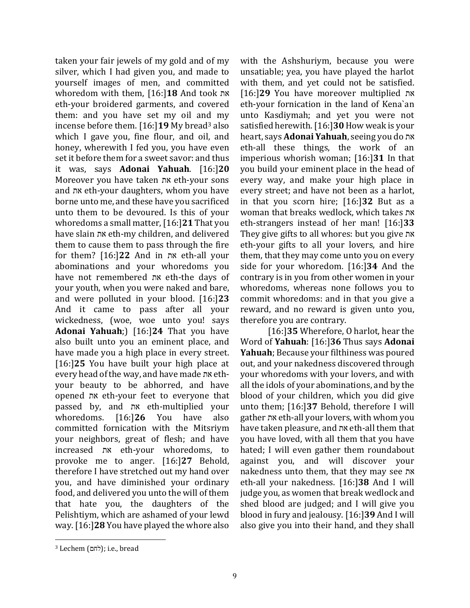taken your fair jewels of my gold and of my silver, which I had given you, and made to yourself images of men, and committed whoredom with them, [16:]**18** And took את eth-your broidered garments, and covered them: and you have set my oil and my incense before them. [16:]**19** My bread<sup>3</sup> also which I gave you, fine flour, and oil, and honey, wherewith I fed you, you have even set it before them for a sweet savor: and thus it was, says **Adonai Yahuah**. [16:]**20** Moreover you have taken את eth-your sons and את eth-your daughters, whom you have borne unto me, and these have you sacrificed unto them to be devoured. Is this of your whoredoms a small matter, [16:]**21** That you have slain את eth-my children, and delivered them to cause them to pass through the fire for them? [16:]**22** And in את eth-all your abominations and your whoredoms you have not remembered את eth-the days of your youth, when you were naked and bare, and were polluted in your blood. [16:]**23** And it came to pass after all your wickedness, (woe, woe unto you! says **Adonai Yahuah**;) [16:]**24** That you have also built unto you an eminent place, and have made you a high place in every street. [16:]**25** You have built your high place at every head of the way, and have made את ethyour beauty to be abhorred, and have opened את eth-your feet to everyone that passed by, and את eth-multiplied your whoredoms. [16:]**26** You have also committed fornication with the Mitsriym your neighbors, great of flesh; and have increased את eth-your whoredoms, to provoke me to anger. [16:]**27** Behold, therefore I have stretched out my hand over you, and have diminished your ordinary food, and delivered you unto the will of them that hate you, the daughters of the Pelishtiym, which are ashamed of your lewd way. [16:]**28** You have played the whore also with the Ashshuriym, because you were unsatiable; yea, you have played the harlot with them, and yet could not be satisfied. [16:]**29** You have moreover multiplied את eth-your fornication in the land of Kena`an unto Kasdiymah; and yet you were not satisfied herewith. [16:]**30**How weak is your heart, says **Adonai Yahuah**, seeing you do את eth-all these things, the work of an imperious whorish woman; [16:]**31** In that you build your eminent place in the head of every way, and make your high place in every street; and have not been as a harlot, in that you scorn hire; [16:]**32** But as a woman that breaks wedlock, which takes את eth-strangers instead of her man! [16:]**33** They give gifts to all whores: but you give את eth-your gifts to all your lovers, and hire them, that they may come unto you on every side for your whoredom. [16:]**34** And the contrary is in you from other women in your whoredoms, whereas none follows you to commit whoredoms: and in that you give a reward, and no reward is given unto you, therefore you are contrary.

[16:]**35** Wherefore, O harlot, hear the Word of **Yahuah**: [16:]**36** Thus says **Adonai Yahuah**; Because your filthiness was poured out, and your nakedness discovered through your whoredoms with your lovers, and with all the idols of your abominations, and by the blood of your children, which you did give unto them; [16:]**37** Behold, therefore I will gather את eth-all your lovers, with whom you have taken pleasure, and את eth-all them that you have loved, with all them that you have hated; I will even gather them roundabout against you, and will discover your nakedness unto them, that they may see את eth-all your nakedness. [16:]**38** And I will judge you, as women that break wedlock and shed blood are judged; and I will give you blood in fury and jealousy. [16:]**39** And I will also give you into their hand, and they shall

 $3$  Lechem (לחם); i.e., bread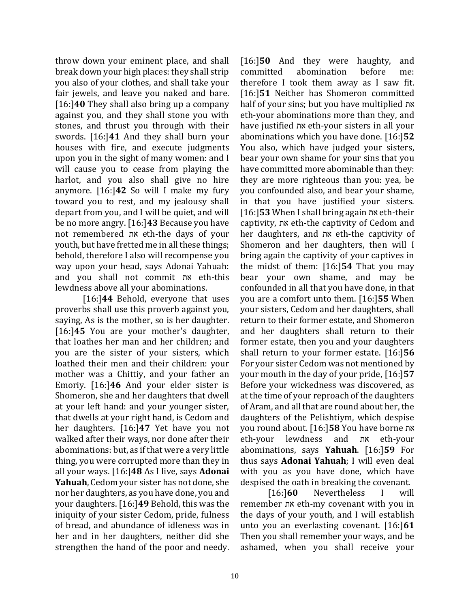throw down your eminent place, and shall break down your high places: they shall strip you also of your clothes, and shall take your fair jewels, and leave you naked and bare. [16:]**40** They shall also bring up a company against you, and they shall stone you with stones, and thrust you through with their swords. [16:]**41** And they shall burn your houses with fire, and execute judgments upon you in the sight of many women: and I will cause you to cease from playing the harlot, and you also shall give no hire anymore. [16:]**42** So will I make my fury toward you to rest, and my jealousy shall depart from you, and I will be quiet, and will be no more angry. [16:]**43** Because you have not remembered את eth-the days of your youth, but have fretted me in all these things; behold, therefore I also will recompense you way upon your head, says Adonai Yahuah: and you shall not commit את eth-this lewdness above all your abominations.

[16:]**44** Behold, everyone that uses proverbs shall use this proverb against you, saying, As is the mother, so is her daughter. [16:]**45** You are your mother's daughter, that loathes her man and her children; and you are the sister of your sisters, which loathed their men and their children: your mother was a Chittiy, and your father an Emoriy. [16:]**46** And your elder sister is Shomeron, she and her daughters that dwell at your left hand: and your younger sister, that dwells at your right hand, is Cedom and her daughters. [16:]**47** Yet have you not walked after their ways, nor done after their abominations: but, as if that were a very little thing, you were corrupted more than they in all your ways. [16:]**48** As I live, says **Adonai Yahuah**, Cedom your sister has not done, she nor her daughters, as you have done, you and your daughters. [16:]**49** Behold, this was the iniquity of your sister Cedom, pride, fulness of bread, and abundance of idleness was in her and in her daughters, neither did she strengthen the hand of the poor and needy.

[16:]**50** And they were haughty, and committed abomination before me: therefore I took them away as I saw fit. [16:]**51** Neither has Shomeron committed half of your sins; but you have multiplied את eth-your abominations more than they, and have justified את eth-your sisters in all your abominations which you have done. [16:]**52** You also, which have judged your sisters, bear your own shame for your sins that you have committed more abominable than they: they are more righteous than you: yea, be you confounded also, and bear your shame, in that you have justified your sisters. [16:]**53** When I shall bring again את eth-their captivity, את eth-the captivity of Cedom and her daughters, and את eth-the captivity of Shomeron and her daughters, then will I bring again the captivity of your captives in the midst of them: [16:]**54** That you may bear your own shame, and may be confounded in all that you have done, in that you are a comfort unto them. [16:]**55** When your sisters, Cedom and her daughters, shall return to their former estate, and Shomeron and her daughters shall return to their former estate, then you and your daughters shall return to your former estate. [16:]**56** For your sister Cedom was not mentioned by your mouth in the day of your pride, [16:]**57**  Before your wickedness was discovered, as at the time of your reproach of the daughters of Aram, and all that are round about her, the daughters of the Pelishtiym, which despise you round about. [16:]**58** You have borne את eth-your lewdness and את eth-your abominations, says **Yahuah**. [16:]**59** For thus says **Adonai Yahuah**; I will even deal with you as you have done, which have despised the oath in breaking the covenant.

[16:]**60** Nevertheless I will remember את eth-my covenant with you in the days of your youth, and I will establish unto you an everlasting covenant. [16:]**61**  Then you shall remember your ways, and be ashamed, when you shall receive your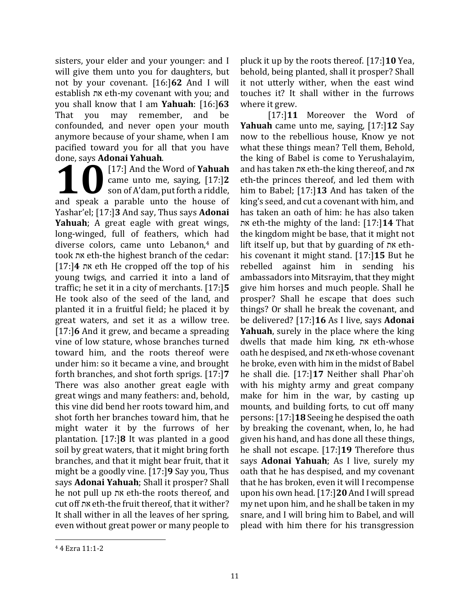sisters, your elder and your younger: and I will give them unto you for daughters, but not by your covenant. [16:]**62** And I will establish את eth-my covenant with you; and you shall know that I am **Yahuah**: [16:]**63**  That you may remember, and be confounded, and never open your mouth anymore because of your shame, when I am pacified toward you for all that you have done, says **Adonai Yahuah**.

[17:] And the Word of **Yahuah** came unto me, saying, [17:]**2** son of A'dam, put forth a riddle, and speak a parable unto the house of **and speak** a parable unto the house of Yashar'el; [17:]**3** And say, Thus says **Adonai Yahuah**; A great eagle with great wings, long-winged, full of feathers, which had diverse colors, came unto Lebanon,<sup>4</sup> and took את eth-the highest branch of the cedar: [17:]**4** את eth He cropped off the top of his young twigs, and carried it into a land of traffic; he set it in a city of merchants. [17:]**5** He took also of the seed of the land, and planted it in a fruitful field; he placed it by great waters, and set it as a willow tree. [17:]**6** And it grew, and became a spreading vine of low stature, whose branches turned toward him, and the roots thereof were under him: so it became a vine, and brought forth branches, and shot forth sprigs. [17:]**7** There was also another great eagle with great wings and many feathers: and, behold, this vine did bend her roots toward him, and shot forth her branches toward him, that he might water it by the furrows of her plantation. [17:]**8** It was planted in a good soil by great waters, that it might bring forth branches, and that it might bear fruit, that it might be a goodly vine. [17:]**9** Say you, Thus says **Adonai Yahuah**; Shall it prosper? Shall he not pull up את eth-the roots thereof, and cut off את eth-the fruit thereof, that it wither? It shall wither in all the leaves of her spring, even without great power or many people to

pluck it up by the roots thereof. [17:]**10** Yea, behold, being planted, shall it prosper? Shall it not utterly wither, when the east wind touches it? It shall wither in the furrows where it grew.

[17:]**11** Moreover the Word of **Yahuah** came unto me, saying, [17:]**12** Say now to the rebellious house, Know ye not what these things mean? Tell them, Behold, the king of Babel is come to Yerushalayim, and has taken את eth-the king thereof, and את eth-the princes thereof, and led them with him to Babel; [17:]**13** And has taken of the king's seed, and cut a covenant with him, and has taken an oath of him: he has also taken את eth-the mighty of the land: [17:]**14** That the kingdom might be base, that it might not lift itself up, but that by guarding of את ethhis covenant it might stand. [17:]**15** But he rebelled against him in sending his ambassadors into Mitsrayim, that they might give him horses and much people. Shall he prosper? Shall he escape that does such things? Or shall he break the covenant, and be delivered? [17:]**16** As I live, says **Adonai Yahuah**, surely in the place where the king dwells that made him king, את eth-whose oath he despised, and את eth-whose covenant he broke, even with him in the midst of Babel he shall die. [17:]**17** Neither shall Phar`oh with his mighty army and great company make for him in the war, by casting up mounts, and building forts, to cut off many persons: [17:]**18** Seeing he despised the oath by breaking the covenant, when, lo, he had given his hand, and has done all these things, he shall not escape. [17:]**19** Therefore thus says **Adonai Yahuah**; As I live, surely my oath that he has despised, and my covenant that he has broken, even it will I recompense upon his own head. [17:]**20** And I will spread my net upon him, and he shall be taken in my snare, and I will bring him to Babel, and will plead with him there for his transgression

<sup>4</sup> 4 Ezra 11:1-2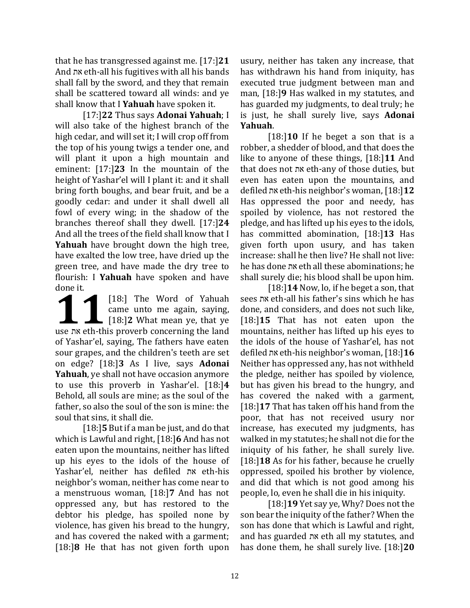that he has transgressed against me. [17:]**21** And את eth-all his fugitives with all his bands shall fall by the sword, and they that remain shall be scattered toward all winds: and ye shall know that I **Yahuah** have spoken it.

[17:]**22** Thus says **Adonai Yahuah**; I will also take of the highest branch of the high cedar, and will set it; I will crop off from the top of his young twigs a tender one, and will plant it upon a high mountain and eminent: [17:]**23** In the mountain of the height of Yashar'el will I plant it: and it shall bring forth boughs, and bear fruit, and be a goodly cedar: and under it shall dwell all fowl of every wing; in the shadow of the branches thereof shall they dwell. [17:]**24** And all the trees of the field shall know that I **Yahuah** have brought down the high tree, have exalted the low tree, have dried up the green tree, and have made the dry tree to flourish: I **Yahuah** have spoken and have done it.

[18:] The Word of Yahuah came unto me again, saying,  $\blacksquare$  [18:] **2** What mean ye, that ye use ne unto me again, saying,<br> **118:** Intervalse with this proverb concerning the land<br> **118:** Intervalse with this proverb concerning the land of Yashar'el, saying, The fathers have eaten sour grapes, and the children's teeth are set on edge? [18:]**3** As I live, says **Adonai Yahuah**, ye shall not have occasion anymore to use this proverb in Yashar'el. [18:]**4**  Behold, all souls are mine; as the soul of the father, so also the soul of the son is mine: the soul that sins, it shall die.

[18:]**5** But if a man be just, and do that which is Lawful and right, [18:]**6** And has not eaten upon the mountains, neither has lifted up his eyes to the idols of the house of Yashar'el, neither has defiled את eth-his neighbor's woman, neither has come near to a menstruous woman, [18:]**7** And has not oppressed any, but has restored to the debtor his pledge, has spoiled none by violence, has given his bread to the hungry, and has covered the naked with a garment; [18:]**8** He that has not given forth upon

usury, neither has taken any increase, that has withdrawn his hand from iniquity, has executed true judgment between man and man, [18:]**9** Has walked in my statutes, and has guarded my judgments, to deal truly; he is just, he shall surely live, says **Adonai Yahuah**.

[18:]**10** If he beget a son that is a robber, a shedder of blood, and that does the like to anyone of these things, [18:]**11** And that does not את eth-any of those duties, but even has eaten upon the mountains, and defiled את eth-his neighbor's woman, [18:]**12** Has oppressed the poor and needy, has spoiled by violence, has not restored the pledge, and has lifted up his eyes to the idols, has committed abomination, [18:]**13** Has given forth upon usury, and has taken increase: shall he then live? He shall not live: he has done את eth all these abominations; he shall surely die; his blood shall be upon him.

[18:]**14** Now, lo, if he beget a son, that sees את eth-all his father's sins which he has done, and considers, and does not such like, [18:]**15** That has not eaten upon the mountains, neither has lifted up his eyes to the idols of the house of Yashar'el, has not defiled את eth-his neighbor's woman, [18:]**16** Neither has oppressed any, has not withheld the pledge, neither has spoiled by violence, but has given his bread to the hungry, and has covered the naked with a garment, [18:]**17** That has taken off his hand from the poor, that has not received usury nor increase, has executed my judgments, has walked in my statutes; he shall not die for the iniquity of his father, he shall surely live. [18:]**18** As for his father, because he cruelly oppressed, spoiled his brother by violence, and did that which is not good among his people, lo, even he shall die in his iniquity.

[18:]**19** Yet say ye, Why? Does not the son bear the iniquity of the father? When the son has done that which is Lawful and right, and has guarded את eth all my statutes, and has done them, he shall surely live. [18:]**20**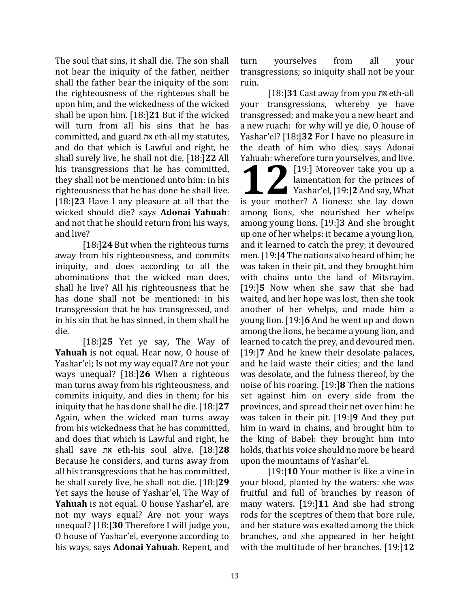The soul that sins, it shall die. The son shall not bear the iniquity of the father, neither shall the father bear the iniquity of the son: the righteousness of the righteous shall be upon him, and the wickedness of the wicked shall be upon him. [18:]**21** But if the wicked will turn from all his sins that he has committed, and guard את eth-all my statutes, and do that which is Lawful and right, he shall surely live, he shall not die. [18:]**22** All his transgressions that he has committed, they shall not be mentioned unto him: in his righteousness that he has done he shall live. [18:]**23** Have I any pleasure at all that the wicked should die? says **Adonai Yahuah**: and not that he should return from his ways, and live?

[18:]**24** But when the righteous turns away from his righteousness, and commits iniquity, and does according to all the abominations that the wicked man does, shall he live? All his righteousness that he has done shall not be mentioned: in his transgression that he has transgressed, and in his sin that he has sinned, in them shall he die.

[18:]**25** Yet ye say, The Way of **Yahuah** is not equal. Hear now, O house of Yashar'el; Is not my way equal? Are not your ways unequal? [18:]**26** When a righteous man turns away from his righteousness, and commits iniquity, and dies in them; for his iniquity that he has done shall he die. [18:]**27** Again, when the wicked man turns away from his wickedness that he has committed, and does that which is Lawful and right, he shall save את eth-his soul alive. [18:]**28** Because he considers, and turns away from all his transgressions that he has committed, he shall surely live, he shall not die. [18:]**29** Yet says the house of Yashar'el, The Way of **Yahuah** is not equal. O house Yashar'el, are not my ways equal? Are not your ways unequal? [18:]**30** Therefore I will judge you, O house of Yashar'el, everyone according to his ways, says **Adonai Yahuah**. Repent, and turn yourselves from all your transgressions; so iniquity shall not be your ruin.

[18:]**31** Cast away from you את eth-all your transgressions, whereby ye have transgressed; and make you a new heart and a new ruach: for why will ye die, O house of Yashar'el? [18:]**32** For I have no pleasure in the death of him who dies, says Adonai Yahuah: wherefore turn yourselves, and live.

[19:] Moreover take you up a lamentation for the princes of Yashar'el, [19:] 2 And say, What **19:** Moreover take you up a lamentation for the princes of Yashar'el, [19:] 2 And say, What is your mother? A lioness: she lay down among lions, she nourished her whelps among young lions. [19:]**3** And she brought up one of her whelps: it became a young lion, and it learned to catch the prey; it devoured men. [19:]**4** The nations also heard of him; he was taken in their pit, and they brought him with chains unto the land of Mitsrayim. [19:]**5** Now when she saw that she had waited, and her hope was lost, then she took another of her whelps, and made him a young lion. [19:]**6** And he went up and down among the lions, he became a young lion, and learned to catch the prey, and devoured men. [19:]**7** And he knew their desolate palaces, and he laid waste their cities; and the land was desolate, and the fulness thereof, by the noise of his roaring. [19:]**8** Then the nations set against him on every side from the provinces, and spread their net over him: he was taken in their pit. [19:]**9** And they put him in ward in chains, and brought him to the king of Babel: they brought him into holds, that his voice should no more be heard upon the mountains of Yashar'el.

[19:]**10** Your mother is like a vine in your blood, planted by the waters: she was fruitful and full of branches by reason of many waters. [19:]**11** And she had strong rods for the sceptres of them that bore rule, and her stature was exalted among the thick branches, and she appeared in her height with the multitude of her branches. [19:]**12**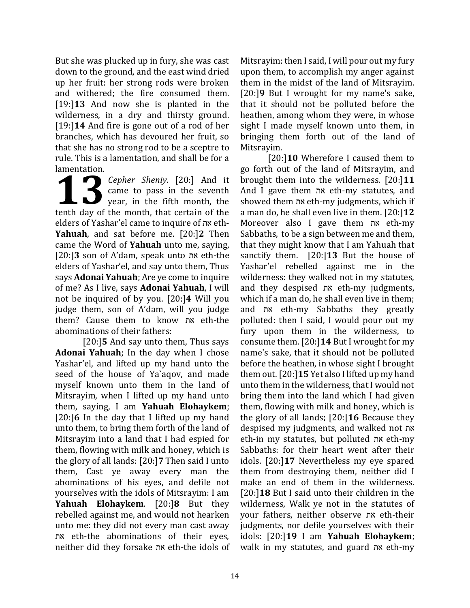But she was plucked up in fury, she was cast down to the ground, and the east wind dried up her fruit: her strong rods were broken and withered; the fire consumed them. [19:]**13** And now she is planted in the wilderness, in a dry and thirsty ground. [19:]**14** And fire is gone out of a rod of her branches, which has devoured her fruit, so that she has no strong rod to be a sceptre to rule. This is a lamentation, and shall be for a lamentation.

*Cepher Sheniy.* [20:] And it came to pass in the seventh year, in the fifth month, the **13** Cepher Sheniy. [20:] And it came to pass in the seventh year, in the fifth month, the tenth day of the month, that certain of the elders of Yashar'el came to inquire of את eth-**Yahuah**, and sat before me. [20:]**2** Then came the Word of **Yahuah** unto me, saying, [20:]**3** son of A'dam, speak unto את eth-the elders of Yashar'el, and say unto them, Thus says **Adonai Yahuah**; Are ye come to inquire of me? As I live, says **Adonai Yahuah**, I will not be inquired of by you. [20:]**4** Will you judge them, son of A'dam, will you judge them? Cause them to know את eth-the abominations of their fathers:

[20:]**5** And say unto them, Thus says **Adonai Yahuah**; In the day when I chose Yashar'el, and lifted up my hand unto the seed of the house of Ya`aqov, and made myself known unto them in the land of Mitsrayim, when I lifted up my hand unto them, saying, I am **Yahuah Elohaykem**; [20:]**6** In the day that I lifted up my hand unto them, to bring them forth of the land of Mitsrayim into a land that I had espied for them, flowing with milk and honey, which is the glory of all lands: [20:]**7** Then said I unto them, Cast ye away every man the abominations of his eyes, and defile not yourselves with the idols of Mitsrayim: I am **Yahuah Elohaykem**. [20:]**8** But they rebelled against me, and would not hearken unto me: they did not every man cast away את eth-the abominations of their eyes, neither did they forsake את eth-the idols of

Mitsrayim: then I said, I will pour out my fury upon them, to accomplish my anger against them in the midst of the land of Mitsrayim. [20:]**9** But I wrought for my name's sake, that it should not be polluted before the heathen, among whom they were, in whose sight I made myself known unto them, in bringing them forth out of the land of Mitsrayim.

[20:]**10** Wherefore I caused them to go forth out of the land of Mitsrayim, and brought them into the wilderness. [20:]**11** And I gave them את eth-my statutes, and showed them את eth-my judgments, which if a man do, he shall even live in them. [20:]**12**  Moreover also I gave them את eth-my Sabbaths, to be a sign between me and them, that they might know that I am Yahuah that sanctify them. [20:]**13** But the house of Yashar'el rebelled against me in the wilderness: they walked not in my statutes, and they despised את eth-my judgments, which if a man do, he shall even live in them; and את eth-my Sabbaths they greatly polluted: then I said, I would pour out my fury upon them in the wilderness, to consume them. [20:]**14** But I wrought for my name's sake, that it should not be polluted before the heathen, in whose sight I brought them out. [20:]**15** Yet also I lifted up my hand unto them in the wilderness, that I would not bring them into the land which I had given them, flowing with milk and honey, which is the glory of all lands; [20:]**16** Because they despised my judgments, and walked not את eth-in my statutes, but polluted את eth-my Sabbaths: for their heart went after their idols. [20:]**17** Nevertheless my eye spared them from destroying them, neither did I make an end of them in the wilderness. [20:]**18** But I said unto their children in the wilderness, Walk ye not in the statutes of your fathers, neither observe את eth-their judgments, nor defile yourselves with their idols: [20:]**19** I am **Yahuah Elohaykem**; walk in my statutes, and guard את eth-my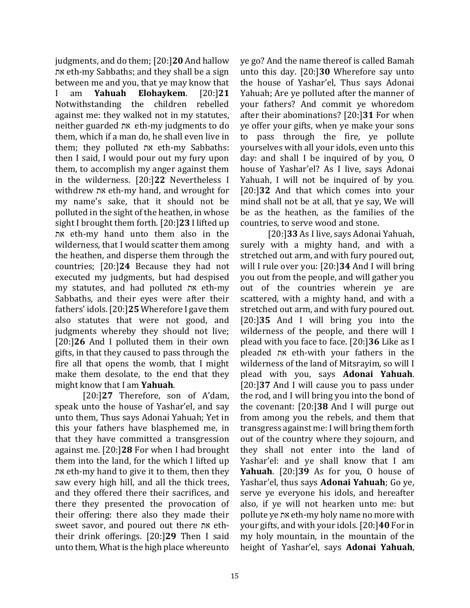judgments, and do them; [20:]**20** And hallow את eth-my Sabbaths; and they shall be a sign between me and you, that ye may know that I am **Yahuah Elohaykem**. [20:]**21** Notwithstanding the children rebelled against me: they walked not in my statutes, neither guarded את eth-my judgments to do them, which if a man do, he shall even live in them; they polluted את eth-my Sabbaths: then I said, I would pour out my fury upon them, to accomplish my anger against them in the wilderness. [20:]**22** Nevertheless I withdrew את eth-my hand, and wrought for my name's sake, that it should not be polluted in the sight of the heathen, in whose sight I brought them forth. [20:]**23** I lifted up את eth-my hand unto them also in the wilderness, that I would scatter them among the heathen, and disperse them through the countries; [20:]**24** Because they had not executed my judgments, but had despised my statutes, and had polluted את eth-my Sabbaths, and their eyes were after their fathers' idols. [20:]**25** Wherefore I gave them also statutes that were not good, and judgments whereby they should not live; [20:]**26** And I polluted them in their own gifts, in that they caused to pass through the fire all that opens the womb, that I might make them desolate, to the end that they might know that I am **Yahuah**.

[20:]**27** Therefore, son of A'dam, speak unto the house of Yashar'el, and say unto them, Thus says Adonai Yahuah; Yet in this your fathers have blasphemed me, in that they have committed a transgression against me. [20:]**28** For when I had brought them into the land, for the which I lifted up את eth-my hand to give it to them, then they saw every high hill, and all the thick trees, and they offered there their sacrifices, and there they presented the provocation of their offering: there also they made their sweet savor, and poured out there את eththeir drink offerings. [20:]**29** Then I said unto them, What is the high place whereunto

ye go? And the name thereof is called Bamah unto this day. [20:]**30** Wherefore say unto the house of Yashar'el, Thus says Adonai Yahuah; Are ye polluted after the manner of your fathers? And commit ye whoredom after their abominations? [20:]**31** For when ye offer your gifts, when ye make your sons to pass through the fire, ye pollute yourselves with all your idols, even unto this day: and shall I be inquired of by you, O house of Yashar'el? As I live, says Adonai Yahuah, I will not be inquired of by you. [20:]**32** And that which comes into your mind shall not be at all, that ye say, We will be as the heathen, as the families of the countries, to serve wood and stone.

[20:]**33** As I live, says Adonai Yahuah, surely with a mighty hand, and with a stretched out arm, and with fury poured out, will I rule over you: [20:]**34** And I will bring you out from the people, and will gather you out of the countries wherein ye are scattered, with a mighty hand, and with a stretched out arm, and with fury poured out. [20:]**35** And I will bring you into the wilderness of the people, and there will I plead with you face to face. [20:]**36** Like as I pleaded את eth-with your fathers in the wilderness of the land of Mitsrayim, so will I plead with you, says **Adonai Yahuah**. [20:]**37** And I will cause you to pass under the rod, and I will bring you into the bond of the covenant: [20:]**38** And I will purge out from among you the rebels, and them that transgress against me: I will bring them forth out of the country where they sojourn, and they shall not enter into the land of Yashar'el: and ye shall know that I am **Yahuah**. [20:]**39** As for you, O house of Yashar'el, thus says **Adonai Yahuah**; Go ye, serve ye everyone his idols, and hereafter also, if ye will not hearken unto me: but pollute ye את eth-my holy name no more with your gifts, and with your idols. [20:]**40** For in my holy mountain, in the mountain of the height of Yashar'el, says **Adonai Yahuah**,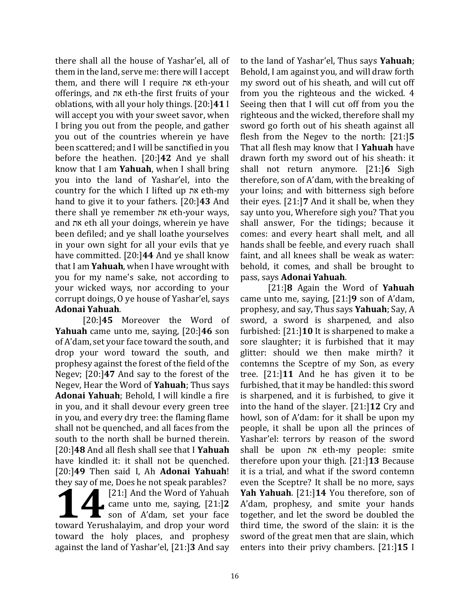there shall all the house of Yashar'el, all of them in the land, serve me: there will I accept them, and there will I require את eth-your offerings, and את eth-the first fruits of your oblations, with all your holy things. [20:]**41** I will accept you with your sweet savor, when I bring you out from the people, and gather you out of the countries wherein ye have been scattered; and I will be sanctified in you before the heathen. [20:]**42** And ye shall know that I am **Yahuah**, when I shall bring you into the land of Yashar'el, into the country for the which I lifted up את eth-my hand to give it to your fathers. [20:]**43** And there shall ye remember את eth-your ways, and את eth all your doings, wherein ye have been defiled; and ye shall loathe yourselves in your own sight for all your evils that ye have committed. [20:]**44** And ye shall know that I am **Yahuah**, when I have wrought with you for my name's sake, not according to your wicked ways, nor according to your corrupt doings, O ye house of Yashar'el, says **Adonai Yahuah**.

[20:]**45** Moreover the Word of **Yahuah** came unto me, saying, [20:]**46** son of A'dam, set your face toward the south, and drop your word toward the south, and prophesy against the forest of the field of the Negev; [20:]**47** And say to the forest of the Negev, Hear the Word of **Yahuah**; Thus says **Adonai Yahuah**; Behold, I will kindle a fire in you, and it shall devour every green tree in you, and every dry tree: the flaming flame shall not be quenched, and all faces from the south to the north shall be burned therein. [20:]**48** And all flesh shall see that I **Yahuah** have kindled it: it shall not be quenched. [20:]**49** Then said I, Ah **Adonai Yahuah**! they say of me, Does he not speak parables?

[21:] And the Word of Yahuah came unto me, saying, [21:]**2** son of A'dam, set your face External Text of Natural Care and Speak parables.<br>
14.1.1 And the Word of Yahuah<br>
14.1.12 son of A'dam, set your face<br>
14.1.12 son of A'dam, set your face<br>
14.1.12 son of A'dam, set your face toward the holy places, and prophesy against the land of Yashar'el, [21:]**3** And say

to the land of Yashar'el, Thus says **Yahuah**; Behold, I am against you, and will draw forth my sword out of his sheath, and will cut off from you the righteous and the wicked. 4 Seeing then that I will cut off from you the righteous and the wicked, therefore shall my sword go forth out of his sheath against all flesh from the Negev to the north: [21:]**5** That all flesh may know that I **Yahuah** have drawn forth my sword out of his sheath: it shall not return anymore. [21:]**6** Sigh therefore, son of A'dam, with the breaking of your loins; and with bitterness sigh before their eyes. [21:]**7** And it shall be, when they say unto you, Wherefore sigh you? That you shall answer, For the tidings; because it comes: and every heart shall melt, and all hands shall be feeble, and every ruach shall faint, and all knees shall be weak as water: behold, it comes, and shall be brought to pass, says **Adonai Yahuah**.

[21:]**8** Again the Word of **Yahuah** came unto me, saying, [21:]**9** son of A'dam, prophesy, and say, Thus says **Yahuah**; Say, A sword, a sword is sharpened, and also furbished: [21:]**10** It is sharpened to make a sore slaughter; it is furbished that it may glitter: should we then make mirth? it contemns the Sceptre of my Son, as every tree. [21:]**11** And he has given it to be furbished, that it may be handled: this sword is sharpened, and it is furbished, to give it into the hand of the slayer. [21:]**12** Cry and howl, son of A'dam: for it shall be upon my people, it shall be upon all the princes of Yashar'el: terrors by reason of the sword shall be upon את eth-my people: smite therefore upon your thigh. [21:]**13** Because it is a trial, and what if the sword contemn even the Sceptre? It shall be no more, says **Yah Yahuah**. [21:]**14** You therefore, son of A'dam, prophesy, and smite your hands together, and let the sword be doubled the third time, the sword of the slain: it is the sword of the great men that are slain, which enters into their privy chambers. [21:]**15** I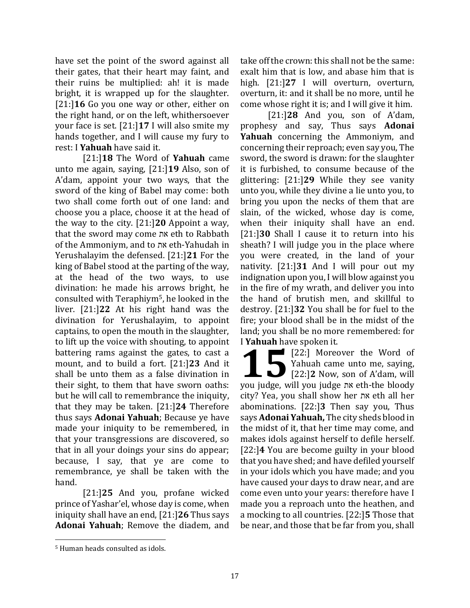have set the point of the sword against all their gates, that their heart may faint, and their ruins be multiplied: ah! it is made bright, it is wrapped up for the slaughter. [21:]**16** Go you one way or other, either on the right hand, or on the left, whithersoever your face is set. [21:]**17** I will also smite my hands together, and I will cause my fury to rest: I **Yahuah** have said it.

[21:]**18** The Word of **Yahuah** came unto me again, saying, [21:]**19** Also, son of A'dam, appoint your two ways, that the sword of the king of Babel may come: both two shall come forth out of one land: and choose you a place, choose it at the head of the way to the city. [21:]**20** Appoint a way, that the sword may come את eth to Rabbath of the Ammoniym, and to את eth-Yahudah in Yerushalayim the defensed. [21:]**21** For the king of Babel stood at the parting of the way, at the head of the two ways, to use divination: he made his arrows bright, he consulted with Teraphiym5, he looked in the liver. [21:]**22** At his right hand was the divination for Yerushalayim, to appoint captains, to open the mouth in the slaughter, to lift up the voice with shouting, to appoint battering rams against the gates, to cast a mount, and to build a fort. [21:]**23** And it shall be unto them as a false divination in their sight, to them that have sworn oaths: but he will call to remembrance the iniquity, that they may be taken. [21:]**24** Therefore thus says **Adonai Yahuah**; Because ye have made your iniquity to be remembered, in that your transgressions are discovered, so that in all your doings your sins do appear; because, I say, that ye are come to remembrance, ye shall be taken with the hand.

[21:]**25** And you, profane wicked prince of Yashar'el, whose day is come, when iniquity shall have an end, [21:]**26** Thus says **Adonai Yahuah**; Remove the diadem, and

take off the crown: this shall not be the same: exalt him that is low, and abase him that is high. [21:]**27** I will overturn, overturn, overturn, it: and it shall be no more, until he come whose right it is; and I will give it him.

[21:]**28** And you, son of A'dam, prophesy and say, Thus says **Adonai Yahuah** concerning the Ammoniym, and concerning their reproach; even say you, The sword, the sword is drawn: for the slaughter it is furbished, to consume because of the glittering: [21:]**29** While they see vanity unto you, while they divine a lie unto you, to bring you upon the necks of them that are slain, of the wicked, whose day is come, when their iniquity shall have an end. [21:]**30** Shall I cause it to return into his sheath? I will judge you in the place where you were created, in the land of your nativity. [21:]**31** And I will pour out my indignation upon you, I will blow against you in the fire of my wrath, and deliver you into the hand of brutish men, and skillful to destroy. [21:]**32** You shall be for fuel to the fire; your blood shall be in the midst of the land; you shall be no more remembered: for I **Yahuah** have spoken it.

[22:] Moreover the Word of Yahuah came unto me, saying, [22:] Moreover the Word of<br>
Yahuah came unto me, saying,<br>
[22:]2 Now, son of A'dam, will way judge with the bloody you judge, will you judge את eth-the bloody city? Yea, you shall show her את eth all her abominations. [22:]**3** Then say you, Thus says **Adonai Yahuah,** The city sheds blood in the midst of it, that her time may come, and makes idols against herself to defile herself. [22:]**4** You are become guilty in your blood that you have shed; and have defiled yourself in your idols which you have made; and you have caused your days to draw near, and are come even unto your years: therefore have I made you a reproach unto the heathen, and a mocking to all countries. [22:]**5** Those that be near, and those that be far from you, shall

<sup>5</sup> Human heads consulted as idols.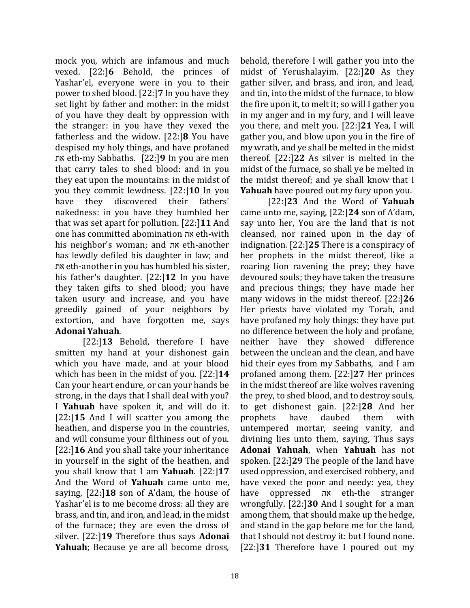mock you, which are infamous and much vexed. [22:]**6** Behold, the princes of Yashar'el, everyone were in you to their power to shed blood. [22:]**7** In you have they set light by father and mother: in the midst of you have they dealt by oppression with the stranger: in you have they vexed the fatherless and the widow. [22:]**8** You have despised my holy things, and have profaned את eth-my Sabbaths. [22:]**9** In you are men that carry tales to shed blood: and in you they eat upon the mountains: in the midst of you they commit lewdness. [22:]**10** In you have they discovered their fathers' nakedness: in you have they humbled her that was set apart for pollution. [22:]**11** And one has committed abomination את eth-with his neighbor's woman; and את eth-another has lewdly defiled his daughter in law; and את eth-another in you has humbled his sister, his father's daughter. [22:]**12** In you have they taken gifts to shed blood; you have taken usury and increase, and you have greedily gained of your neighbors by extortion, and have forgotten me, says **Adonai Yahuah**.

[22:]**13** Behold, therefore I have smitten my hand at your dishonest gain which you have made, and at your blood which has been in the midst of you. [22:]**14** Can your heart endure, or can your hands be strong, in the days that I shall deal with you? I **Yahuah** have spoken it, and will do it. [22:]**15** And I will scatter you among the heathen, and disperse you in the countries, and will consume your filthiness out of you. [22:]**16** And you shall take your inheritance in yourself in the sight of the heathen, and you shall know that I am **Yahuah**. [22:]**17** And the Word of **Yahuah** came unto me, saying, [22:]**18** son of A'dam, the house of Yashar'el is to me become dross: all they are brass, and tin, and iron, and lead, in the midst of the furnace; they are even the dross of silver. [22:]**19** Therefore thus says **Adonai Yahuah**; Because ye are all become dross,

behold, therefore I will gather you into the midst of Yerushalayim. [22:]**20** As they gather silver, and brass, and iron, and lead, and tin, into the midst of the furnace, to blow the fire upon it, to melt it; so will I gather you in my anger and in my fury, and I will leave you there, and melt you. [22:]**21** Yea, I will gather you, and blow upon you in the fire of my wrath, and ye shall be melted in the midst thereof. [22:]**22** As silver is melted in the midst of the furnace, so shall ye be melted in the midst thereof; and ye shall know that I **Yahuah** have poured out my fury upon you.

[22:]**23** And the Word of **Yahuah** came unto me, saying, [22:]**24** son of A'dam, say unto her, You are the land that is not cleansed, nor rained upon in the day of indignation. [22:]**25** There is a conspiracy of her prophets in the midst thereof, like a roaring lion ravening the prey; they have devoured souls; they have taken the treasure and precious things; they have made her many widows in the midst thereof. [22:]**26** Her priests have violated my Torah, and have profaned my holy things: they have put no difference between the holy and profane, neither have they showed difference between the unclean and the clean, and have hid their eyes from my Sabbaths, and I am profaned among them. [22:]**27** Her princes in the midst thereof are like wolves ravening the prey, to shed blood, and to destroy souls, to get dishonest gain. [22:]**28** And her prophets have daubed them with untempered mortar, seeing vanity, and divining lies unto them, saying, Thus says **Adonai Yahuah**, when **Yahuah** has not spoken. [22:]**29** The people of the land have used oppression, and exercised robbery, and have vexed the poor and needy: yea, they have oppressed את eth-the stranger wrongfully. [22:]**30** And I sought for a man among them, that should make up the hedge, and stand in the gap before me for the land, that I should not destroy it: but I found none. [22:]**31** Therefore have I poured out my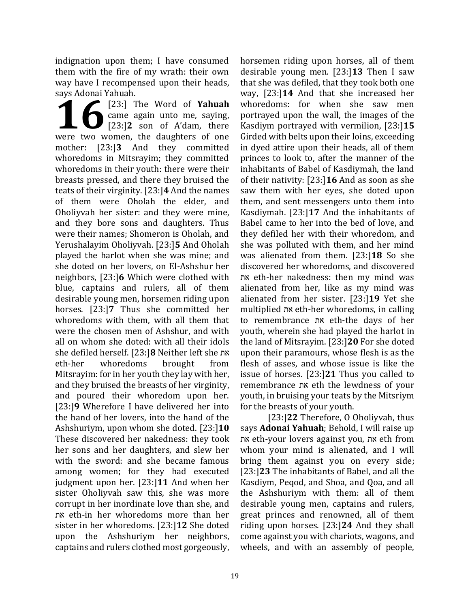indignation upon them; I have consumed them with the fire of my wrath: their own way have I recompensed upon their heads, says Adonai Yahuah.

[23:] The Word of **Yahuah** came again unto me, saying, [23:]**2** son of A'dam, there **168** [23:] The Word of **Yahuah**<br>came again unto me, saying,<br>[23:] Son of A'dam, there<br>were two women, the daughters of one mother: [23:]**3** And they committed whoredoms in Mitsrayim; they committed whoredoms in their youth: there were their breasts pressed, and there they bruised the teats of their virginity. [23:]**4** And the names of them were Oholah the elder, and Oholiyvah her sister: and they were mine, and they bore sons and daughters. Thus were their names; Shomeron is Oholah, and Yerushalayim Oholiyvah. [23:]**5** And Oholah played the harlot when she was mine; and she doted on her lovers, on El-Ashshur her neighbors, [23:]**6** Which were clothed with blue, captains and rulers, all of them desirable young men, horsemen riding upon horses. [23:]**7** Thus she committed her whoredoms with them, with all them that were the chosen men of Ashshur, and with all on whom she doted: with all their idols she defiled herself. [23:]**8** Neither left she את eth-her whoredoms brought from Mitsrayim: for in her youth they lay with her, and they bruised the breasts of her virginity, and poured their whoredom upon her. [23:]**9** Wherefore I have delivered her into the hand of her lovers, into the hand of the Ashshuriym, upon whom she doted. [23:]**10** These discovered her nakedness: they took her sons and her daughters, and slew her with the sword: and she became famous among women; for they had executed judgment upon her. [23:]**11** And when her sister Oholiyvah saw this, she was more corrupt in her inordinate love than she, and את eth-in her whoredoms more than her sister in her whoredoms. [23:]**12** She doted upon the Ashshuriym her neighbors, captains and rulers clothed most gorgeously,

horsemen riding upon horses, all of them desirable young men. [23:]**13** Then I saw that she was defiled, that they took both one way, [23:]**14** And that she increased her whoredoms: for when she saw men portrayed upon the wall, the images of the Kasdiym portrayed with vermilion, [23:]**15** Girded with belts upon their loins, exceeding in dyed attire upon their heads, all of them princes to look to, after the manner of the inhabitants of Babel of Kasdiymah, the land of their nativity: [23:]**16** And as soon as she saw them with her eyes, she doted upon them, and sent messengers unto them into Kasdiymah. [23:]**17** And the inhabitants of Babel came to her into the bed of love, and they defiled her with their whoredom, and she was polluted with them, and her mind was alienated from them. [23:]**18** So she discovered her whoredoms, and discovered את eth-her nakedness: then my mind was alienated from her, like as my mind was alienated from her sister. [23:]**19** Yet she multiplied את eth-her whoredoms, in calling to remembrance את eth-the days of her youth, wherein she had played the harlot in the land of Mitsrayim. [23:]**20** For she doted upon their paramours, whose flesh is as the flesh of asses, and whose issue is like the issue of horses. [23:]**21** Thus you called to remembrance את eth the lewdness of your youth, in bruising your teats by the Mitsriym for the breasts of your youth.

[23:]**22** Therefore, O Oholiyvah, thus says **Adonai Yahuah**; Behold, I will raise up את eth-your lovers against you, את eth from whom your mind is alienated, and I will bring them against you on every side; [23:]**23** The inhabitants of Babel, and all the Kasdiym, Peqod, and Shoa, and Qoa, and all the Ashshuriym with them: all of them desirable young men, captains and rulers, great princes and renowned, all of them riding upon horses. [23:]**24** And they shall come against you with chariots, wagons, and wheels, and with an assembly of people,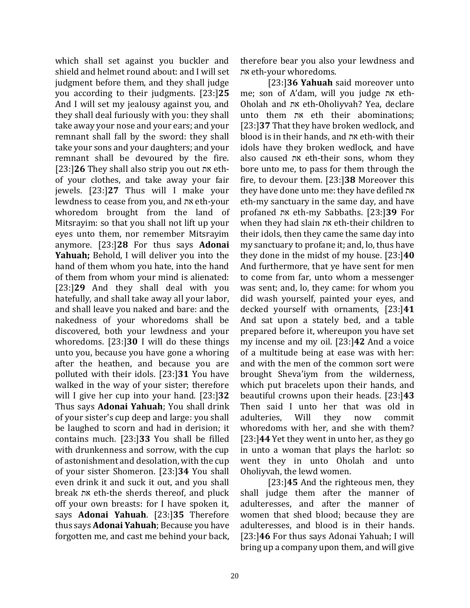which shall set against you buckler and shield and helmet round about: and I will set judgment before them, and they shall judge you according to their judgments. [23:]**25** And I will set my jealousy against you, and they shall deal furiously with you: they shall take away your nose and your ears; and your remnant shall fall by the sword: they shall take your sons and your daughters; and your remnant shall be devoured by the fire. [23:]**26** They shall also strip you out את ethof your clothes, and take away your fair jewels. [23:]**27** Thus will I make your lewdness to cease from you, and את eth-your whoredom brought from the land of Mitsrayim: so that you shall not lift up your eyes unto them, nor remember Mitsrayim anymore. [23:]**28** For thus says **Adonai Yahuah;** Behold, I will deliver you into the hand of them whom you hate, into the hand of them from whom your mind is alienated: [23:]**29** And they shall deal with you hatefully, and shall take away all your labor, and shall leave you naked and bare: and the nakedness of your whoredoms shall be discovered, both your lewdness and your whoredoms. [23:]**30** I will do these things unto you, because you have gone a whoring after the heathen, and because you are polluted with their idols. [23:]**31** You have walked in the way of your sister; therefore will I give her cup into your hand. [23:]**32** Thus says **Adonai Yahuah**; You shall drink of your sister's cup deep and large: you shall be laughed to scorn and had in derision; it contains much. [23:]**33** You shall be filled with drunkenness and sorrow, with the cup of astonishment and desolation, with the cup of your sister Shomeron. [23:]**34** You shall even drink it and suck it out, and you shall break את eth-the sherds thereof, and pluck off your own breasts: for I have spoken it, says **Adonai Yahuah**. [23:]**35** Therefore thus says **Adonai Yahuah**; Because you have forgotten me, and cast me behind your back,

therefore bear you also your lewdness and את eth-your whoredoms.

[23:]**36 Yahuah** said moreover unto me; son of A'dam, will you judge את eth-Oholah and את eth-Oholiyvah? Yea, declare unto them את eth their abominations; [23:]**37** That they have broken wedlock, and blood is in their hands, and את eth-with their idols have they broken wedlock, and have also caused את eth-their sons, whom they bore unto me, to pass for them through the fire, to devour them. [23:]**38** Moreover this they have done unto me: they have defiled את eth-my sanctuary in the same day, and have profaned את eth-my Sabbaths. [23:]**39** For when they had slain את eth-their children to their idols, then they came the same day into my sanctuary to profane it; and, lo, thus have they done in the midst of my house. [23:]**40** And furthermore, that ye have sent for men to come from far, unto whom a messenger was sent; and, lo, they came: for whom you did wash yourself, painted your eyes, and decked yourself with ornaments, [23:]**41** And sat upon a stately bed, and a table prepared before it, whereupon you have set my incense and my oil. [23:]**42** And a voice of a multitude being at ease was with her: and with the men of the common sort were brought Sheva'iym from the wilderness, which put bracelets upon their hands, and beautiful crowns upon their heads. [23:]**43**  Then said I unto her that was old in adulteries, Will they now commit whoredoms with her, and she with them? [23:]**44** Yet they went in unto her, as they go in unto a woman that plays the harlot: so went they in unto Oholah and unto Oholiyvah, the lewd women.

[23:]**45** And the righteous men, they shall judge them after the manner of adulteresses, and after the manner of women that shed blood; because they are adulteresses, and blood is in their hands. [23:]**46** For thus says Adonai Yahuah; I will bring up a company upon them, and will give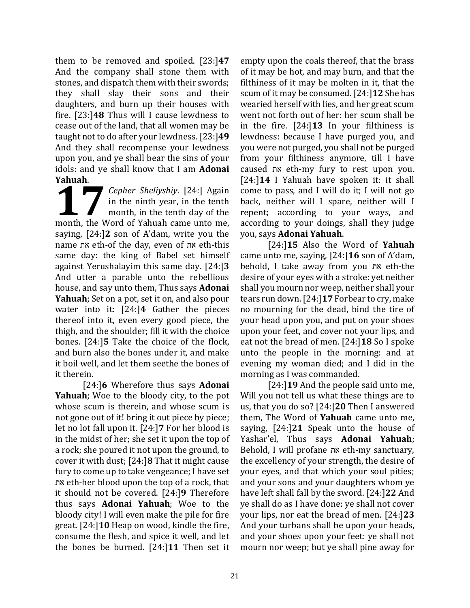them to be removed and spoiled. [23:]**47** And the company shall stone them with stones, and dispatch them with their swords; they shall slay their sons and their daughters, and burn up their houses with fire. [23:]**48** Thus will I cause lewdness to cease out of the land, that all women may be taught not to do after your lewdness. [23:]**49**  And they shall recompense your lewdness upon you, and ye shall bear the sins of your idols: and ye shall know that I am **Adonai Yahuah**.

*Cepher Sheliyshiy*. [24:] Again in the ninth year, in the tenth month, in the tenth day of the **1998** Cepher Sheliyshiy. [24:] Again<br>
in the ninth year, in the tenth<br>
month, the Word of Yahuah came unto me, saying, [24:]**2** son of A'dam, write you the name את eth-of the day, even of את eth-this same day: the king of Babel set himself against Yerushalayim this same day. [24:]**3** And utter a parable unto the rebellious house, and say unto them, Thus says **Adonai Yahuah**; Set on a pot, set it on, and also pour water into it: [24:]**4** Gather the pieces thereof into it, even every good piece, the thigh, and the shoulder; fill it with the choice bones. [24:]**5** Take the choice of the flock, and burn also the bones under it, and make it boil well, and let them seethe the bones of it therein.

[24:]**6** Wherefore thus says **Adonai Yahuah**; Woe to the bloody city, to the pot whose scum is therein, and whose scum is not gone out of it! bring it out piece by piece; let no lot fall upon it. [24:]**7** For her blood is in the midst of her; she set it upon the top of a rock; she poured it not upon the ground, to cover it with dust; [24:]**8** That it might cause fury to come up to take vengeance; I have set את eth-her blood upon the top of a rock, that it should not be covered. [24:]**9** Therefore thus says **Adonai Yahuah**; Woe to the bloody city! I will even make the pile for fire great. [24:]**10** Heap on wood, kindle the fire, consume the flesh, and spice it well, and let the bones be burned. [24:]**11** Then set it

empty upon the coals thereof, that the brass of it may be hot, and may burn, and that the filthiness of it may be molten in it, that the scum of it may be consumed. [24:]**12** She has wearied herself with lies, and her great scum went not forth out of her: her scum shall be in the fire. [24:]**13** In your filthiness is lewdness: because I have purged you, and you were not purged, you shall not be purged from your filthiness anymore, till I have caused את eth-my fury to rest upon you. [24:]**14** I Yahuah have spoken it: it shall come to pass, and I will do it; I will not go back, neither will I spare, neither will I repent; according to your ways, and according to your doings, shall they judge you, says **Adonai Yahuah**.

[24:]**15** Also the Word of **Yahuah** came unto me, saying, [24:]**16** son of A'dam, behold, I take away from you את eth-the desire of your eyes with a stroke: yet neither shall you mourn nor weep, neither shall your tears run down. [24:]**17** Forbear to cry, make no mourning for the dead, bind the tire of your head upon you, and put on your shoes upon your feet, and cover not your lips, and eat not the bread of men. [24:]**18** So I spoke unto the people in the morning: and at evening my woman died; and I did in the morning as I was commanded.

[24:]**19** And the people said unto me, Will you not tell us what these things are to us, that you do so? [24:]**20** Then I answered them, The Word of **Yahuah** came unto me, saying, [24:]**21** Speak unto the house of Yashar'el, Thus says **Adonai Yahuah**; Behold, I will profane את eth-my sanctuary, the excellency of your strength, the desire of your eyes, and that which your soul pities; and your sons and your daughters whom ye have left shall fall by the sword. [24:]**22** And ye shall do as I have done: ye shall not cover your lips, nor eat the bread of men. [24:]**23**  And your turbans shall be upon your heads, and your shoes upon your feet: ye shall not mourn nor weep; but ye shall pine away for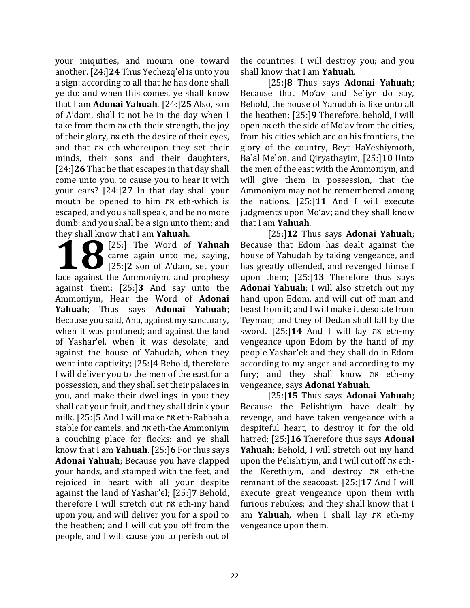your iniquities, and mourn one toward another. [24:]**24** Thus Yechezq'el is unto you a sign: according to all that he has done shall ye do: and when this comes, ye shall know that I am **Adonai Yahuah**. [24:]**25** Also, son of A'dam, shall it not be in the day when I take from them את eth-their strength, the joy of their glory, את eth-the desire of their eyes, and that את eth-whereupon they set their minds, their sons and their daughters, [24:]**26** That he that escapes in that day shall come unto you, to cause you to hear it with your ears? [24:]**27** In that day shall your mouth be opened to him את eth-which is escaped, and you shall speak, and be no more dumb: and you shall be a sign unto them; and they shall know that I am **Yahuah**.

[25:] The Word of **Yahuah** came again unto me, saying, [25:]**2** son of A'dam, set your **1889** [25:] The Word of Yahuah<br>came again unto me, saying,<br>[25:] The Word of Yahuah<br>[25:] Son of A'dam, set your<br>face against the Ammoniym, and prophesy against them; [25:]**3** And say unto the Ammoniym, Hear the Word of **Adonai Yahuah**; Thus says **Adonai Yahuah**; Because you said, Aha, against my sanctuary, when it was profaned; and against the land of Yashar'el, when it was desolate; and against the house of Yahudah, when they went into captivity; [25:]**4** Behold, therefore I will deliver you to the men of the east for a possession, and they shall set their palaces in you, and make their dwellings in you: they shall eat your fruit, and they shall drink your milk. [25:]**5** And I will make את eth-Rabbah a stable for camels, and את eth-the Ammoniym a couching place for flocks: and ye shall know that I am **Yahuah**. [25:]**6** For thus says **Adonai Yahuah**; Because you have clapped your hands, and stamped with the feet, and rejoiced in heart with all your despite against the land of Yashar'el; [25:]**7** Behold, therefore I will stretch out את eth-my hand upon you, and will deliver you for a spoil to the heathen; and I will cut you off from the people, and I will cause you to perish out of

the countries: I will destroy you; and you shall know that I am **Yahuah**.

[25:]**8** Thus says **Adonai Yahuah**; Because that Mo'av and Se`iyr do say, Behold, the house of Yahudah is like unto all the heathen; [25:]**9** Therefore, behold, I will open את eth-the side of Mo'av from the cities, from his cities which are on his frontiers, the glory of the country, Beyt HaYeshiymoth, Ba`al Me`on, and Qiryathayim, [25:]**10** Unto the men of the east with the Ammoniym, and will give them in possession, that the Ammoniym may not be remembered among the nations. [25:]**11** And I will execute judgments upon Mo'av; and they shall know that I am **Yahuah**.

[25:]**12** Thus says **Adonai Yahuah**; Because that Edom has dealt against the house of Yahudah by taking vengeance, and has greatly offended, and revenged himself upon them; [25:]**13** Therefore thus says **Adonai Yahuah**; I will also stretch out my hand upon Edom, and will cut off man and beast from it; and I will make it desolate from Teyman; and they of Dedan shall fall by the sword. [25:]**14** And I will lay את eth-my vengeance upon Edom by the hand of my people Yashar'el: and they shall do in Edom according to my anger and according to my fury; and they shall know את eth-my vengeance, says **Adonai Yahuah**.

[25:]**15** Thus says **Adonai Yahuah**; Because the Pelishtiym have dealt by revenge, and have taken vengeance with a despiteful heart, to destroy it for the old hatred; [25:]**16** Therefore thus says **Adonai Yahuah**; Behold, I will stretch out my hand upon the Pelishtiym, and I will cut off את eththe Kerethiym, and destroy את eth-the remnant of the seacoast. [25:]**17** And I will execute great vengeance upon them with furious rebukes; and they shall know that I am **Yahuah**, when I shall lay את eth-my vengeance upon them.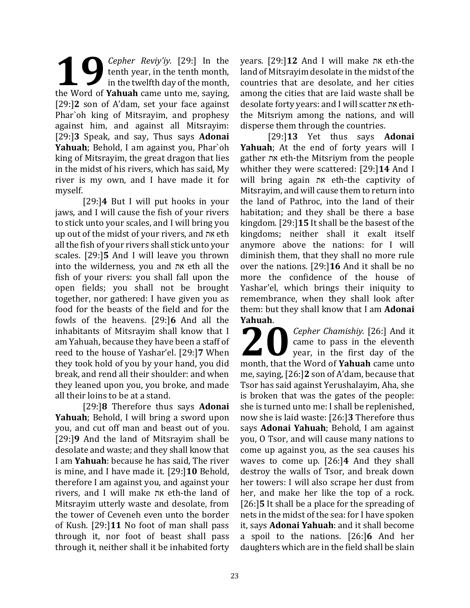*Cepher Reviy'iy.* [29:] In the tenth year, in the tenth month, in the twelfth day of the month, **1** Cepher Reviy'iy. [29:] In the tenth year, in the tenth month, in the twelfth day of the month, the Word of **Yahuah** came unto me, saying, [29:]**2** son of A'dam, set your face against Phar`oh king of Mitsrayim, and prophesy against him, and against all Mitsrayim: [29:]**3** Speak, and say, Thus says **Adonai Yahuah**; Behold, I am against you, Phar`oh king of Mitsrayim, the great dragon that lies in the midst of his rivers, which has said, My river is my own, and I have made it for myself.

[29:]**4** But I will put hooks in your jaws, and I will cause the fish of your rivers to stick unto your scales, and I will bring you up out of the midst of your rivers, and את eth all the fish of your rivers shall stick unto your scales. [29:]**5** And I will leave you thrown into the wilderness, you and את eth all the fish of your rivers: you shall fall upon the open fields; you shall not be brought together, nor gathered: I have given you as food for the beasts of the field and for the fowls of the heavens. [29:]**6** And all the inhabitants of Mitsrayim shall know that I am Yahuah, because they have been a staff of reed to the house of Yashar'el. [29:]**7** When they took hold of you by your hand, you did break, and rend all their shoulder: and when they leaned upon you, you broke, and made all their loins to be at a stand.

[29:]**8** Therefore thus says **Adonai Yahuah**; Behold, I will bring a sword upon you, and cut off man and beast out of you. [29:]**9** And the land of Mitsrayim shall be desolate and waste; and they shall know that I am **Yahuah**: because he has said, The river is mine, and I have made it. [29:]**10** Behold, therefore I am against you, and against your rivers, and I will make את eth-the land of Mitsrayim utterly waste and desolate, from the tower of Ceveneh even unto the border of Kush. [29:]**11** No foot of man shall pass through it, nor foot of beast shall pass through it, neither shall it be inhabited forty years. [29:]**12** And I will make את eth-the land of Mitsrayim desolate in the midst of the countries that are desolate, and her cities among the cities that are laid waste shall be desolate forty years: and I will scatter את eththe Mitsriym among the nations, and will disperse them through the countries.

[29:]**13** Yet thus says **Adonai Yahuah**; At the end of forty years will I gather את eth-the Mitsriym from the people whither they were scattered: [29:]**14** And I will bring again את eth-the captivity of Mitsrayim, and will cause them to return into the land of Pathroc, into the land of their habitation; and they shall be there a base kingdom. [29:]**15** It shall be the basest of the kingdoms; neither shall it exalt itself anymore above the nations: for I will diminish them, that they shall no more rule over the nations. [29:]**16** And it shall be no more the confidence of the house of Yashar'el, which brings their iniquity to remembrance, when they shall look after them: but they shall know that I am **Adonai Yahuah**.

*Cepher Chamishiy.* [26:] And it came to pass in the eleventh year, in the first day of the **2008** Cepher Chamishiy. [26:] And it came to pass in the eleventh year, in the first day of the month, that the Word of **Yahuah** came unto me, saying, [26:]**2** son of A'dam, because that Tsor has said against Yerushalayim, Aha, she is broken that was the gates of the people: she is turned unto me: I shall be replenished, now she is laid waste: [26:]**3** Therefore thus says **Adonai Yahuah**; Behold, I am against you, O Tsor, and will cause many nations to come up against you, as the sea causes his waves to come up. [26:]**4** And they shall destroy the walls of Tsor, and break down her towers: I will also scrape her dust from her, and make her like the top of a rock. [26:]**5** It shall be a place for the spreading of nets in the midst of the sea: for I have spoken it, says **Adonai Yahuah**: and it shall become a spoil to the nations. [26:]**6** And her daughters which are in the field shall be slain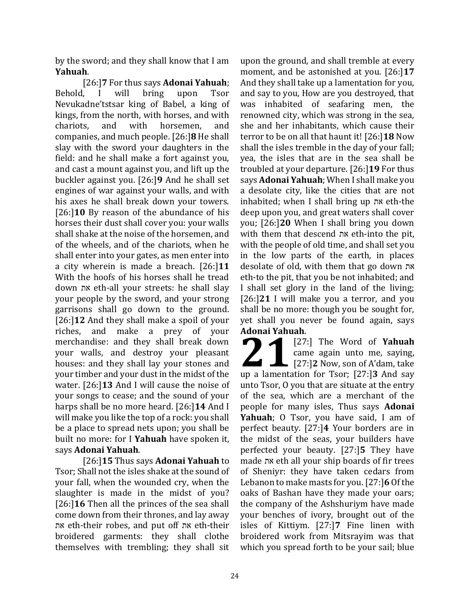by the sword; and they shall know that I am **Yahuah**.

[26:]**7** For thus says **Adonai Yahuah**; Behold, I will bring upon Tsor Nevukadne'tstsar king of Babel, a king of kings, from the north, with horses, and with chariots, and with horsemen, and companies, and much people. [26:]**8** He shall slay with the sword your daughters in the field: and he shall make a fort against you, and cast a mount against you, and lift up the buckler against you. [26:]**9** And he shall set engines of war against your walls, and with his axes he shall break down your towers. [26:]**10** By reason of the abundance of his horses their dust shall cover you: your walls shall shake at the noise of the horsemen, and of the wheels, and of the chariots, when he shall enter into your gates, as men enter into a city wherein is made a breach. [26:]**11** With the hoofs of his horses shall he tread down את eth-all your streets: he shall slay your people by the sword, and your strong garrisons shall go down to the ground. [26:]**12** And they shall make a spoil of your riches, and make a prey of your merchandise: and they shall break down your walls, and destroy your pleasant houses: and they shall lay your stones and your timber and your dust in the midst of the water. [26:]**13** And I will cause the noise of your songs to cease; and the sound of your harps shall be no more heard. [26:]**14** And I will make you like the top of a rock: you shall be a place to spread nets upon; you shall be built no more: for I **Yahuah** have spoken it, says **Adonai Yahuah**.

[26:]**15** Thus says **Adonai Yahuah** to Tsor; Shall not the isles shake at the sound of your fall, when the wounded cry, when the slaughter is made in the midst of you? [26:]**16** Then all the princes of the sea shall come down from their thrones, and lay away את eth-their robes, and put off את eth-their broidered garments: they shall clothe themselves with trembling; they shall sit

upon the ground, and shall tremble at every moment, and be astonished at you. [26:]**17** And they shall take up a lamentation for you, and say to you, How are you destroyed, that was inhabited of seafaring men, the renowned city, which was strong in the sea, she and her inhabitants, which cause their terror to be on all that haunt it! [26:]**18** Now shall the isles tremble in the day of your fall; yea, the isles that are in the sea shall be troubled at your departure. [26:]**19** For thus says **Adonai Yahuah**; When I shall make you a desolate city, like the cities that are not inhabited; when I shall bring up את eth-the deep upon you, and great waters shall cover you; [26:]**20** When I shall bring you down with them that descend את eth-into the pit, with the people of old time, and shall set you in the low parts of the earth, in places desolate of old, with them that go down את eth-to the pit, that you be not inhabited; and I shall set glory in the land of the living; [26:]**21** I will make you a terror, and you shall be no more: though you be sought for, yet shall you never be found again, says **Adonai Yahuah**.

[27:] The Word of **Yahuah** came again unto me, saying, [27:]**2** Now, son of A'dam, take **21** [27:] The Word of **Yahuah**<br>came again unto me, saying,<br>[27:]2 Now, son of A'dam, take<br>up a lamentation for Tsor; [27:]3 And say unto Tsor, O you that are situate at the entry of the sea, which are a merchant of the people for many isles, Thus says **Adonai Yahuah**; O Tsor, you have said, I am of perfect beauty. [27:]**4** Your borders are in the midst of the seas, your builders have perfected your beauty. [27:]**5** They have made את eth all your ship boards of fir trees of Sheniyr: they have taken cedars from Lebanon to make masts for you. [27:]**6** Of the oaks of Bashan have they made your oars; the company of the Ashshuriym have made your benches of ivory, brought out of the isles of Kittiym. [27:]**7** Fine linen with broidered work from Mitsrayim was that which you spread forth to be your sail; blue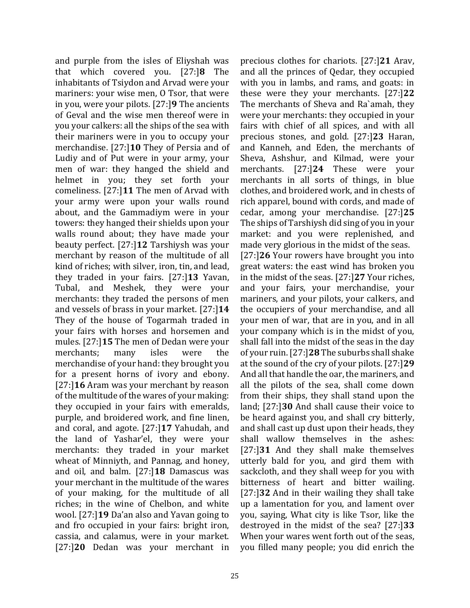and purple from the isles of Eliyshah was that which covered you. [27:]**8** The inhabitants of Tsiydon and Arvad were your mariners: your wise men, O Tsor, that were in you, were your pilots. [27:]**9** The ancients of Geval and the wise men thereof were in you your calkers: all the ships of the sea with their mariners were in you to occupy your merchandise. [27:]**10** They of Persia and of Ludiy and of Put were in your army, your men of war: they hanged the shield and helmet in you; they set forth your comeliness. [27:]**11** The men of Arvad with your army were upon your walls round about, and the Gammadiym were in your towers: they hanged their shields upon your walls round about; they have made your beauty perfect. [27:]**12** Tarshiysh was your merchant by reason of the multitude of all kind of riches; with silver, iron, tin, and lead, they traded in your fairs. [27:]**13** Yavan, Tubal, and Meshek, they were your merchants: they traded the persons of men and vessels of brass in your market. [27:]**14** They of the house of Togarmah traded in your fairs with horses and horsemen and mules. [27:]**15** The men of Dedan were your merchants; many isles were the merchandise of your hand: they brought you for a present horns of ivory and ebony. [27:]**16** Aram was your merchant by reason of the multitude of the wares of your making: they occupied in your fairs with emeralds, purple, and broidered work, and fine linen, and coral, and agote. [27:]**17** Yahudah, and the land of Yashar'el, they were your merchants: they traded in your market wheat of Minniyth, and Pannag, and honey, and oil, and balm. [27:]**18** Damascus was your merchant in the multitude of the wares of your making, for the multitude of all riches; in the wine of Chelbon, and white wool. [27:]**19** Da'an also and Yavan going to and fro occupied in your fairs: bright iron, cassia, and calamus, were in your market. [27:]**20** Dedan was your merchant in

precious clothes for chariots. [27:]**21** Arav, and all the princes of Qedar, they occupied with you in lambs, and rams, and goats: in these were they your merchants. [27:]**22** The merchants of Sheva and Ra`amah, they were your merchants: they occupied in your fairs with chief of all spices, and with all precious stones, and gold. [27:]**23** Haran, and Kanneh, and Eden, the merchants of Sheva, Ashshur, and Kilmad, were your merchants. [27:]**24** These were your merchants in all sorts of things, in blue clothes, and broidered work, and in chests of rich apparel, bound with cords, and made of cedar, among your merchandise. [27:]**25**  The ships of Tarshiysh did sing of you in your market: and you were replenished, and made very glorious in the midst of the seas. [27:]**26** Your rowers have brought you into great waters: the east wind has broken you in the midst of the seas. [27:]**27** Your riches, and your fairs, your merchandise, your mariners, and your pilots, your calkers, and the occupiers of your merchandise, and all your men of war, that are in you, and in all your company which is in the midst of you, shall fall into the midst of the seas in the day of your ruin. [27:]**28** The suburbs shall shake at the sound of the cry of your pilots. [27:]**29** And all that handle the oar, the mariners, and all the pilots of the sea, shall come down from their ships, they shall stand upon the land; [27:]**30** And shall cause their voice to be heard against you, and shall cry bitterly, and shall cast up dust upon their heads, they shall wallow themselves in the ashes: [27:]**31** And they shall make themselves utterly bald for you, and gird them with sackcloth, and they shall weep for you with bitterness of heart and bitter wailing. [27:]**32** And in their wailing they shall take up a lamentation for you, and lament over you, saying, What city is like Tsor, like the destroyed in the midst of the sea? [27:]**33** When your wares went forth out of the seas, you filled many people; you did enrich the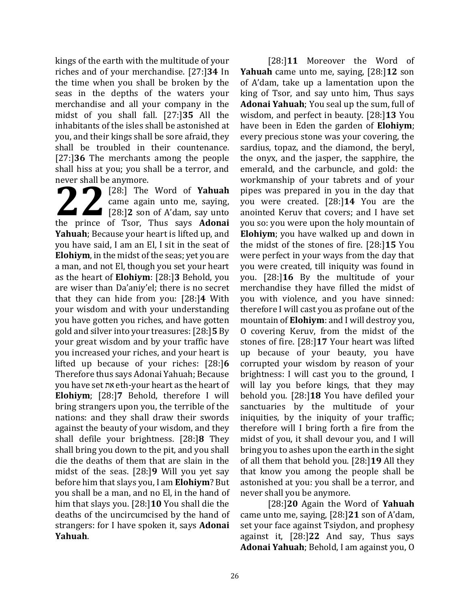kings of the earth with the multitude of your riches and of your merchandise. [27:]**34** In the time when you shall be broken by the seas in the depths of the waters your merchandise and all your company in the midst of you shall fall. [27:]**35** All the inhabitants of the isles shall be astonished at you, and their kings shall be sore afraid, they shall be troubled in their countenance. [27:]**36** The merchants among the people shall hiss at you; you shall be a terror, and never shall be anymore.

[28:] The Word of **Yahuah** came again unto me, saying, [28:]**2** son of A'dam, say unto **22** [28:] The Word of Yahuah<br>came again unto me, saying,<br>[28:]2 son of A'dam, say unto<br>the prince of Tsor, Thus says **Adonai Yahuah**; Because your heart is lifted up, and you have said, I am an El, I sit in the seat of **Elohiym**, in the midst of the seas; yet you are a man, and not El, though you set your heart as the heart of **Elohiym**: [28:]**3** Behold, you are wiser than Da'aniy'el; there is no secret that they can hide from you: [28:]**4** With your wisdom and with your understanding you have gotten you riches, and have gotten gold and silver into your treasures: [28:]**5** By your great wisdom and by your traffic have you increased your riches, and your heart is lifted up because of your riches: [28:]**6**  Therefore thus says Adonai Yahuah; Because you have set את eth-your heart as the heart of **Elohiym**; [28:]**7** Behold, therefore I will bring strangers upon you, the terrible of the nations: and they shall draw their swords against the beauty of your wisdom, and they shall defile your brightness. [28:]**8** They shall bring you down to the pit, and you shall die the deaths of them that are slain in the midst of the seas. [28:]**9** Will you yet say before him that slays you, I am **Elohiym**? But you shall be a man, and no El, in the hand of him that slays you. [28:]**10** You shall die the deaths of the uncircumcised by the hand of strangers: for I have spoken it, says **Adonai Yahuah**.

[28:]**11** Moreover the Word of **Yahuah** came unto me, saying, [28:]**12** son of A'dam, take up a lamentation upon the king of Tsor, and say unto him, Thus says **Adonai Yahuah**; You seal up the sum, full of wisdom, and perfect in beauty. [28:]**13** You have been in Eden the garden of **Elohiym**; every precious stone was your covering, the sardius, topaz, and the diamond, the beryl, the onyx, and the jasper, the sapphire, the emerald, and the carbuncle, and gold: the workmanship of your tabrets and of your pipes was prepared in you in the day that you were created. [28:]**14** You are the anointed Keruv that covers; and I have set you so: you were upon the holy mountain of **Elohiym**; you have walked up and down in the midst of the stones of fire. [28:]**15** You were perfect in your ways from the day that you were created, till iniquity was found in you. [28:]**16** By the multitude of your merchandise they have filled the midst of you with violence, and you have sinned: therefore I will cast you as profane out of the mountain of **Elohiym**: and I will destroy you, O covering Keruv, from the midst of the stones of fire. [28:]**17** Your heart was lifted up because of your beauty, you have corrupted your wisdom by reason of your brightness: I will cast you to the ground, I will lay you before kings, that they may behold you. [28:]**18** You have defiled your sanctuaries by the multitude of your iniquities, by the iniquity of your traffic; therefore will I bring forth a fire from the midst of you, it shall devour you, and I will bring you to ashes upon the earth in the sight of all them that behold you. [28:]**19** All they that know you among the people shall be astonished at you: you shall be a terror, and never shall you be anymore.

[28:]**20** Again the Word of **Yahuah** came unto me, saying, [28:]**21** son of A'dam, set your face against Tsiydon, and prophesy against it, [28:]**22** And say, Thus says **Adonai Yahuah**; Behold, I am against you, O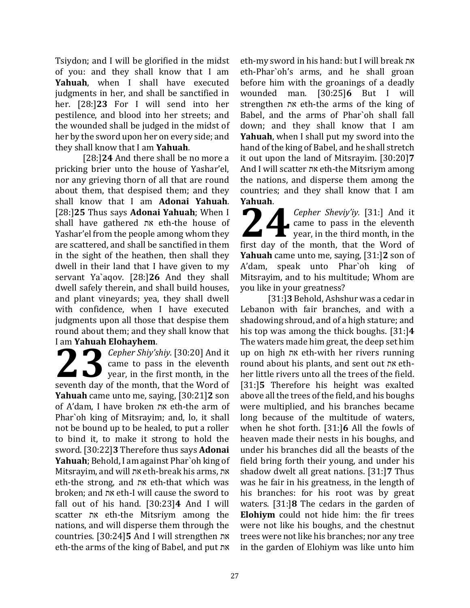Tsiydon; and I will be glorified in the midst of you: and they shall know that I am **Yahuah**, when I shall have executed judgments in her, and shall be sanctified in her. [28:]**23** For I will send into her pestilence, and blood into her streets; and the wounded shall be judged in the midst of her by the sword upon her on every side; and they shall know that I am **Yahuah**.

[28:]**24** And there shall be no more a pricking brier unto the house of Yashar'el, nor any grieving thorn of all that are round about them, that despised them; and they shall know that I am **Adonai Yahuah**. [28:]**25** Thus says **Adonai Yahuah**; When I shall have gathered את eth-the house of Yashar'el from the people among whom they are scattered, and shall be sanctified in them in the sight of the heathen, then shall they dwell in their land that I have given to my servant Ya`aqov. [28:]**26** And they shall dwell safely therein, and shall build houses, and plant vineyards; yea, they shall dwell with confidence, when I have executed judgments upon all those that despise them round about them; and they shall know that I am **Yahuah Elohayhem**.

*Cepher Shiy'shiy.* [30:20] And it came to pass in the eleventh year, in the first month, in the **23** *Cepher Shiy'shiy.* [30:20] And it came to pass in the eleventh year, in the first month, in the seventh day of the month, that the Word of **Yahuah** came unto me, saying, [30:21]**2** son of A'dam, I have broken את eth-the arm of Phar`oh king of Mitsrayim; and, lo, it shall not be bound up to be healed, to put a roller to bind it, to make it strong to hold the sword. [30:22]**3** Therefore thus says **Adonai Yahuah**; Behold, I am against Phar`oh king of Mitsrayim, and will את eth-break his arms, את eth-the strong, and את eth-that which was broken; and את eth-I will cause the sword to fall out of his hand. [30:23]**4** And I will scatter את eth-the Mitsriym among the nations, and will disperse them through the countries. [30:24]**5** And I will strengthen את eth-the arms of the king of Babel, and put את

eth-my sword in his hand: but I will break את eth-Phar`oh's arms, and he shall groan before him with the groanings of a deadly wounded man. [30:25]**6** But I will strengthen את eth-the arms of the king of Babel, and the arms of Phar`oh shall fall down; and they shall know that I am **Yahuah**, when I shall put my sword into the hand of the king of Babel, and he shall stretch it out upon the land of Mitsrayim. [30:20]**7** And I will scatter את eth-the Mitsriym among the nations, and disperse them among the countries; and they shall know that I am **Yahuah**.

*Cepher Sheviy'iy.* [31:] And it came to pass in the eleventh  $\blacksquare$  year, in the third month, in the **224** Cepher Sheviy'iy. [31:] And it came to pass in the eleventh year, in the third month, in the first day of the month, that the Word of **Yahuah** came unto me, saying, [31:]**2** son of A'dam, speak unto Phar`oh king of Mitsrayim, and to his multitude; Whom are you like in your greatness?

[31:]**3** Behold, Ashshur was a cedar in Lebanon with fair branches, and with a shadowing shroud, and of a high stature; and his top was among the thick boughs. [31:]**4** The waters made him great, the deep set him up on high את eth-with her rivers running round about his plants, and sent out את ethher little rivers unto all the trees of the field. [31:]**5** Therefore his height was exalted above all the trees of the field, and his boughs were multiplied, and his branches became long because of the multitude of waters, when he shot forth. [31:]**6** All the fowls of heaven made their nests in his boughs, and under his branches did all the beasts of the field bring forth their young, and under his shadow dwelt all great nations. [31:]**7** Thus was he fair in his greatness, in the length of his branches: for his root was by great waters. [31:]**8** The cedars in the garden of **Elohiym** could not hide him: the fir trees were not like his boughs, and the chestnut trees were not like his branches; nor any tree in the garden of Elohiym was like unto him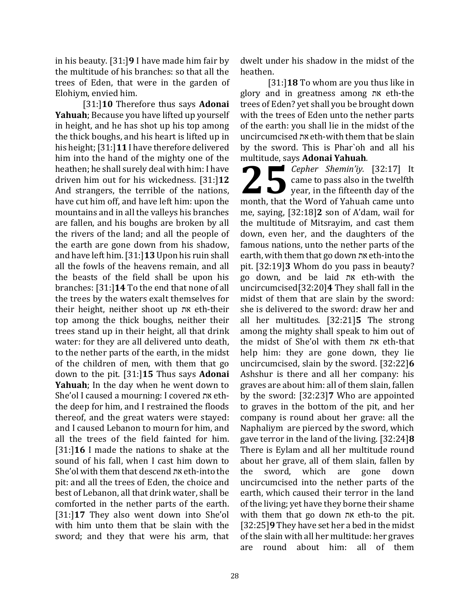in his beauty. [31:]**9** I have made him fair by the multitude of his branches: so that all the trees of Eden, that were in the garden of Elohiym, envied him.

[31:]**10** Therefore thus says **Adonai Yahuah**; Because you have lifted up yourself in height, and he has shot up his top among the thick boughs, and his heart is lifted up in his height; [31:]**11** I have therefore delivered him into the hand of the mighty one of the heathen; he shall surely deal with him: I have driven him out for his wickedness. [31:]**12**  And strangers, the terrible of the nations, have cut him off, and have left him: upon the mountains and in all the valleys his branches are fallen, and his boughs are broken by all the rivers of the land; and all the people of the earth are gone down from his shadow, and have left him. [31:]**13** Upon his ruin shall all the fowls of the heavens remain, and all the beasts of the field shall be upon his branches: [31:]**14** To the end that none of all the trees by the waters exalt themselves for their height, neither shoot up את eth-their top among the thick boughs, neither their trees stand up in their height, all that drink water: for they are all delivered unto death, to the nether parts of the earth, in the midst of the children of men, with them that go down to the pit. [31:]**15** Thus says **Adonai Yahuah**; In the day when he went down to She'ol I caused a mourning: I covered את eththe deep for him, and I restrained the floods thereof, and the great waters were stayed: and I caused Lebanon to mourn for him, and all the trees of the field fainted for him. [31:]**16** I made the nations to shake at the sound of his fall, when I cast him down to She'ol with them that descend את eth-into the pit: and all the trees of Eden, the choice and best of Lebanon, all that drink water, shall be comforted in the nether parts of the earth. [31:]**17** They also went down into She'ol with him unto them that be slain with the sword; and they that were his arm, that

dwelt under his shadow in the midst of the heathen.

[31:]**18** To whom are you thus like in glory and in greatness among את eth-the trees of Eden? yet shall you be brought down with the trees of Eden unto the nether parts of the earth: you shall lie in the midst of the uncircumcised את eth-with them that be slain by the sword. This is Phar`oh and all his multitude, says **Adonai Yahuah**.

*Cepher Shemin'iy.* [32:17] It came to pass also in the twelfth **25** *Cepher Shemin'iy.* [32:17] It<br>came to pass also in the twelfth<br>year, in the fifteenth day of the month, that the Word of Yahuah came unto me, saying, [32:18]**2** son of A'dam, wail for the multitude of Mitsrayim, and cast them down, even her, and the daughters of the famous nations, unto the nether parts of the earth, with them that go down את eth-into the pit. [32:19]**3** Whom do you pass in beauty? go down, and be laid את eth-with the uncircumcised[32:20]**4** They shall fall in the midst of them that are slain by the sword: she is delivered to the sword: draw her and all her multitudes. [32:21]**5** The strong among the mighty shall speak to him out of the midst of She'ol with them את eth-that help him: they are gone down, they lie uncircumcised, slain by the sword. [32:22]**6** Ashshur is there and all her company: his graves are about him: all of them slain, fallen by the sword: [32:23]**7** Who are appointed to graves in the bottom of the pit, and her company is round about her grave: all the Naphaliym are pierced by the sword, which gave terror in the land of the living. [32:24]**8** There is Eylam and all her multitude round about her grave, all of them slain, fallen by the sword, which are gone down uncircumcised into the nether parts of the earth, which caused their terror in the land of the living; yet have they borne their shame with them that go down את eth-to the pit. [32:25]**9** They have set her a bed in the midst of the slain with all her multitude: her graves are round about him: all of them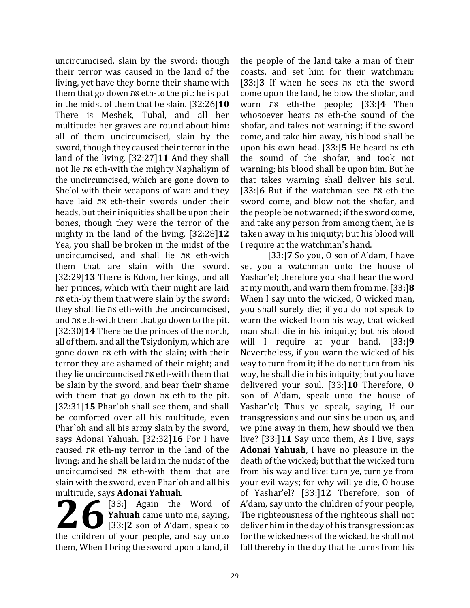uncircumcised, slain by the sword: though their terror was caused in the land of the living, yet have they borne their shame with them that go down את eth-to the pit: he is put in the midst of them that be slain. [32:26]**10** There is Meshek, Tubal, and all her multitude: her graves are round about him: all of them uncircumcised, slain by the sword, though they caused their terror in the land of the living. [32:27]**11** And they shall not lie את eth-with the mighty Naphaliym of the uncircumcised, which are gone down to She'ol with their weapons of war: and they have laid את eth-their swords under their heads, but their iniquities shall be upon their bones, though they were the terror of the mighty in the land of the living. [32:28]**12** Yea, you shall be broken in the midst of the uncircumcised, and shall lie את eth-with them that are slain with the sword. [32:29]**13** There is Edom, her kings, and all her princes, which with their might are laid את eth-by them that were slain by the sword: they shall lie את eth-with the uncircumcised, and את eth-with them that go down to the pit. [32:30]**14** There be the princes of the north, all of them, and all the Tsiydoniym, which are gone down את eth-with the slain; with their terror they are ashamed of their might; and they lie uncircumcised את eth-with them that be slain by the sword, and bear their shame with them that go down את eth-to the pit. [32:31]**15** Phar`oh shall see them, and shall be comforted over all his multitude, even Phar`oh and all his army slain by the sword, says Adonai Yahuah. [32:32]**16** For I have caused את eth-my terror in the land of the living: and he shall be laid in the midst of the uncircumcised את eth-with them that are slain with the sword, even Phar`oh and all his multitude, says **Adonai Yahuah**.

[33:] Again the Word of **Yahuah** came unto me, saying, [33:]**2** son of A'dam, speak to **26** [33:] Again the Word of Yahuah came unto me, saying, [33:] 2 son of A'dam, speak to the children of your people, and say unto them, When I bring the sword upon a land, if

the people of the land take a man of their coasts, and set him for their watchman: [33:]**3** If when he sees את eth-the sword come upon the land, he blow the shofar, and warn את eth-the people; [33:]**4** Then whosoever hears את eth-the sound of the shofar, and takes not warning; if the sword come, and take him away, his blood shall be upon his own head. [33:]**5** He heard את eth the sound of the shofar, and took not warning; his blood shall be upon him. But he that takes warning shall deliver his soul. [33:]**6** But if the watchman see את eth-the sword come, and blow not the shofar, and the people be not warned; if the sword come, and take any person from among them, he is taken away in his iniquity; but his blood will I require at the watchman's hand.

[33:]**7** So you, O son of A'dam, I have set you a watchman unto the house of Yashar'el; therefore you shall hear the word at my mouth, and warn them from me. [33:]**8**  When I say unto the wicked, O wicked man, you shall surely die; if you do not speak to warn the wicked from his way, that wicked man shall die in his iniquity; but his blood will I require at your hand. [33:]**9**  Nevertheless, if you warn the wicked of his way to turn from it; if he do not turn from his way, he shall die in his iniquity; but you have delivered your soul. [33:]**10** Therefore, O son of A'dam, speak unto the house of Yashar'el; Thus ye speak, saying, If our transgressions and our sins be upon us, and we pine away in them, how should we then live? [33:]**11** Say unto them, As I live, says **Adonai Yahuah**, I have no pleasure in the death of the wicked; but that the wicked turn from his way and live: turn ye, turn ye from your evil ways; for why will ye die, O house of Yashar'el? [33:]**12** Therefore, son of A'dam, say unto the children of your people, The righteousness of the righteous shall not deliver him in the day of his transgression: as for the wickedness of the wicked, he shall not fall thereby in the day that he turns from his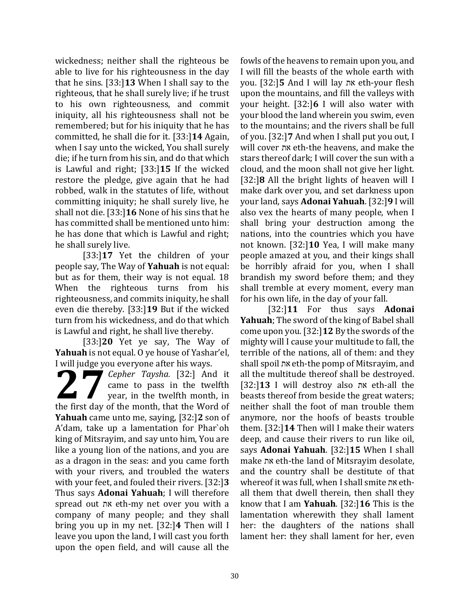wickedness; neither shall the righteous be able to live for his righteousness in the day that he sins. [33:]**13** When I shall say to the righteous, that he shall surely live; if he trust to his own righteousness, and commit iniquity, all his righteousness shall not be remembered; but for his iniquity that he has committed, he shall die for it. [33:]**14** Again, when I say unto the wicked, You shall surely die; if he turn from his sin, and do that which is Lawful and right; [33:]**15** If the wicked restore the pledge, give again that he had robbed, walk in the statutes of life, without committing iniquity; he shall surely live, he shall not die. [33:]**16** None of his sins that he has committed shall be mentioned unto him: he has done that which is Lawful and right; he shall surely live.

[33:]**17** Yet the children of your people say, The Way of **Yahuah** is not equal: but as for them, their way is not equal. 18 When the righteous turns from his righteousness, and commits iniquity, he shall even die thereby. [33:]**19** But if the wicked turn from his wickedness, and do that which is Lawful and right, he shall live thereby.

[33:]**20** Yet ye say, The Way of **Yahuah** is not equal. O ye house of Yashar'el, I will judge you everyone after his ways.

*Cepher Taysha.* [32:] And it came to pass in the twelfth year, in the twelfth month, in **1998** Four Corryons and its ways.<br> **27** *Cepher Taysha.* [32:] And it came to pass in the twelfth year, in the twelfth month, in the first day of the month, that the Word of **Yahuah** came unto me, saying, [32:]**2** son of A'dam, take up a lamentation for Phar`oh king of Mitsrayim, and say unto him, You are like a young lion of the nations, and you are as a dragon in the seas: and you came forth with your rivers, and troubled the waters with your feet, and fouled their rivers. [32:]**3** Thus says **Adonai Yahuah**; I will therefore spread out את eth-my net over you with a company of many people; and they shall bring you up in my net. [32:]**4** Then will I leave you upon the land, I will cast you forth upon the open field, and will cause all the

fowls of the heavens to remain upon you, and I will fill the beasts of the whole earth with you. [32:]**5** And I will lay את eth-your flesh upon the mountains, and fill the valleys with your height. [32:]**6** I will also water with your blood the land wherein you swim, even to the mountains; and the rivers shall be full of you. [32:]**7** And when I shall put you out, I will cover את eth-the heavens, and make the stars thereof dark; I will cover the sun with a cloud, and the moon shall not give her light. [32:]**8** All the bright lights of heaven will I make dark over you, and set darkness upon your land, says **Adonai Yahuah**. [32:]**9** I will also vex the hearts of many people, when I shall bring your destruction among the nations, into the countries which you have not known. [32:]**10** Yea, I will make many people amazed at you, and their kings shall be horribly afraid for you, when I shall brandish my sword before them; and they shall tremble at every moment, every man for his own life, in the day of your fall.

[32:]**11** For thus says **Adonai Yahuah**; The sword of the king of Babel shall come upon you. [32:]**12** By the swords of the mighty will I cause your multitude to fall, the terrible of the nations, all of them: and they shall spoil את eth-the pomp of Mitsrayim, and all the multitude thereof shall be destroyed. [32:]**13** I will destroy also את eth-all the beasts thereof from beside the great waters; neither shall the foot of man trouble them anymore, nor the hoofs of beasts trouble them. [32:]**14** Then will I make their waters deep, and cause their rivers to run like oil, says **Adonai Yahuah**. [32:]**15** When I shall make את eth-the land of Mitsrayim desolate, and the country shall be destitute of that whereof it was full, when I shall smite את ethall them that dwell therein, then shall they know that I am **Yahuah**. [32:]**16** This is the lamentation wherewith they shall lament her: the daughters of the nations shall lament her: they shall lament for her, even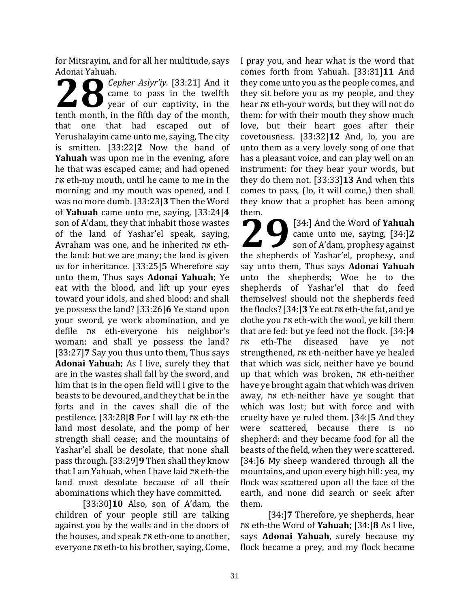for Mitsrayim, and for all her multitude, says Adonai Yahuah.

*Cepher Asiyr'iy.* [33:21] And it came to pass in the twelfth year of our captivity, in the **2** *Cepher Asiyr'iy.* [33:21] And it came to pass in the twelfth year of our captivity, in the tenth month, in the fifth day of the month, that one that had escaped out of Yerushalayim came unto me, saying, The city is smitten. [33:22]**2** Now the hand of **Yahuah** was upon me in the evening, afore he that was escaped came; and had opened את eth-my mouth, until he came to me in the morning; and my mouth was opened, and I was no more dumb. [33:23]**3** Then the Word of **Yahuah** came unto me, saying, [33:24]**4** son of A'dam, they that inhabit those wastes of the land of Yashar'el speak, saying, Avraham was one, and he inherited את eththe land: but we are many; the land is given us for inheritance. [33:25]**5** Wherefore say unto them, Thus says **Adonai Yahuah**; Ye eat with the blood, and lift up your eyes toward your idols, and shed blood: and shall ye possess the land? [33:26]**6** Ye stand upon your sword, ye work abomination, and ye defile את eth-everyone his neighbor's woman: and shall ye possess the land? [33:27]**7** Say you thus unto them, Thus says **Adonai Yahuah**; As I live, surely they that are in the wastes shall fall by the sword, and him that is in the open field will I give to the beasts to be devoured, and they that be in the forts and in the caves shall die of the pestilence. [33:28]**8** For I will lay את eth-the land most desolate, and the pomp of her strength shall cease; and the mountains of Yashar'el shall be desolate, that none shall pass through. [33:29]**9** Then shall they know that I am Yahuah, when I have laid את eth-the land most desolate because of all their abominations which they have committed.

[33:30]**10** Also, son of A'dam, the children of your people still are talking against you by the walls and in the doors of the houses, and speak את eth-one to another, everyone את eth-to his brother, saying, Come,

I pray you, and hear what is the word that comes forth from Yahuah. [33:31]**11** And they come unto you as the people comes, and they sit before you as my people, and they hear את eth-your words, but they will not do them: for with their mouth they show much love, but their heart goes after their covetousness. [33:32]**12** And, lo, you are unto them as a very lovely song of one that has a pleasant voice, and can play well on an instrument: for they hear your words, but they do them not. [33:33]**13** And when this comes to pass, (lo, it will come,) then shall they know that a prophet has been among them.

[34:] And the Word of **Yahuah** came unto me, saying, [34:]**2** son of A'dam, prophesy against **20** [34:] And the Word of **Yahuah**<br>came unto me, saying, [34:]2<br>son of A'dam, prophesy against<br>the shepherds of Yashar'el, prophesy, and say unto them, Thus says **Adonai Yahuah** unto the shepherds; Woe be to the shepherds of Yashar'el that do feed themselves! should not the shepherds feed the flocks? [34:]**3** Ye eat את eth-the fat, and ye clothe you את eth-with the wool, ye kill them that are fed: but ye feed not the flock. [34:]**4** את eth-The diseased have ye not strengthened, את eth-neither have ye healed that which was sick, neither have ye bound up that which was broken, את eth-neither have ye brought again that which was driven away, את eth-neither have ye sought that which was lost; but with force and with cruelty have ye ruled them. [34:]**5** And they were scattered, because there is no shepherd: and they became food for all the beasts of the field, when they were scattered. [34:]**6** My sheep wandered through all the mountains, and upon every high hill: yea, my flock was scattered upon all the face of the earth, and none did search or seek after them.

[34:]**7** Therefore, ye shepherds, hear את eth-the Word of **Yahuah**; [34:]**8** As I live, says **Adonai Yahuah**, surely because my flock became a prey, and my flock became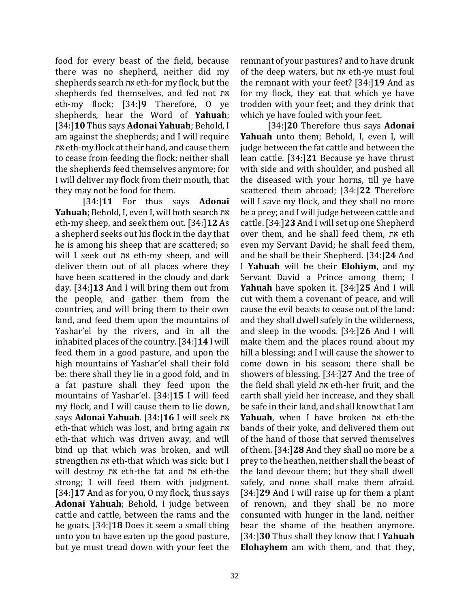food for every beast of the field, because there was no shepherd, neither did my shepherds search את eth-for my flock, but the shepherds fed themselves, and fed not את eth-my flock; [34:]**9** Therefore, O ye shepherds, hear the Word of **Yahuah**; [34:]**10** Thus says **Adonai Yahuah**; Behold, I am against the shepherds; and I will require את eth-my flock at their hand, and cause them to cease from feeding the flock; neither shall the shepherds feed themselves anymore; for I will deliver my flock from their mouth, that they may not be food for them.

[34:]**11** For thus says **Adonai Yahuah**; Behold, I, even I, will both search את eth-my sheep, and seek them out. [34:]**12** As a shepherd seeks out his flock in the day that he is among his sheep that are scattered; so will I seek out את eth-my sheep, and will deliver them out of all places where they have been scattered in the cloudy and dark day. [34:]**13** And I will bring them out from the people, and gather them from the countries, and will bring them to their own land, and feed them upon the mountains of Yashar'el by the rivers, and in all the inhabited places of the country. [34:]**14** I will feed them in a good pasture, and upon the high mountains of Yashar'el shall their fold be: there shall they lie in a good fold, and in a fat pasture shall they feed upon the mountains of Yashar'el. [34:]**15** I will feed my flock, and I will cause them to lie down, says **Adonai Yahuah**. [34:]**16** I will seek את eth-that which was lost, and bring again את eth-that which was driven away, and will bind up that which was broken, and will strengthen את eth-that which was sick: but I will destroy את eth-the fat and את eth-the strong; I will feed them with judgment. [34:]**17** And as for you, O my flock, thus says **Adonai Yahuah**; Behold, I judge between cattle and cattle, between the rams and the he goats. [34:]**18** Does it seem a small thing unto you to have eaten up the good pasture, but ye must tread down with your feet the

remnant of your pastures? and to have drunk of the deep waters, but את eth-ye must foul the remnant with your feet? [34:]**19** And as for my flock, they eat that which ye have trodden with your feet; and they drink that which ye have fouled with your feet.

[34:]**20** Therefore thus says **Adonai Yahuah** unto them; Behold, I, even I, will judge between the fat cattle and between the lean cattle. [34:]**21** Because ye have thrust with side and with shoulder, and pushed all the diseased with your horns, till ye have scattered them abroad; [34:]**22** Therefore will I save my flock, and they shall no more be a prey; and I will judge between cattle and cattle. [34:]**23** And I will set up one Shepherd over them, and he shall feed them, את eth even my Servant David; he shall feed them, and he shall be their Shepherd. [34:]**24** And I **Yahuah** will be their **Elohiym**, and my Servant David a Prince among them; I **Yahuah** have spoken it. [34:]**25** And I will cut with them a covenant of peace, and will cause the evil beasts to cease out of the land: and they shall dwell safely in the wilderness, and sleep in the woods. [34:]**26** And I will make them and the places round about my hill a blessing; and I will cause the shower to come down in his season; there shall be showers of blessing. [34:]**27** And the tree of the field shall yield את eth-her fruit, and the earth shall yield her increase, and they shall be safe in their land, and shall know that I am **Yahuah**, when I have broken את eth-the bands of their yoke, and delivered them out of the hand of those that served themselves of them. [34:]**28** And they shall no more be a prey to the heathen, neither shall the beast of the land devour them; but they shall dwell safely, and none shall make them afraid. [34:]**29** And I will raise up for them a plant of renown, and they shall be no more consumed with hunger in the land, neither bear the shame of the heathen anymore. [34:]**30** Thus shall they know that I **Yahuah Elohayhem** am with them, and that they,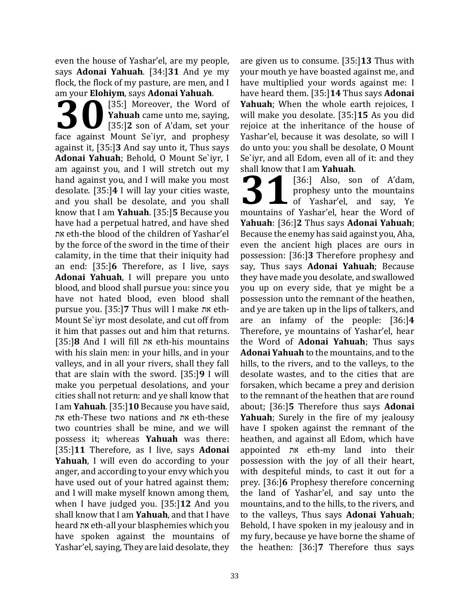even the house of Yashar'el, are my people, says **Adonai Yahuah**. [34:]**31** And ye my flock, the flock of my pasture, are men, and I am your **Elohiym**, says **Adonai Yahuah**.

[35:] Moreover, the Word of **Yahuah** came unto me, saying, [35:]**2** son of A'dam, set your **1989** Fromym, says Adonar Fandan.<br> **30** [35:] Moreover, the Word of **Yahuah** came unto me, saying, [35:] 2 son of A'dam, set your face against Mount Se`iyr, and prophesy against it, [35:]**3** And say unto it, Thus says **Adonai Yahuah**; Behold, O Mount Se`iyr, I am against you, and I will stretch out my hand against you, and I will make you most desolate. [35:]**4** I will lay your cities waste, and you shall be desolate, and you shall know that I am **Yahuah**. [35:]**5** Because you have had a perpetual hatred, and have shed את eth-the blood of the children of Yashar'el by the force of the sword in the time of their calamity, in the time that their iniquity had an end: [35:]**6** Therefore, as I live, says **Adonai Yahuah**, I will prepare you unto blood, and blood shall pursue you: since you have not hated blood, even blood shall pursue you. [35:]**7** Thus will I make את eth-Mount Se`iyr most desolate, and cut off from it him that passes out and him that returns. [35:]**8** And I will fill את eth-his mountains with his slain men: in your hills, and in your valleys, and in all your rivers, shall they fall that are slain with the sword. [35:]**9** I will make you perpetual desolations, and your cities shall not return: and ye shall know that I am **Yahuah**. [35:]**10** Because you have said, את eth-These two nations and את eth-these two countries shall be mine, and we will possess it; whereas **Yahuah** was there: [35:]**11** Therefore, as I live, says **Adonai Yahuah**, I will even do according to your anger, and according to your envy which you have used out of your hatred against them; and I will make myself known among them, when I have judged you. [35:]**12** And you shall know that I am **Yahuah**, and that I have heard את eth-all your blasphemies which you have spoken against the mountains of Yashar'el, saying, They are laid desolate, they

are given us to consume. [35:]**13** Thus with your mouth ye have boasted against me, and have multiplied your words against me: I have heard them. [35:]**14** Thus says **Adonai Yahuah**; When the whole earth rejoices, I will make you desolate. [35:]**15** As you did rejoice at the inheritance of the house of Yashar'el, because it was desolate, so will I do unto you: you shall be desolate, O Mount Se`iyr, and all Edom, even all of it: and they shall know that I am **Yahuah**.

[36:] Also, son of A'dam, prophesy unto the mountains  $\bigcup_{\text{of}}^{\text{proposed}}$  of Yashar'el, and say, Ye **1989** (36:) Also, son of A'dam,<br>prophesy unto the mountains<br>of Yashar'el, and say, Ye<br>mountains of Yashar'el, hear the Word of **Yahuah**: [36:]**2** Thus says **Adonai Yahuah**; Because the enemy has said against you, Aha, even the ancient high places are ours in possession: [36:]**3** Therefore prophesy and say, Thus says **Adonai Yahuah**; Because they have made you desolate, and swallowed you up on every side, that ye might be a possession unto the remnant of the heathen, and ye are taken up in the lips of talkers, and are an infamy of the people: [36:]**4** Therefore, ye mountains of Yashar'el, hear the Word of **Adonai Yahuah**; Thus says **Adonai Yahuah** to the mountains, and to the hills, to the rivers, and to the valleys, to the desolate wastes, and to the cities that are forsaken, which became a prey and derision to the remnant of the heathen that are round about; [36:]**5** Therefore thus says **Adonai Yahuah**; Surely in the fire of my jealousy have I spoken against the remnant of the heathen, and against all Edom, which have appointed את eth-my land into their possession with the joy of all their heart, with despiteful minds, to cast it out for a prey. [36:]**6** Prophesy therefore concerning the land of Yashar'el, and say unto the mountains, and to the hills, to the rivers, and to the valleys, Thus says **Adonai Yahuah**; Behold, I have spoken in my jealousy and in my fury, because ye have borne the shame of the heathen: [36:]**7** Therefore thus says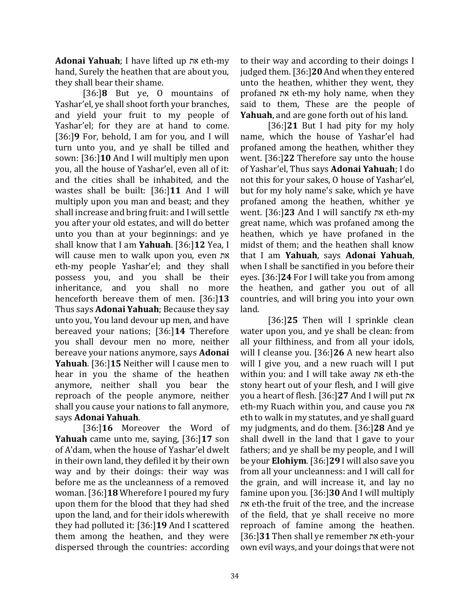**Adonai Yahuah**; I have lifted up את eth-my hand, Surely the heathen that are about you, they shall bear their shame.

[36:]**8** But ye, O mountains of Yashar'el, ye shall shoot forth your branches, and yield your fruit to my people of Yashar'el; for they are at hand to come. [36:]**9** For, behold, I am for you, and I will turn unto you, and ye shall be tilled and sown: [36:]**10** And I will multiply men upon you, all the house of Yashar'el, even all of it: and the cities shall be inhabited, and the wastes shall be built: [36:]**11** And I will multiply upon you man and beast; and they shall increase and bring fruit: and I will settle you after your old estates, and will do better unto you than at your beginnings: and ye shall know that I am **Yahuah**. [36:]**12** Yea, I will cause men to walk upon you, even את eth-my people Yashar'el; and they shall possess you, and you shall be their inheritance, and you shall no more henceforth bereave them of men. [36:]**13** Thus says **Adonai Yahuah**; Because they say unto you, You land devour up men, and have bereaved your nations; [36:]**14** Therefore you shall devour men no more, neither bereave your nations anymore, says **Adonai Yahuah**. [36:]**15** Neither will I cause men to hear in you the shame of the heathen anymore, neither shall you bear the reproach of the people anymore, neither shall you cause your nations to fall anymore, says **Adonai Yahuah**.

[36:]**16** Moreover the Word of **Yahuah** came unto me, saying, [36:]**17** son of A'dam, when the house of Yashar'el dwelt in their own land, they defiled it by their own way and by their doings: their way was before me as the uncleanness of a removed woman. [36:]**18** Wherefore I poured my fury upon them for the blood that they had shed upon the land, and for their idols wherewith they had polluted it: [36:]**19** And I scattered them among the heathen, and they were dispersed through the countries: according

to their way and according to their doings I judged them. [36:]**20** And when they entered unto the heathen, whither they went, they profaned את eth-my holy name, when they said to them, These are the people of **Yahuah**, and are gone forth out of his land.

[36:]**21** But I had pity for my holy name, which the house of Yashar'el had profaned among the heathen, whither they went. [36:]**22** Therefore say unto the house of Yashar'el, Thus says **Adonai Yahuah**; I do not this for your sakes, O house of Yashar'el, but for my holy name's sake, which ye have profaned among the heathen, whither ye went. [36:]**23** And I will sanctify את eth-my great name, which was profaned among the heathen, which ye have profaned in the midst of them; and the heathen shall know that I am **Yahuah**, says **Adonai Yahuah**, when I shall be sanctified in you before their eyes. [36:]**24** For I will take you from among the heathen, and gather you out of all countries, and will bring you into your own land.

[36:]**25** Then will I sprinkle clean water upon you, and ye shall be clean: from all your filthiness, and from all your idols, will I cleanse you. [36:]**26** A new heart also will I give you, and a new ruach will I put within you: and I will take away את eth-the stony heart out of your flesh, and I will give you a heart of flesh. [36:]**27** And I will put את eth-my Ruach within you, and cause you את eth to walk in my statutes, and ye shall guard my judgments, and do them. [36:]**28** And ye shall dwell in the land that I gave to your fathers; and ye shall be my people, and I will be your **Elohiym**. [36:]**29** I will also save you from all your uncleanness: and I will call for the grain, and will increase it, and lay no famine upon you. [36:]**30** And I will multiply את eth-the fruit of the tree, and the increase of the field, that ye shall receive no more reproach of famine among the heathen. [36:]**31** Then shall ye remember את eth-your own evil ways, and your doings that were not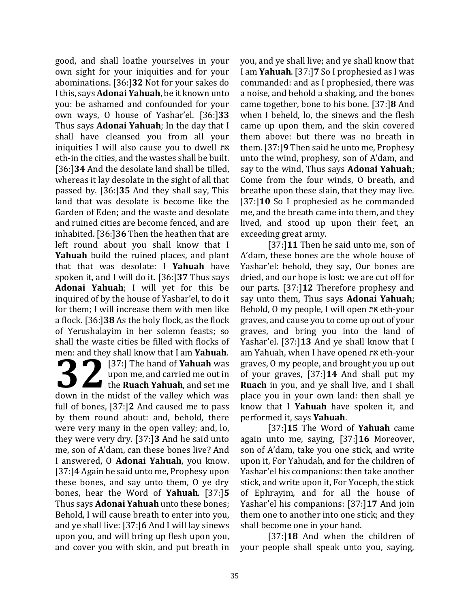good, and shall loathe yourselves in your own sight for your iniquities and for your abominations. [36:]**32** Not for your sakes do I this, says **Adonai Yahuah**, be it known unto you: be ashamed and confounded for your own ways, O house of Yashar'el. [36:]**33** Thus says **Adonai Yahuah**; In the day that I shall have cleansed you from all your iniquities I will also cause you to dwell את eth-in the cities, and the wastes shall be built. [36:]**34** And the desolate land shall be tilled, whereas it lay desolate in the sight of all that passed by. [36:]**35** And they shall say, This land that was desolate is become like the Garden of Eden; and the waste and desolate and ruined cities are become fenced, and are inhabited. [36:]**36** Then the heathen that are left round about you shall know that I **Yahuah** build the ruined places, and plant that that was desolate: I **Yahuah** have spoken it, and I will do it. [36:]**37** Thus says **Adonai Yahuah**; I will yet for this be inquired of by the house of Yashar'el, to do it for them; I will increase them with men like a flock. [36:]**38** As the holy flock, as the flock of Yerushalayim in her solemn feasts; so shall the waste cities be filled with flocks of men: and they shall know that I am **Yahuah**. [37:] The hand of **Yahuah** was

upon me, and carried me out in **137:** The hand of Yahuah was<br>upon me, and carried me out in<br>the Ruach Yahuah, and set me<br>down in the midst of the vallow which was down in the midst of the valley which was full of bones, [37:]**2** And caused me to pass by them round about: and, behold, there were very many in the open valley; and, lo, they were very dry. [37:]**3** And he said unto me, son of A'dam, can these bones live? And I answered, O **Adonai Yahuah**, you know. [37:]**4** Again he said unto me, Prophesy upon these bones, and say unto them, O ye dry bones, hear the Word of **Yahuah**. [37:]**5**  Thus says **Adonai Yahuah** unto these bones; Behold, I will cause breath to enter into you, and ye shall live: [37:]**6** And I will lay sinews upon you, and will bring up flesh upon you, and cover you with skin, and put breath in

you, and ye shall live; and ye shall know that I am **Yahuah**. [37:]**7** So I prophesied as I was commanded: and as I prophesied, there was a noise, and behold a shaking, and the bones came together, bone to his bone. [37:]**8** And when I beheld, lo, the sinews and the flesh came up upon them, and the skin covered them above: but there was no breath in them. [37:]**9** Then said he unto me, Prophesy unto the wind, prophesy, son of A'dam, and say to the wind, Thus says **Adonai Yahuah**; Come from the four winds, O breath, and breathe upon these slain, that they may live. [37:]**10** So I prophesied as he commanded me, and the breath came into them, and they lived, and stood up upon their feet, an exceeding great army.

[37:]**11** Then he said unto me, son of A'dam, these bones are the whole house of Yashar'el: behold, they say, Our bones are dried, and our hope is lost: we are cut off for our parts. [37:]**12** Therefore prophesy and say unto them, Thus says **Adonai Yahuah**; Behold, O my people, I will open את eth-your graves, and cause you to come up out of your graves, and bring you into the land of Yashar'el. [37:]**13** And ye shall know that I am Yahuah, when I have opened את eth-your graves, O my people, and brought you up out of your graves, [37:]**14** And shall put my **Ruach** in you, and ye shall live, and I shall place you in your own land: then shall ye know that I **Yahuah** have spoken it, and performed it, says **Yahuah**.

[37:]**15** The Word of **Yahuah** came again unto me, saying, [37:]**16** Moreover, son of A'dam, take you one stick, and write upon it, For Yahudah, and for the children of Yashar'el his companions: then take another stick, and write upon it, For Yoceph, the stick of Ephrayim, and for all the house of Yashar'el his companions: [37:]**17** And join them one to another into one stick; and they shall become one in your hand.

[37:]**18** And when the children of your people shall speak unto you, saying,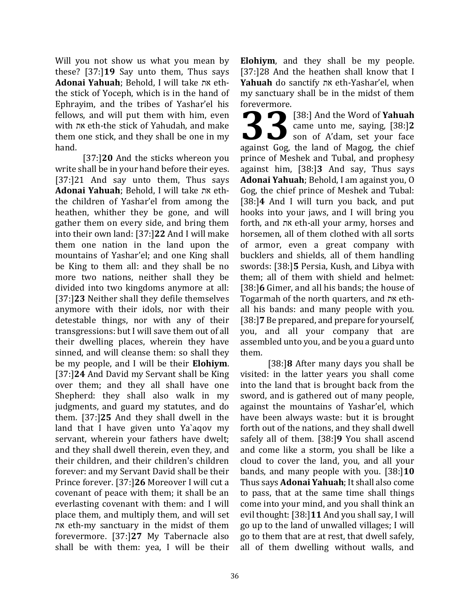Will you not show us what you mean by these? [37:]**19** Say unto them, Thus says **Adonai Yahuah**; Behold, I will take את eththe stick of Yoceph, which is in the hand of Ephrayim, and the tribes of Yashar'el his fellows, and will put them with him, even with את eth-the stick of Yahudah, and make them one stick, and they shall be one in my hand.

[37:]**20** And the sticks whereon you write shall be in your hand before their eyes. [37:]21 And say unto them, Thus says **Adonai Yahuah**; Behold, I will take את eththe children of Yashar'el from among the heathen, whither they be gone, and will gather them on every side, and bring them into their own land: [37:]**22** And I will make them one nation in the land upon the mountains of Yashar'el; and one King shall be King to them all: and they shall be no more two nations, neither shall they be divided into two kingdoms anymore at all: [37:]**23** Neither shall they defile themselves anymore with their idols, nor with their detestable things, nor with any of their transgressions: but I will save them out of all their dwelling places, wherein they have sinned, and will cleanse them: so shall they be my people, and I will be their **Elohiym**. [37:]**24** And David my Servant shall be King over them; and they all shall have one Shepherd: they shall also walk in my judgments, and guard my statutes, and do them. [37:]**25** And they shall dwell in the land that I have given unto Ya`aqov my servant, wherein your fathers have dwelt; and they shall dwell therein, even they, and their children, and their children's children forever: and my Servant David shall be their Prince forever. [37:]**26** Moreover I will cut a covenant of peace with them; it shall be an everlasting covenant with them: and I will place them, and multiply them, and will set את eth-my sanctuary in the midst of them forevermore. [37:]**27** My Tabernacle also shall be with them: yea, I will be their

**Elohiym**, and they shall be my people. [37:]28 And the heathen shall know that I **Yahuah** do sanctify את eth-Yashar'el, when my sanctuary shall be in the midst of them forevermore.

[38:] And the Word of **Yahuah** came unto me, saying, [38:]**2** son of A'dam, set your face **38:** [38:] And the Word of **Yahuah**<br>came unto me, saying, [38:]2<br>son of A'dam, set your face<br>against Gog, the land of Magog, the chief prince of Meshek and Tubal, and prophesy against him, [38:]**3** And say, Thus says **Adonai Yahuah**; Behold, I am against you, O Gog, the chief prince of Meshek and Tubal: [38:]**4** And I will turn you back, and put hooks into your jaws, and I will bring you forth, and את eth-all your army, horses and horsemen, all of them clothed with all sorts of armor, even a great company with bucklers and shields, all of them handling swords: [38:]**5** Persia, Kush, and Libya with them; all of them with shield and helmet: [38:]**6** Gimer, and all his bands; the house of Togarmah of the north quarters, and את ethall his bands: and many people with you. [38:]**7** Be prepared, and prepare for yourself, you, and all your company that are assembled unto you, and be you a guard unto them.

[38:]**8** After many days you shall be visited: in the latter years you shall come into the land that is brought back from the sword, and is gathered out of many people, against the mountains of Yashar'el, which have been always waste: but it is brought forth out of the nations, and they shall dwell safely all of them. [38:]**9** You shall ascend and come like a storm, you shall be like a cloud to cover the land, you, and all your bands, and many people with you. [38:]**10** Thus says **Adonai Yahuah**; It shall also come to pass, that at the same time shall things come into your mind, and you shall think an evil thought: [38:]**11** And you shall say, I will go up to the land of unwalled villages; I will go to them that are at rest, that dwell safely, all of them dwelling without walls, and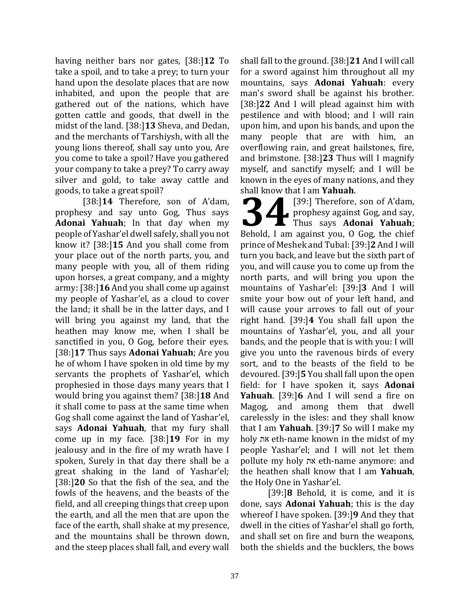having neither bars nor gates, [38:]**12** To take a spoil, and to take a prey; to turn your hand upon the desolate places that are now inhabited, and upon the people that are gathered out of the nations, which have gotten cattle and goods, that dwell in the midst of the land. [38:]**13** Sheva, and Dedan, and the merchants of Tarshiysh, with all the young lions thereof, shall say unto you, Are you come to take a spoil? Have you gathered your company to take a prey? To carry away silver and gold, to take away cattle and goods, to take a great spoil?

[38:]**14** Therefore, son of A'dam, prophesy and say unto Gog, Thus says **Adonai Yahuah**; In that day when my people of Yashar'el dwell safely, shall you not know it? [38:]**15** And you shall come from your place out of the north parts, you, and many people with you, all of them riding upon horses, a great company, and a mighty army: [38:]**16** And you shall come up against my people of Yashar'el, as a cloud to cover the land; it shall be in the latter days, and I will bring you against my land, that the heathen may know me, when I shall be sanctified in you, O Gog, before their eyes. [38:]**17** Thus says **Adonai Yahuah**; Are you he of whom I have spoken in old time by my servants the prophets of Yashar'el, which prophesied in those days many years that I would bring you against them? [38:]**18** And it shall come to pass at the same time when Gog shall come against the land of Yashar'el, says **Adonai Yahuah**, that my fury shall come up in my face. [38:]**19** For in my jealousy and in the fire of my wrath have I spoken, Surely in that day there shall be a great shaking in the land of Yashar'el; [38:]**20** So that the fish of the sea, and the fowls of the heavens, and the beasts of the field, and all creeping things that creep upon the earth, and all the men that are upon the face of the earth, shall shake at my presence, and the mountains shall be thrown down, and the steep places shall fall, and every wall shall fall to the ground. [38:]**21** And I will call for a sword against him throughout all my mountains, says **Adonai Yahuah**: every man's sword shall be against his brother. [38:]**22** And I will plead against him with pestilence and with blood; and I will rain upon him, and upon his bands, and upon the many people that are with him, an overflowing rain, and great hailstones, fire, and brimstone. [38:]**23** Thus will I magnify myself, and sanctify myself; and I will be known in the eyes of many nations, and they shall know that I am **Yahuah**.

[39:] Therefore, son of A'dam, prophesy against Gog, and say, Thus says **Adonai Yahuah**; Behold, I am against you, O Gog, the chief prince of Meshek and Tubal: [39:]**2** And I will turn you back, and leave but the sixth part of you, and will cause you to come up from the north parts, and will bring you upon the mountains of Yashar'el: [39:]**3** And I will smite your bow out of your left hand, and will cause your arrows to fall out of your right hand. [39:]**4** You shall fall upon the mountains of Yashar'el, you, and all your bands, and the people that is with you: I will give you unto the ravenous birds of every sort, and to the beasts of the field to be devoured. [39:]**5** You shall fall upon the open field: for I have spoken it, says **Adonai Yahuah**. [39:]**6** And I will send a fire on Magog, and among them that dwell carelessly in the isles: and they shall know that I am **Yahuah**. [39:]**7** So will I make my holy את eth-name known in the midst of my people Yashar'el; and I will not let them pollute my holy את eth-name anymore: and the heathen shall know that I am **Yahuah**, the Holy One in Yashar'el. **34**

[39:]**8** Behold, it is come, and it is done, says **Adonai Yahuah**; this is the day whereof I have spoken. [39:]**9** And they that dwell in the cities of Yashar'el shall go forth, and shall set on fire and burn the weapons, both the shields and the bucklers, the bows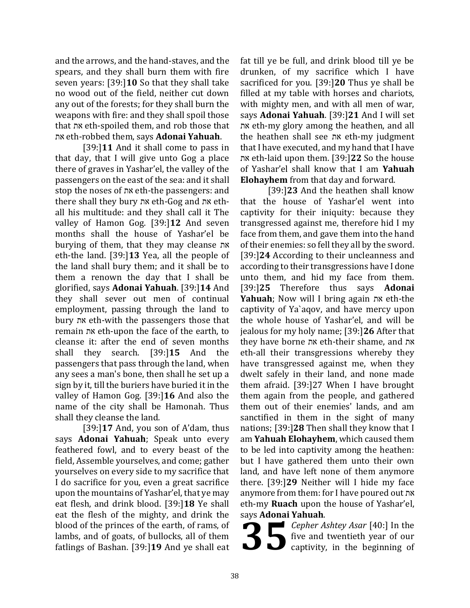and the arrows, and the hand-staves, and the spears, and they shall burn them with fire seven years: [39:]**10** So that they shall take no wood out of the field, neither cut down any out of the forests; for they shall burn the weapons with fire: and they shall spoil those that את eth-spoiled them, and rob those that את eth-robbed them, says **Adonai Yahuah**.

[39:]**11** And it shall come to pass in that day, that I will give unto Gog a place there of graves in Yashar'el, the valley of the passengers on the east of the sea: and it shall stop the noses of את eth-the passengers: and there shall they bury את eth-Gog and את ethall his multitude: and they shall call it The valley of Hamon Gog. [39:]**12** And seven months shall the house of Yashar'el be burying of them, that they may cleanse את eth-the land. [39:]**13** Yea, all the people of the land shall bury them; and it shall be to them a renown the day that I shall be glorified, says **Adonai Yahuah**. [39:]**14** And they shall sever out men of continual employment, passing through the land to bury את eth-with the passengers those that remain את eth-upon the face of the earth, to cleanse it: after the end of seven months shall they search. [39:]**15** And the passengers that pass through the land, when any sees a man's bone, then shall he set up a sign by it, till the buriers have buried it in the valley of Hamon Gog. [39:]**16** And also the name of the city shall be Hamonah. Thus shall they cleanse the land.

[39:]**17** And, you son of A'dam, thus says **Adonai Yahuah**; Speak unto every feathered fowl, and to every beast of the field, Assemble yourselves, and come; gather yourselves on every side to my sacrifice that I do sacrifice for you, even a great sacrifice upon the mountains of Yashar'el, that ye may eat flesh, and drink blood. [39:]**18** Ye shall eat the flesh of the mighty, and drink the blood of the princes of the earth, of rams, of lambs, and of goats, of bullocks, all of them fatlings of Bashan. [39:]**19** And ye shall eat

fat till ye be full, and drink blood till ye be drunken, of my sacrifice which I have sacrificed for you. [39:]**20** Thus ye shall be filled at my table with horses and chariots, with mighty men, and with all men of war, says **Adonai Yahuah**. [39:]**21** And I will set את eth-my glory among the heathen, and all the heathen shall see את eth-my judgment that I have executed, and my hand that I have את eth-laid upon them. [39:]**22** So the house of Yashar'el shall know that I am **Yahuah Elohayhem** from that day and forward.

[39:]**23** And the heathen shall know that the house of Yashar'el went into captivity for their iniquity: because they transgressed against me, therefore hid I my face from them, and gave them into the hand of their enemies: so fell they all by the sword. [39:]**24** According to their uncleanness and according to their transgressions have I done unto them, and hid my face from them. [39:]**25** Therefore thus says **Adonai Yahuah**; Now will I bring again את eth-the captivity of Ya`aqov, and have mercy upon the whole house of Yashar'el, and will be jealous for my holy name; [39:]**26** After that they have borne את eth-their shame, and את eth-all their transgressions whereby they have transgressed against me, when they dwelt safely in their land, and none made them afraid. [39:]27 When I have brought them again from the people, and gathered them out of their enemies' lands, and am sanctified in them in the sight of many nations; [39:]**28** Then shall they know that I am **Yahuah Elohayhem**, which caused them to be led into captivity among the heathen: but I have gathered them unto their own land, and have left none of them anymore there. [39:]**29** Neither will I hide my face anymore from them: for I have poured out את eth-my **Ruach** upon the house of Yashar'el, says **Adonai Yahuah**.

**Propher Ashtey Asar** [40:] In the five and twentieth year of our captivity, in the beginning of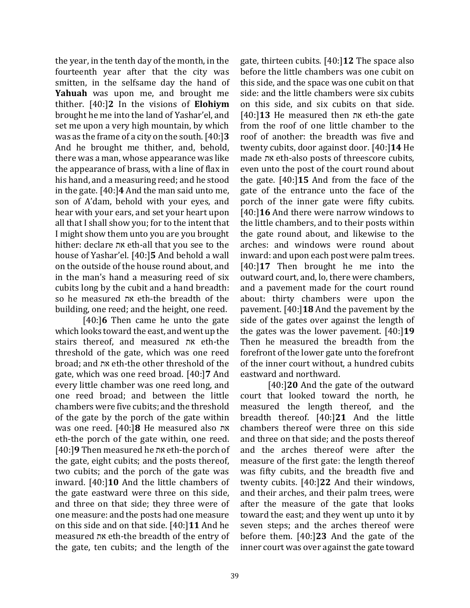the year, in the tenth day of the month, in the fourteenth year after that the city was smitten, in the selfsame day the hand of **Yahuah** was upon me, and brought me thither. [40:]**2** In the visions of **Elohiym** brought he me into the land of Yashar'el, and set me upon a very high mountain, by which was as the frame of a city on the south. [40:]**3** And he brought me thither, and, behold, there was a man, whose appearance was like the appearance of brass, with a line of flax in his hand, and a measuring reed; and he stood in the gate. [40:]**4** And the man said unto me, son of A'dam, behold with your eyes, and hear with your ears, and set your heart upon all that I shall show you; for to the intent that I might show them unto you are you brought hither: declare את eth-all that you see to the house of Yashar'el. [40:]**5** And behold a wall on the outside of the house round about, and in the man's hand a measuring reed of six cubits long by the cubit and a hand breadth: so he measured את eth-the breadth of the building, one reed; and the height, one reed.

[40:]**6** Then came he unto the gate which looks toward the east, and went up the stairs thereof, and measured את eth-the threshold of the gate, which was one reed broad; and את eth-the other threshold of the gate, which was one reed broad. [40:]**7** And every little chamber was one reed long, and one reed broad; and between the little chambers were five cubits; and the threshold of the gate by the porch of the gate within was one reed. [40:]**8** He measured also את eth-the porch of the gate within, one reed. [40:]**9** Then measured he את eth-the porch of the gate, eight cubits; and the posts thereof, two cubits; and the porch of the gate was inward. [40:]**10** And the little chambers of the gate eastward were three on this side, and three on that side; they three were of one measure: and the posts had one measure on this side and on that side. [40:]**11** And he measured את eth-the breadth of the entry of the gate, ten cubits; and the length of the

gate, thirteen cubits. [40:]**12** The space also before the little chambers was one cubit on this side, and the space was one cubit on that side: and the little chambers were six cubits on this side, and six cubits on that side. [40:]**13** He measured then את eth-the gate from the roof of one little chamber to the roof of another: the breadth was five and twenty cubits, door against door. [40:]**14** He made את eth-also posts of threescore cubits, even unto the post of the court round about the gate. [40:]**15** And from the face of the gate of the entrance unto the face of the porch of the inner gate were fifty cubits. [40:]**16** And there were narrow windows to the little chambers, and to their posts within the gate round about, and likewise to the arches: and windows were round about inward: and upon each post were palm trees. [40:]**17** Then brought he me into the outward court, and, lo, there were chambers, and a pavement made for the court round about: thirty chambers were upon the pavement. [40:]**18** And the pavement by the side of the gates over against the length of the gates was the lower pavement. [40:]**19** Then he measured the breadth from the forefront of the lower gate unto the forefront of the inner court without, a hundred cubits eastward and northward.

[40:]**20** And the gate of the outward court that looked toward the north, he measured the length thereof, and the breadth thereof. [40:]**21** And the little chambers thereof were three on this side and three on that side; and the posts thereof and the arches thereof were after the measure of the first gate: the length thereof was fifty cubits, and the breadth five and twenty cubits. [40:]**22** And their windows, and their arches, and their palm trees, were after the measure of the gate that looks toward the east; and they went up unto it by seven steps; and the arches thereof were before them. [40:]**23** And the gate of the inner court was over against the gate toward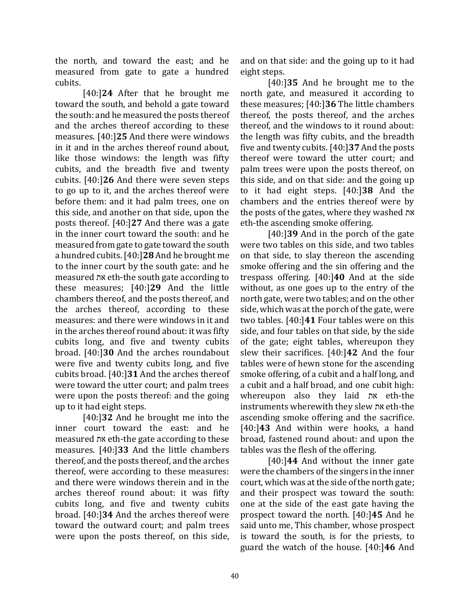the north, and toward the east; and he measured from gate to gate a hundred cubits.

[40:]**24** After that he brought me toward the south, and behold a gate toward the south: and he measured the posts thereof and the arches thereof according to these measures. [40:]**25** And there were windows in it and in the arches thereof round about, like those windows: the length was fifty cubits, and the breadth five and twenty cubits. [40:]**26** And there were seven steps to go up to it, and the arches thereof were before them: and it had palm trees, one on this side, and another on that side, upon the posts thereof. [40:]**27** And there was a gate in the inner court toward the south: and he measured from gate to gate toward the south a hundred cubits. [40:]**28** And he brought me to the inner court by the south gate: and he measured את eth-the south gate according to these measures; [40:]**29** And the little chambers thereof, and the posts thereof, and the arches thereof, according to these measures: and there were windows in it and in the arches thereof round about: it was fifty cubits long, and five and twenty cubits broad. [40:]**30** And the arches roundabout were five and twenty cubits long, and five cubits broad. [40:]**31** And the arches thereof were toward the utter court; and palm trees were upon the posts thereof: and the going up to it had eight steps.

[40:]**32** And he brought me into the inner court toward the east: and he measured את eth-the gate according to these measures. [40:]**33** And the little chambers thereof, and the posts thereof, and the arches thereof, were according to these measures: and there were windows therein and in the arches thereof round about: it was fifty cubits long, and five and twenty cubits broad. [40:]**34** And the arches thereof were toward the outward court; and palm trees were upon the posts thereof, on this side,

and on that side: and the going up to it had eight steps.

[40:]**35** And he brought me to the north gate, and measured it according to these measures; [40:]**36** The little chambers thereof, the posts thereof, and the arches thereof, and the windows to it round about: the length was fifty cubits, and the breadth five and twenty cubits. [40:]**37** And the posts thereof were toward the utter court; and palm trees were upon the posts thereof, on this side, and on that side: and the going up to it had eight steps. [40:]**38** And the chambers and the entries thereof were by the posts of the gates, where they washed את eth-the ascending smoke offering.

[40:]**39** And in the porch of the gate were two tables on this side, and two tables on that side, to slay thereon the ascending smoke offering and the sin offering and the trespass offering. [40:]**40** And at the side without, as one goes up to the entry of the north gate, were two tables; and on the other side, which was at the porch of the gate, were two tables. [40:]**41** Four tables were on this side, and four tables on that side, by the side of the gate; eight tables, whereupon they slew their sacrifices. [40:]**42** And the four tables were of hewn stone for the ascending smoke offering, of a cubit and a half long, and a cubit and a half broad, and one cubit high: whereupon also they laid את eth-the instruments wherewith they slew את eth-the ascending smoke offering and the sacrifice. [40:]**43** And within were hooks, a hand broad, fastened round about: and upon the tables was the flesh of the offering.

[40:]**44** And without the inner gate were the chambers of the singers in the inner court, which was at the side of the north gate; and their prospect was toward the south: one at the side of the east gate having the prospect toward the north. [40:]**45** And he said unto me, This chamber, whose prospect is toward the south, is for the priests, to guard the watch of the house. [40:]**46** And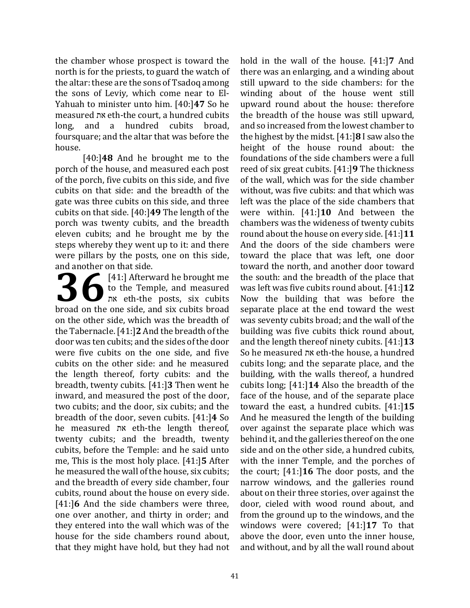the chamber whose prospect is toward the north is for the priests, to guard the watch of the altar: these are the sons of Tsadoq among the sons of Leviy, which come near to El-Yahuah to minister unto him. [40:]**47** So he measured את eth-the court, a hundred cubits long, and a hundred cubits broad, foursquare; and the altar that was before the house.

[40:]**48** And he brought me to the porch of the house, and measured each post of the porch, five cubits on this side, and five cubits on that side: and the breadth of the gate was three cubits on this side, and three cubits on that side. [40:]**49** The length of the porch was twenty cubits, and the breadth eleven cubits; and he brought me by the steps whereby they went up to it: and there were pillars by the posts, one on this side, and another on that side.

[41:] Afterward he brought me to the Temple, and measured את eth-the posts, six cubits **36** [41:] Afterward he brought me<br>to the Temple, and measured<br>broad on the one side, and six cubits broad on the other side, which was the breadth of the Tabernacle. [41:]**2** And the breadth of the door was ten cubits; and the sides of the door were five cubits on the one side, and five cubits on the other side: and he measured the length thereof, forty cubits: and the breadth, twenty cubits. [41:]**3** Then went he inward, and measured the post of the door, two cubits; and the door, six cubits; and the breadth of the door, seven cubits. [41:]**4** So he measured את eth-the length thereof, twenty cubits; and the breadth, twenty cubits, before the Temple: and he said unto me, This is the most holy place. [41:]**5** After he measured the wall of the house, six cubits; and the breadth of every side chamber, four cubits, round about the house on every side. [41:]**6** And the side chambers were three, one over another, and thirty in order; and they entered into the wall which was of the house for the side chambers round about, that they might have hold, but they had not

hold in the wall of the house. [41:]**7** And there was an enlarging, and a winding about still upward to the side chambers: for the winding about of the house went still upward round about the house: therefore the breadth of the house was still upward, and so increased from the lowest chamber to the highest by the midst. [41:]**8** I saw also the height of the house round about: the foundations of the side chambers were a full reed of six great cubits. [41:]**9** The thickness of the wall, which was for the side chamber without, was five cubits: and that which was left was the place of the side chambers that were within. [41:]**10** And between the chambers was the wideness of twenty cubits round about the house on every side. [41:]**11** And the doors of the side chambers were toward the place that was left, one door toward the north, and another door toward the south: and the breadth of the place that was left was five cubits round about. [41:]**12** Now the building that was before the separate place at the end toward the west was seventy cubits broad; and the wall of the building was five cubits thick round about, and the length thereof ninety cubits. [41:]**13** So he measured את eth-the house, a hundred cubits long; and the separate place, and the building, with the walls thereof, a hundred cubits long; [41:]**14** Also the breadth of the face of the house, and of the separate place toward the east, a hundred cubits. [41:]**15** And he measured the length of the building over against the separate place which was behind it, and the galleries thereof on the one side and on the other side, a hundred cubits, with the inner Temple, and the porches of the court; [41:]**16** The door posts, and the narrow windows, and the galleries round about on their three stories, over against the door, cieled with wood round about, and from the ground up to the windows, and the windows were covered; [41:]**17** To that above the door, even unto the inner house, and without, and by all the wall round about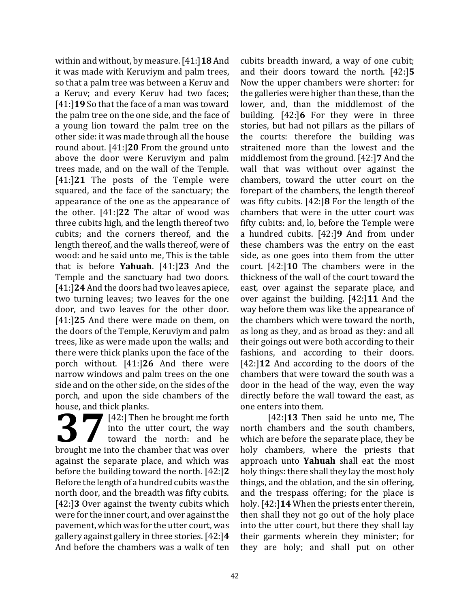within and without, by measure. [41:]**18** And it was made with Keruviym and palm trees, so that a palm tree was between a Keruv and a Keruv; and every Keruv had two faces; [41:]**19** So that the face of a man was toward the palm tree on the one side, and the face of a young lion toward the palm tree on the other side: it was made through all the house round about. [41:]**20** From the ground unto above the door were Keruviym and palm trees made, and on the wall of the Temple. [41:]**21** The posts of the Temple were squared, and the face of the sanctuary; the appearance of the one as the appearance of the other. [41:]**22** The altar of wood was three cubits high, and the length thereof two cubits; and the corners thereof, and the length thereof, and the walls thereof, were of wood: and he said unto me, This is the table that is before **Yahuah**. [41:]**23** And the Temple and the sanctuary had two doors. [41:]**24** And the doors had two leaves apiece, two turning leaves; two leaves for the one door, and two leaves for the other door. [41:]**25** And there were made on them, on the doors of the Temple, Keruviym and palm trees, like as were made upon the walls; and there were thick planks upon the face of the porch without. [41:]**26** And there were narrow windows and palm trees on the one side and on the other side, on the sides of the porch, and upon the side chambers of the house, and thick planks.

[42:] Then he brought me forth into the utter court, the way toward the north: and he **37** [42:] Then he brought me forth<br>
into the utter court, the way<br>
brought me into the chamber that was over against the separate place, and which was before the building toward the north. [42:]**2** Before the length of a hundred cubits was the north door, and the breadth was fifty cubits. [42:]**3** Over against the twenty cubits which were for the inner court, and over against the pavement, which was for the utter court, was gallery against gallery in three stories. [42:]**4**  And before the chambers was a walk of ten

cubits breadth inward, a way of one cubit; and their doors toward the north. [42:]**5** Now the upper chambers were shorter: for the galleries were higher than these, than the lower, and, than the middlemost of the building. [42:]**6** For they were in three stories, but had not pillars as the pillars of the courts: therefore the building was straitened more than the lowest and the middlemost from the ground. [42:]**7** And the wall that was without over against the chambers, toward the utter court on the forepart of the chambers, the length thereof was fifty cubits. [42:]**8** For the length of the chambers that were in the utter court was fifty cubits: and, lo, before the Temple were a hundred cubits. [42:]**9** And from under these chambers was the entry on the east side, as one goes into them from the utter court. [42:]**10** The chambers were in the thickness of the wall of the court toward the east, over against the separate place, and over against the building. [42:]**11** And the way before them was like the appearance of the chambers which were toward the north, as long as they, and as broad as they: and all their goings out were both according to their fashions, and according to their doors. [42:]**12** And according to the doors of the chambers that were toward the south was a door in the head of the way, even the way directly before the wall toward the east, as one enters into them.

[42:]**13** Then said he unto me, The north chambers and the south chambers, which are before the separate place, they be holy chambers, where the priests that approach unto **Yahuah** shall eat the most holy things: there shall they lay the most holy things, and the oblation, and the sin offering, and the trespass offering; for the place is holy. [42:]**14** When the priests enter therein, then shall they not go out of the holy place into the utter court, but there they shall lay their garments wherein they minister; for they are holy; and shall put on other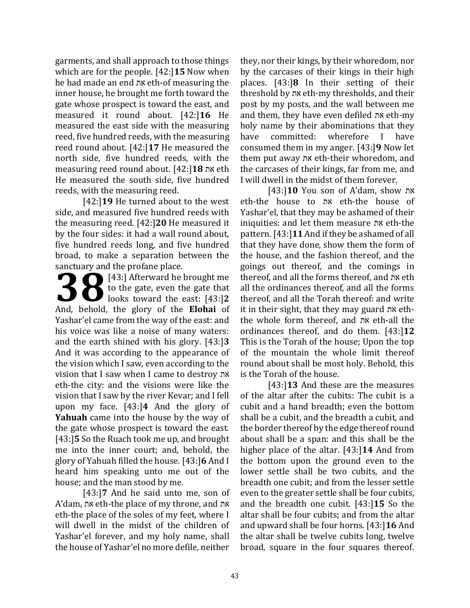garments, and shall approach to those things which are for the people. [42:]**15** Now when he had made an end את eth-of measuring the inner house, he brought me forth toward the gate whose prospect is toward the east, and measured it round about. [42:]**16** He measured the east side with the measuring reed, five hundred reeds, with the measuring reed round about. [42:]**17** He measured the north side, five hundred reeds, with the measuring reed round about. [42:]**18** את eth He measured the south side, five hundred reeds, with the measuring reed.

[42:]**19** He turned about to the west side, and measured five hundred reeds with the measuring reed. [42:]**20** He measured it by the four sides: it had a wall round about, five hundred reeds long, and five hundred broad, to make a separation between the sanctuary and the profane place.

[43:] Afterward he brought me to the gate, even the gate that **1989** (43:) Afterward he brought me<br>to the gate, even the gate that<br>looks toward the east: [43:]2 And, behold, the glory of the **Elohai** of Yashar'el came from the way of the east: and his voice was like a noise of many waters: and the earth shined with his glory. [43:]**3** And it was according to the appearance of the vision which I saw, even according to the vision that I saw when I came to destroy את eth-the city: and the visions were like the vision that I saw by the river Kevar; and I fell upon my face. [43:]**4** And the glory of **Yahuah** came into the house by the way of the gate whose prospect is toward the east. [43:]**5** So the Ruach took me up, and brought me into the inner court; and, behold, the glory of Yahuah filled the house. [43:]**6** And I heard him speaking unto me out of the house; and the man stood by me.

[43:]**7** And he said unto me, son of A'dam, את eth-the place of my throne, and את eth-the place of the soles of my feet, where I will dwell in the midst of the children of Yashar'el forever, and my holy name, shall the house of Yashar'el no more defile, neither

they, nor their kings, by their whoredom, nor by the carcases of their kings in their high places. [43:]**8** In their setting of their threshold by את eth-my thresholds, and their post by my posts, and the wall between me and them, they have even defiled את eth-my holy name by their abominations that they have committed: wherefore I have consumed them in my anger. [43:]**9** Now let them put away את eth-their whoredom, and the carcases of their kings, far from me, and I will dwell in the midst of them forever.

[43:]**10** You son of A'dam, show את eth-the house to את eth-the house of Yashar'el, that they may be ashamed of their iniquities: and let them measure את eth-the pattern. [43:]**11** And if they be ashamed of all that they have done, show them the form of the house, and the fashion thereof, and the goings out thereof, and the comings in thereof, and all the forms thereof, and את eth all the ordinances thereof, and all the forms thereof, and all the Torah thereof: and write it in their sight, that they may guard את eththe whole form thereof, and את eth-all the ordinances thereof, and do them. [43:]**12**  This is the Torah of the house; Upon the top of the mountain the whole limit thereof round about shall be most holy. Behold, this is the Torah of the house.

[43:]**13** And these are the measures of the altar after the cubits: The cubit is a cubit and a hand breadth; even the bottom shall be a cubit, and the breadth a cubit, and the border thereof by the edge thereof round about shall be a span: and this shall be the higher place of the altar. [43:]**14** And from the bottom upon the ground even to the lower settle shall be two cubits, and the breadth one cubit; and from the lesser settle even to the greater settle shall be four cubits, and the breadth one cubit. [43:]**15** So the altar shall be four cubits; and from the altar and upward shall be four horns. [43:]**16** And the altar shall be twelve cubits long, twelve broad, square in the four squares thereof.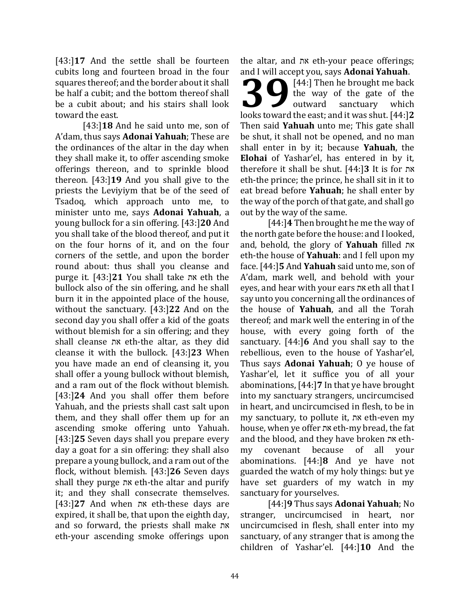[43:]**17** And the settle shall be fourteen cubits long and fourteen broad in the four squares thereof; and the border about it shall be half a cubit; and the bottom thereof shall be a cubit about; and his stairs shall look toward the east.

[43:]**18** And he said unto me, son of A'dam, thus says **Adonai Yahuah**; These are the ordinances of the altar in the day when they shall make it, to offer ascending smoke offerings thereon, and to sprinkle blood thereon. [43:]**19** And you shall give to the priests the Leviyiym that be of the seed of Tsadoq, which approach unto me, to minister unto me, says **Adonai Yahuah**, a young bullock for a sin offering. [43:]**20** And you shall take of the blood thereof, and put it on the four horns of it, and on the four corners of the settle, and upon the border round about: thus shall you cleanse and purge it. [43:]**21** You shall take את eth the bullock also of the sin offering, and he shall burn it in the appointed place of the house, without the sanctuary. [43:]**22** And on the second day you shall offer a kid of the goats without blemish for a sin offering; and they shall cleanse את eth-the altar, as they did cleanse it with the bullock. [43:]**23** When you have made an end of cleansing it, you shall offer a young bullock without blemish, and a ram out of the flock without blemish. [43:]**24** And you shall offer them before Yahuah, and the priests shall cast salt upon them, and they shall offer them up for an ascending smoke offering unto Yahuah. [43:]**25** Seven days shall you prepare every day a goat for a sin offering: they shall also prepare a young bullock, and a ram out of the flock, without blemish. [43:]**26** Seven days shall they purge את eth-the altar and purify it; and they shall consecrate themselves. [43:]**27** And when את eth-these days are expired, it shall be, that upon the eighth day, and so forward, the priests shall make את eth-your ascending smoke offerings upon

the altar, and את eth-your peace offerings; and I will accept you, says **Adonai Yahuah**.

[44:] Then he brought me back the way of the gate of the outward sanctuary which **1998** (44:) Then he brought me back<br>the way of the gate of the<br>looks toward the east; and it was shut. [44:]2 Then said **Yahuah** unto me; This gate shall be shut, it shall not be opened, and no man shall enter in by it; because **Yahuah**, the **Elohai** of Yashar'el, has entered in by it, therefore it shall be shut. [44:]**3** It is for את eth-the prince; the prince, he shall sit in it to eat bread before **Yahuah**; he shall enter by the way of the porch of that gate, and shall go out by the way of the same.

[44:]**4** Then brought he me the way of the north gate before the house: and I looked, and, behold, the glory of **Yahuah** filled את eth-the house of **Yahuah**: and I fell upon my face. [44:]**5** And **Yahuah** said unto me, son of A'dam, mark well, and behold with your eyes, and hear with your ears את eth all that I say unto you concerning all the ordinances of the house of **Yahuah**, and all the Torah thereof; and mark well the entering in of the house, with every going forth of the sanctuary. [44:]**6** And you shall say to the rebellious, even to the house of Yashar'el, Thus says **Adonai Yahuah**; O ye house of Yashar'el, let it suffice you of all your abominations, [44:]**7** In that ye have brought into my sanctuary strangers, uncircumcised in heart, and uncircumcised in flesh, to be in my sanctuary, to pollute it, את eth-even my house, when ye offer את eth-my bread, the fat and the blood, and they have broken את ethmy covenant because of all your abominations. [44:]**8** And ye have not guarded the watch of my holy things: but ye have set guarders of my watch in my sanctuary for yourselves.

[44:]**9** Thus says **Adonai Yahuah**; No stranger, uncircumcised in heart, nor uncircumcised in flesh, shall enter into my sanctuary, of any stranger that is among the children of Yashar'el. [44:]**10** And the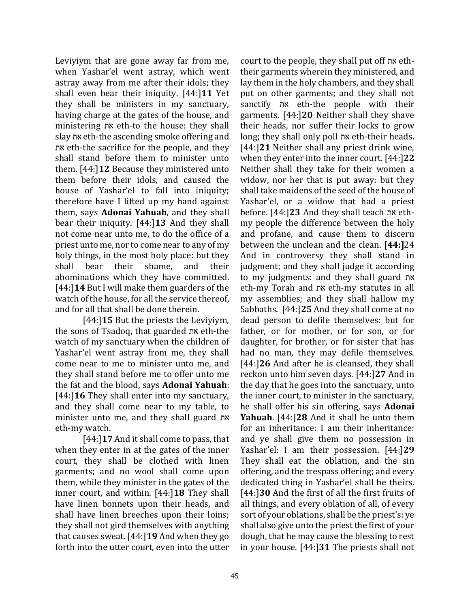Leviyiym that are gone away far from me, when Yashar'el went astray, which went astray away from me after their idols; they shall even bear their iniquity. [44:]**11** Yet they shall be ministers in my sanctuary, having charge at the gates of the house, and ministering את eth-to the house: they shall slay את eth-the ascending smoke offering and את eth-the sacrifice for the people, and they shall stand before them to minister unto them. [44:]**12** Because they ministered unto them before their idols, and caused the house of Yashar'el to fall into iniquity; therefore have I lifted up my hand against them, says **Adonai Yahuah**, and they shall bear their iniquity. [44:]**13** And they shall not come near unto me, to do the office of a priest unto me, nor to come near to any of my holy things, in the most holy place: but they shall bear their shame, and their abominations which they have committed. [44:]**14** But I will make them guarders of the watch of the house, for all the service thereof, and for all that shall be done therein.

[44:]**15** But the priests the Leviyiym, the sons of Tsadoq, that guarded את eth-the watch of my sanctuary when the children of Yashar'el went astray from me, they shall come near to me to minister unto me, and they shall stand before me to offer unto me the fat and the blood, says **Adonai Yahuah**: [44:]**16** They shall enter into my sanctuary, and they shall come near to my table, to minister unto me, and they shall guard את eth-my watch.

[44:]**17** And it shall come to pass, that when they enter in at the gates of the inner court, they shall be clothed with linen garments; and no wool shall come upon them, while they minister in the gates of the inner court, and within. [44:]**18** They shall have linen bonnets upon their heads, and shall have linen breeches upon their loins; they shall not gird themselves with anything that causes sweat. [44:]**19** And when they go forth into the utter court, even into the utter

court to the people, they shall put off את eththeir garments wherein they ministered, and lay them in the holy chambers, and they shall put on other garments; and they shall not sanctify את eth-the people with their garments. [44:]**20** Neither shall they shave their heads, nor suffer their locks to grow long; they shall only poll את eth-their heads. [44:]**21** Neither shall any priest drink wine, when they enter into the inner court. [44:]**22** Neither shall they take for their women a widow, nor her that is put away: but they shall take maidens of the seed of the house of Yashar'el, or a widow that had a priest before. [44:]**23** And they shall teach את ethmy people the difference between the holy and profane, and cause them to discern between the unclean and the clean. **[44:]**24 And in controversy they shall stand in judgment; and they shall judge it according to my judgments: and they shall guard את eth-my Torah and את eth-my statutes in all my assemblies; and they shall hallow my Sabbaths. [44:]**25** And they shall come at no dead person to defile themselves: but for father, or for mother, or for son, or for daughter, for brother, or for sister that has had no man, they may defile themselves. [44:]**26** And after he is cleansed, they shall reckon unto him seven days. [44:]**27** And in the day that he goes into the sanctuary, unto the inner court, to minister in the sanctuary, he shall offer his sin offering, says **Adonai Yahuah**. [44:]**28** And it shall be unto them for an inheritance: I am their inheritance: and ye shall give them no possession in Yashar'el: I am their possession. [44:]**29** They shall eat the oblation, and the sin offering, and the trespass offering; and every dedicated thing in Yashar'el shall be theirs. [44:]**30** And the first of all the first fruits of all things, and every oblation of all, of every sort of your oblations, shall be the priest's: ye shall also give unto the priest the first of your dough, that he may cause the blessing to rest in your house. [44:]**31** The priests shall not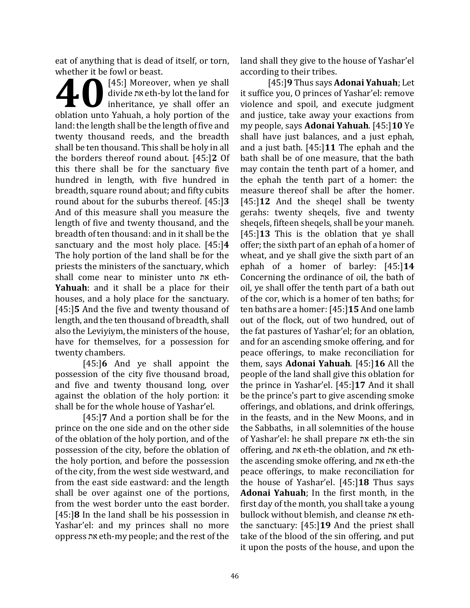eat of anything that is dead of itself, or torn, whether it be fowl or beast.

[45:] Moreover, when ye shall divide את eth-by lot the land for inheritance, ye shall offer an **doologiers** (45:) Moreover, when ye shall<br>divide  $n$ s eth-by lot the land for<br>inheritance, ye shall offer an<br>oblation unto Yahuah, a holy portion of the land: the length shall be the length of five and twenty thousand reeds, and the breadth shall be ten thousand. This shall be holy in all the borders thereof round about. [45:]**2** Of this there shall be for the sanctuary five hundred in length, with five hundred in breadth, square round about; and fifty cubits round about for the suburbs thereof. [45:]**3** And of this measure shall you measure the length of five and twenty thousand, and the breadth of ten thousand: and in it shall be the sanctuary and the most holy place. [45:]**4** The holy portion of the land shall be for the priests the ministers of the sanctuary, which shall come near to minister unto את eth-**Yahuah**: and it shall be a place for their houses, and a holy place for the sanctuary. [45:]**5** And the five and twenty thousand of length, and the ten thousand of breadth, shall also the Leviyiym, the ministers of the house, have for themselves, for a possession for twenty chambers.

[45:]**6** And ye shall appoint the possession of the city five thousand broad, and five and twenty thousand long, over against the oblation of the holy portion: it shall be for the whole house of Yashar'el.

[45:]**7** And a portion shall be for the prince on the one side and on the other side of the oblation of the holy portion, and of the possession of the city, before the oblation of the holy portion, and before the possession of the city, from the west side westward, and from the east side eastward: and the length shall be over against one of the portions, from the west border unto the east border. [45:]**8** In the land shall be his possession in Yashar'el: and my princes shall no more oppress את eth-my people; and the rest of the land shall they give to the house of Yashar'el according to their tribes.

[45:]**9** Thus says **Adonai Yahuah**; Let it suffice you, O princes of Yashar'el: remove violence and spoil, and execute judgment and justice, take away your exactions from my people, says **Adonai Yahuah**. [45:]**10** Ye shall have just balances, and a just ephah, and a just bath. [45:]**11** The ephah and the bath shall be of one measure, that the bath may contain the tenth part of a homer, and the ephah the tenth part of a homer: the measure thereof shall be after the homer. [45:]**12** And the sheqel shall be twenty gerahs: twenty sheqels, five and twenty sheqels, fifteen sheqels, shall be your maneh. [45:]**13** This is the oblation that ye shall offer; the sixth part of an ephah of a homer of wheat, and ye shall give the sixth part of an ephah of a homer of barley: [45:]**14**  Concerning the ordinance of oil, the bath of oil, ye shall offer the tenth part of a bath out of the cor, which is a homer of ten baths; for ten baths are a homer: [45:]**15** And one lamb out of the flock, out of two hundred, out of the fat pastures of Yashar'el; for an oblation, and for an ascending smoke offering, and for peace offerings, to make reconciliation for them, says **Adonai Yahuah**. [45:]**16** All the people of the land shall give this oblation for the prince in Yashar'el. [45:]**17** And it shall be the prince's part to give ascending smoke offerings, and oblations, and drink offerings, in the feasts, and in the New Moons, and in the Sabbaths, in all solemnities of the house of Yashar'el: he shall prepare את eth-the sin offering, and את eth-the oblation, and את eththe ascending smoke offering, and את eth-the peace offerings, to make reconciliation for the house of Yashar'el. [45:]**18** Thus says **Adonai Yahuah**; In the first month, in the first day of the month, you shall take a young bullock without blemish, and cleanse את eththe sanctuary: [45:]**19** And the priest shall take of the blood of the sin offering, and put it upon the posts of the house, and upon the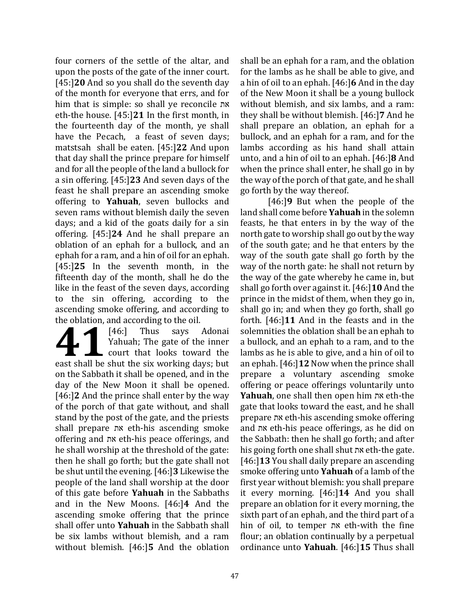four corners of the settle of the altar, and upon the posts of the gate of the inner court. [45:]**20** And so you shall do the seventh day of the month for everyone that errs, and for him that is simple: so shall ye reconcile את eth-the house. [45:]**21** In the first month, in the fourteenth day of the month, ye shall have the Pecach, a feast of seven days; matstsah shall be eaten. [45:]**22** And upon that day shall the prince prepare for himself and for all the people of the land a bullock for a sin offering. [45:]**23** And seven days of the feast he shall prepare an ascending smoke offering to **Yahuah**, seven bullocks and seven rams without blemish daily the seven days; and a kid of the goats daily for a sin offering. [45:]**24** And he shall prepare an oblation of an ephah for a bullock, and an ephah for a ram, and a hin of oil for an ephah. [45:]**25** In the seventh month, in the fifteenth day of the month, shall he do the like in the feast of the seven days, according to the sin offering, according to the ascending smoke offering, and according to the oblation, and according to the oil.

[46:] Thus says Adonai Yahuah; The gate of the inner court that looks toward the East shall be shut the six working days; but<br>
and the shut the six working days; but on the Sabbath it shall be opened, and in the day of the New Moon it shall be opened. [46:]**2** And the prince shall enter by the way of the porch of that gate without, and shall stand by the post of the gate, and the priests shall prepare את eth-his ascending smoke offering and את eth-his peace offerings, and he shall worship at the threshold of the gate: then he shall go forth; but the gate shall not be shut until the evening. [46:]**3** Likewise the people of the land shall worship at the door of this gate before **Yahuah** in the Sabbaths and in the New Moons. [46:]**4** And the ascending smoke offering that the prince shall offer unto **Yahuah** in the Sabbath shall be six lambs without blemish, and a ram without blemish. [46:]**5** And the oblation

shall be an ephah for a ram, and the oblation for the lambs as he shall be able to give, and a hin of oil to an ephah. [46:]**6** And in the day of the New Moon it shall be a young bullock without blemish, and six lambs, and a ram: they shall be without blemish. [46:]**7** And he shall prepare an oblation, an ephah for a bullock, and an ephah for a ram, and for the lambs according as his hand shall attain unto, and a hin of oil to an ephah. [46:]**8** And when the prince shall enter, he shall go in by the way of the porch of that gate, and he shall go forth by the way thereof.

[46:]**9** But when the people of the land shall come before **Yahuah** in the solemn feasts, he that enters in by the way of the north gate to worship shall go out by the way of the south gate; and he that enters by the way of the south gate shall go forth by the way of the north gate: he shall not return by the way of the gate whereby he came in, but shall go forth over against it. [46:]**10** And the prince in the midst of them, when they go in, shall go in; and when they go forth, shall go forth. [46:]**11** And in the feasts and in the solemnities the oblation shall be an ephah to a bullock, and an ephah to a ram, and to the lambs as he is able to give, and a hin of oil to an ephah. [46:]**12** Now when the prince shall prepare a voluntary ascending smoke offering or peace offerings voluntarily unto **Yahuah**, one shall then open him את eth-the gate that looks toward the east, and he shall prepare את eth-his ascending smoke offering and את eth-his peace offerings, as he did on the Sabbath: then he shall go forth; and after his going forth one shall shut את eth-the gate. [46:]**13** You shall daily prepare an ascending smoke offering unto **Yahuah** of a lamb of the first year without blemish: you shall prepare it every morning. [46:]**14** And you shall prepare an oblation for it every morning, the sixth part of an ephah, and the third part of a hin of oil, to temper את eth-with the fine flour; an oblation continually by a perpetual ordinance unto **Yahuah**. [46:]**15** Thus shall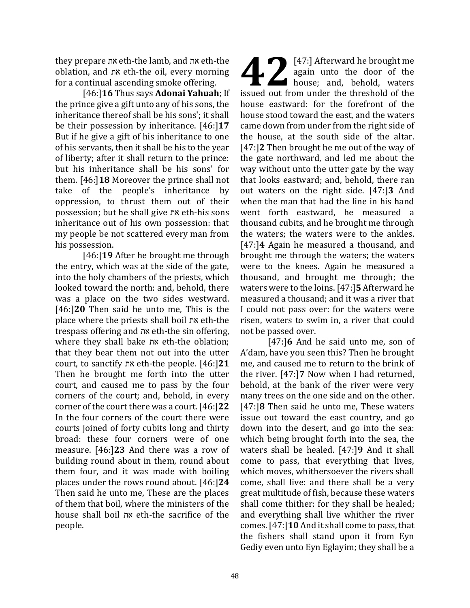they prepare את eth-the lamb, and את eth-the oblation, and את eth-the oil, every morning for a continual ascending smoke offering.

[46:]**16** Thus says **Adonai Yahuah**; If the prince give a gift unto any of his sons, the inheritance thereof shall be his sons'; it shall be their possession by inheritance. [46:]**17** But if he give a gift of his inheritance to one of his servants, then it shall be his to the year of liberty; after it shall return to the prince: but his inheritance shall be his sons' for them. [46:]**18** Moreover the prince shall not take of the people's inheritance by oppression, to thrust them out of their possession; but he shall give את eth-his sons inheritance out of his own possession: that my people be not scattered every man from his possession.

[46:]**19** After he brought me through the entry, which was at the side of the gate, into the holy chambers of the priests, which looked toward the north: and, behold, there was a place on the two sides westward. [46:]**20** Then said he unto me, This is the place where the priests shall boil את eth-the trespass offering and את eth-the sin offering, where they shall bake את eth-the oblation; that they bear them not out into the utter court, to sanctify את eth-the people. [46:]**21** Then he brought me forth into the utter court, and caused me to pass by the four corners of the court; and, behold, in every corner of the court there was a court. [46:]**22** In the four corners of the court there were courts joined of forty cubits long and thirty broad: these four corners were of one measure. [46:]**23** And there was a row of building round about in them, round about them four, and it was made with boiling places under the rows round about. [46:]**24** Then said he unto me, These are the places of them that boil, where the ministers of the house shall boil את eth-the sacrifice of the people.

[47:] Afterward he brought me again unto the door of the house; and, behold, waters **147:** Afterward he brought me again unto the door of the house; and, behold, waters issued out from under the threshold of the house eastward: for the forefront of the house stood toward the east, and the waters came down from under from the right side of the house, at the south side of the altar. [47:]**2** Then brought he me out of the way of the gate northward, and led me about the way without unto the utter gate by the way that looks eastward; and, behold, there ran out waters on the right side. [47:]**3** And when the man that had the line in his hand went forth eastward, he measured a thousand cubits, and he brought me through the waters; the waters were to the ankles. [47:]**4** Again he measured a thousand, and brought me through the waters; the waters were to the knees. Again he measured a thousand, and brought me through; the waters were to the loins. [47:]**5** Afterward he measured a thousand; and it was a river that I could not pass over: for the waters were risen, waters to swim in, a river that could not be passed over.

[47:]**6** And he said unto me, son of A'dam, have you seen this? Then he brought me, and caused me to return to the brink of the river. [47:]**7** Now when I had returned, behold, at the bank of the river were very many trees on the one side and on the other. [47:]**8** Then said he unto me, These waters issue out toward the east country, and go down into the desert, and go into the sea: which being brought forth into the sea, the waters shall be healed. [47:]**9** And it shall come to pass, that everything that lives, which moves, whithersoever the rivers shall come, shall live: and there shall be a very great multitude of fish, because these waters shall come thither: for they shall be healed; and everything shall live whither the river comes. [47:]**10** And it shall come to pass, that the fishers shall stand upon it from Eyn Gediy even unto Eyn Eglayim; they shall be a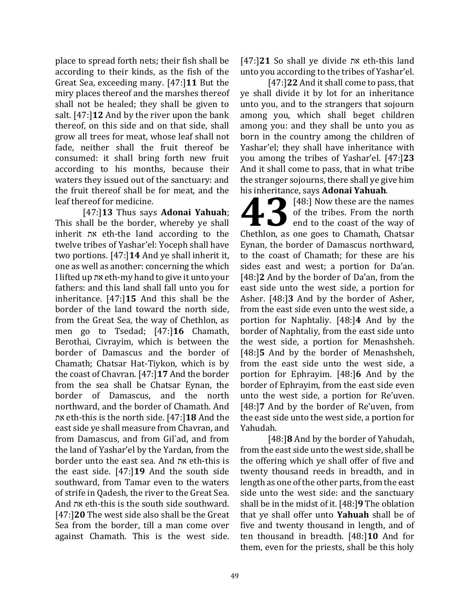place to spread forth nets; their fish shall be according to their kinds, as the fish of the Great Sea, exceeding many. [47:]**11** But the miry places thereof and the marshes thereof shall not be healed; they shall be given to salt. [47:]**12** And by the river upon the bank thereof, on this side and on that side, shall grow all trees for meat, whose leaf shall not fade, neither shall the fruit thereof be consumed: it shall bring forth new fruit according to his months, because their waters they issued out of the sanctuary: and the fruit thereof shall be for meat, and the leaf thereof for medicine.

[47:]**13** Thus says **Adonai Yahuah**; This shall be the border, whereby ye shall inherit את eth-the land according to the twelve tribes of Yashar'el: Yoceph shall have two portions. [47:]**14** And ye shall inherit it, one as well as another: concerning the which I lifted up את eth-my hand to give it unto your fathers: and this land shall fall unto you for inheritance. [47:]**15** And this shall be the border of the land toward the north side, from the Great Sea, the way of Chethlon, as men go to Tsedad; [47:]**16** Chamath, Berothai, Civrayim, which is between the border of Damascus and the border of Chamath; Chatsar Hat-Tiykon, which is by the coast of Chavran. [47:]**17** And the border from the sea shall be Chatsar Eynan, the border of Damascus, and the north northward, and the border of Chamath. And את eth-this is the north side. [47:]**18** And the east side ye shall measure from Chavran, and from Damascus, and from Gil`ad, and from the land of Yashar'el by the Yardan, from the border unto the east sea. And את eth-this is the east side. [47:]**19** And the south side southward, from Tamar even to the waters of strife in Qadesh, the river to the Great Sea. And את eth-this is the south side southward. [47:]**20** The west side also shall be the Great Sea from the border, till a man come over against Chamath. This is the west side.

[47:]**21** So shall ye divide את eth-this land unto you according to the tribes of Yashar'el.

[47:]**22** And it shall come to pass, that ye shall divide it by lot for an inheritance unto you, and to the strangers that sojourn among you, which shall beget children among you: and they shall be unto you as born in the country among the children of Yashar'el; they shall have inheritance with you among the tribes of Yashar'el. [47:]**23** And it shall come to pass, that in what tribe the stranger sojourns, there shall ye give him his inheritance, says **Adonai Yahuah**.

**[48:]** Now these are the names of the tribes. From the north end to the coast of the way of **148:** Now these are the names<br>of the tribes. From the north<br>end to the coast of the way of<br>Chethlon, as one goes to Chamath, Chatsar Eynan, the border of Damascus northward, to the coast of Chamath; for these are his sides east and west; a portion for Da'an. [48:]**2** And by the border of Da'an, from the east side unto the west side, a portion for Asher. [48:]**3** And by the border of Asher, from the east side even unto the west side, a portion for Naphtaliy. [48:]**4** And by the border of Naphtaliy, from the east side unto the west side, a portion for Menashsheh. [48:]**5** And by the border of Menashsheh, from the east side unto the west side, a portion for Ephrayim. [48:]**6** And by the border of Ephrayim, from the east side even unto the west side, a portion for Re'uven. [48:]**7** And by the border of Re'uven, from the east side unto the west side, a portion for Yahudah.

[48:]**8** And by the border of Yahudah, from the east side unto the west side, shall be the offering which ye shall offer of five and twenty thousand reeds in breadth, and in length as one of the other parts, from the east side unto the west side: and the sanctuary shall be in the midst of it. [48:]**9** The oblation that ye shall offer unto **Yahuah** shall be of five and twenty thousand in length, and of ten thousand in breadth. [48:]**10** And for them, even for the priests, shall be this holy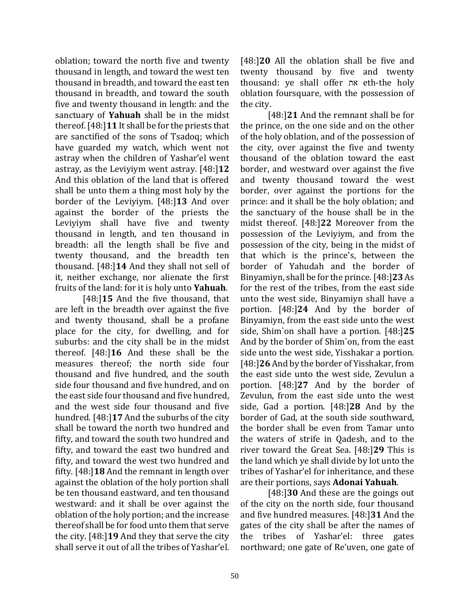oblation; toward the north five and twenty thousand in length, and toward the west ten thousand in breadth, and toward the east ten thousand in breadth, and toward the south five and twenty thousand in length: and the sanctuary of **Yahuah** shall be in the midst thereof. [48:]**11** It shall be for the priests that are sanctified of the sons of Tsadoq; which have guarded my watch, which went not astray when the children of Yashar'el went astray, as the Leviyiym went astray. [48:]**12** And this oblation of the land that is offered shall be unto them a thing most holy by the border of the Leviyiym. [48:]**13** And over against the border of the priests the Leviyiym shall have five and twenty thousand in length, and ten thousand in breadth: all the length shall be five and twenty thousand, and the breadth ten thousand. [48:]**14** And they shall not sell of it, neither exchange, nor alienate the first fruits of the land: for it is holy unto **Yahuah**.

[48:]**15** And the five thousand, that are left in the breadth over against the five and twenty thousand, shall be a profane place for the city, for dwelling, and for suburbs: and the city shall be in the midst thereof. [48:]**16** And these shall be the measures thereof; the north side four thousand and five hundred, and the south side four thousand and five hundred, and on the east side four thousand and five hundred, and the west side four thousand and five hundred. [48:]**17** And the suburbs of the city shall be toward the north two hundred and fifty, and toward the south two hundred and fifty, and toward the east two hundred and fifty, and toward the west two hundred and fifty. [48:]**18** And the remnant in length over against the oblation of the holy portion shall be ten thousand eastward, and ten thousand westward: and it shall be over against the oblation of the holy portion; and the increase thereof shall be for food unto them that serve the city. [48:]**19** And they that serve the city shall serve it out of all the tribes of Yashar'el.

[48:]**20** All the oblation shall be five and twenty thousand by five and twenty thousand: ye shall offer את eth-the holy oblation foursquare, with the possession of the city.

[48:]**21** And the remnant shall be for the prince, on the one side and on the other of the holy oblation, and of the possession of the city, over against the five and twenty thousand of the oblation toward the east border, and westward over against the five and twenty thousand toward the west border, over against the portions for the prince: and it shall be the holy oblation; and the sanctuary of the house shall be in the midst thereof. [48:]**22** Moreover from the possession of the Leviyiym, and from the possession of the city, being in the midst of that which is the prince's, between the border of Yahudah and the border of Binyamiyn, shall be for the prince. [48:]**23** As for the rest of the tribes, from the east side unto the west side, Binyamiyn shall have a portion. [48:]**24** And by the border of Binyamiyn, from the east side unto the west side, Shim`on shall have a portion. [48:]**25**  And by the border of Shim`on, from the east side unto the west side, Yisshakar a portion. [48:]**26** And by the border of Yisshakar, from the east side unto the west side, Zevulun a portion. [48:]**27** And by the border of Zevulun, from the east side unto the west side, Gad a portion. [48:]**28** And by the border of Gad, at the south side southward, the border shall be even from Tamar unto the waters of strife in Qadesh, and to the river toward the Great Sea. [48:]**29** This is the land which ye shall divide by lot unto the tribes of Yashar'el for inheritance, and these are their portions, says **Adonai Yahuah**.

[48:]**30** And these are the goings out of the city on the north side, four thousand and five hundred measures. [48:]**31** And the gates of the city shall be after the names of the tribes of Yashar'el: three gates northward; one gate of Re'uven, one gate of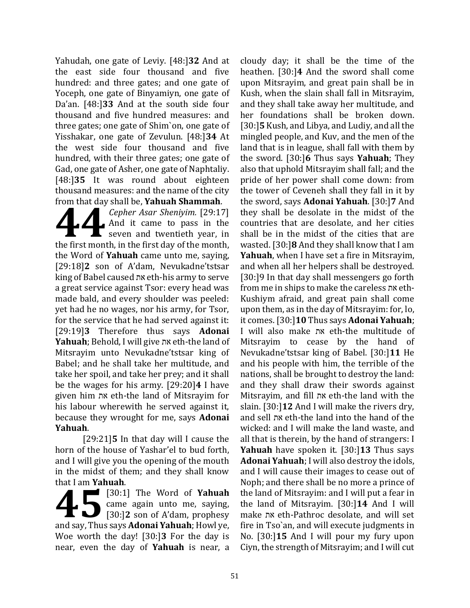Yahudah, one gate of Leviy. [48:]**32** And at the east side four thousand and five hundred: and three gates; and one gate of Yoceph, one gate of Binyamiyn, one gate of Da'an. [48:]**33** And at the south side four thousand and five hundred measures: and three gates; one gate of Shim`on, one gate of Yisshakar, one gate of Zevulun. [48:]**34** At the west side four thousand and five hundred, with their three gates; one gate of Gad, one gate of Asher, one gate of Naphtaliy. [48:]**35** It was round about eighteen thousand measures: and the name of the city from that day shall be, **Yahuah Shammah**.

*Cepher Asar Sheniyim.* [29:17] And it came to pass in the  $\Gamma$  seven and twentieth year, in **19.17]**<br>**19.17** Cepher Asar Sheniyim. [29:17]<br>And it came to pass in the<br>seven and twentieth year, in<br>the first month, in the first day of the month, the Word of **Yahuah** came unto me, saying, [29:18]**2** son of A'dam, Nevukadne'tstsar king of Babel caused את eth-his army to serve a great service against Tsor: every head was made bald, and every shoulder was peeled: yet had he no wages, nor his army, for Tsor, for the service that he had served against it: [29:19]**3** Therefore thus says **Adonai Yahuah**; Behold, I will give את eth-the land of Mitsrayim unto Nevukadne'tstsar king of Babel; and he shall take her multitude, and take her spoil, and take her prey; and it shall be the wages for his army. [29:20]**4** I have given him את eth-the land of Mitsrayim for his labour wherewith he served against it, because they wrought for me, says **Adonai Yahuah**.

[29:21]**5** In that day will I cause the horn of the house of Yashar'el to bud forth, and I will give you the opening of the mouth in the midst of them; and they shall know that I am **Yahuah**.

[30:1] The Word of **Yahuah** came again unto me, saying, **130:1]** The Word of Yahuah<br>came again unto me, saying,<br>[30:]2 son of A'dam, prophesy and say, Thus says **Adonai Yahuah**; Howl ye, Woe worth the day! [30:]**3** For the day is near, even the day of **Yahuah** is near, a

cloudy day; it shall be the time of the heathen. [30:]**4** And the sword shall come upon Mitsrayim, and great pain shall be in Kush, when the slain shall fall in Mitsrayim, and they shall take away her multitude, and her foundations shall be broken down. [30:]**5** Kush, and Libya, and Ludiy, and all the mingled people, and Kuv, and the men of the land that is in league, shall fall with them by the sword. [30:]**6** Thus says **Yahuah**; They also that uphold Mitsrayim shall fall; and the pride of her power shall come down: from the tower of Ceveneh shall they fall in it by the sword, says **Adonai Yahuah**. [30:]**7** And they shall be desolate in the midst of the countries that are desolate, and her cities shall be in the midst of the cities that are wasted. [30:]**8** And they shall know that I am **Yahuah**, when I have set a fire in Mitsrayim, and when all her helpers shall be destroyed. [30:]9 In that day shall messengers go forth from me in ships to make the careless את eth-Kushiym afraid, and great pain shall come upon them, as in the day of Mitsrayim: for, lo, it comes. [30:]**10** Thus says **Adonai Yahuah**; I will also make את eth-the multitude of Mitsrayim to cease by the hand of Nevukadne'tstsar king of Babel. [30:]**11** He and his people with him, the terrible of the nations, shall be brought to destroy the land: and they shall draw their swords against Mitsrayim, and fill את eth-the land with the slain. [30:]**12** And I will make the rivers dry, and sell את eth-the land into the hand of the wicked: and I will make the land waste, and all that is therein, by the hand of strangers: I **Yahuah** have spoken it. [30:]**13** Thus says **Adonai Yahuah**; I will also destroy the idols, and I will cause their images to cease out of Noph; and there shall be no more a prince of the land of Mitsrayim: and I will put a fear in the land of Mitsrayim. [30:]**14** And I will make את eth-Pathroc desolate, and will set fire in Tso`an, and will execute judgments in No. [30:]**15** And I will pour my fury upon Ciyn, the strength of Mitsrayim; and I will cut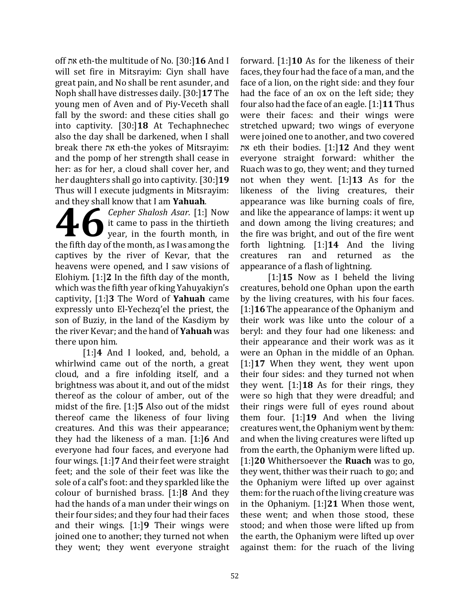off את eth-the multitude of No. [30:]**16** And I will set fire in Mitsrayim: Ciyn shall have great pain, and No shall be rent asunder, and Noph shall have distresses daily. [30:]**17** The young men of Aven and of Piy-Veceth shall fall by the sword: and these cities shall go into captivity. [30:]**18** At Techaphnechec also the day shall be darkened, when I shall break there את eth-the yokes of Mitsrayim: and the pomp of her strength shall cease in her: as for her, a cloud shall cover her, and her daughters shall go into captivity. [30:]**19** Thus will I execute judgments in Mitsrayim: and they shall know that I am **Yahuah**.

*Cepher Shalosh Asar.* [1:] Now it came to pass in the thirtieth year, in the fourth month, in **1998** Cepher Shalosh Asar. [1:] Now<br>it came to pass in the thirtieth<br>year, in the fourth month, in<br>the fifth day of the month, as I was among the captives by the river of Kevar, that the heavens were opened, and I saw visions of Elohiym. [1:]**2** In the fifth day of the month, which was the fifth year of king Yahuyakiyn's captivity, [1:]**3** The Word of **Yahuah** came expressly unto El-Yechezq'el the priest, the son of Buziy, in the land of the Kasdiym by the river Kevar; and the hand of **Yahuah** was there upon him.

[1:]**4** And I looked, and, behold, a whirlwind came out of the north, a great cloud, and a fire infolding itself, and a brightness was about it, and out of the midst thereof as the colour of amber, out of the midst of the fire. [1:]**5** Also out of the midst thereof came the likeness of four living creatures. And this was their appearance; they had the likeness of a man. [1:]**6** And everyone had four faces, and everyone had four wings. [1:]**7** And their feet were straight feet; and the sole of their feet was like the sole of a calf's foot: and they sparkled like the colour of burnished brass. [1:]**8** And they had the hands of a man under their wings on their four sides; and they four had their faces and their wings. [1:]**9** Their wings were joined one to another; they turned not when they went; they went everyone straight

forward. [1:]**10** As for the likeness of their faces, they four had the face of a man, and the face of a lion, on the right side: and they four had the face of an ox on the left side; they four also had the face of an eagle. [1:]**11** Thus were their faces: and their wings were stretched upward; two wings of everyone were joined one to another, and two covered את eth their bodies. [1:]**12** And they went everyone straight forward: whither the Ruach was to go, they went; and they turned not when they went. [1:]**13** As for the likeness of the living creatures, their appearance was like burning coals of fire, and like the appearance of lamps: it went up and down among the living creatures; and the fire was bright, and out of the fire went forth lightning. [1:]**14** And the living creatures ran and returned as the appearance of a flash of lightning.

[1:]**15** Now as I beheld the living creatures, behold one Ophan upon the earth by the living creatures, with his four faces. [1:]**16** The appearance of the Ophaniym and their work was like unto the colour of a beryl: and they four had one likeness: and their appearance and their work was as it were an Ophan in the middle of an Ophan. [1:]**17** When they went, they went upon their four sides: and they turned not when they went. [1:]**18** As for their rings, they were so high that they were dreadful; and their rings were full of eyes round about them four. [1:]**19** And when the living creatures went, the Ophaniym went by them: and when the living creatures were lifted up from the earth, the Ophaniym were lifted up. [1:]**20** Whithersoever the **Ruach** was to go, they went, thither was their ruach to go; and the Ophaniym were lifted up over against them: for the ruach of the living creature was in the Ophaniym. [1:]**21** When those went, these went; and when those stood, these stood; and when those were lifted up from the earth, the Ophaniym were lifted up over against them: for the ruach of the living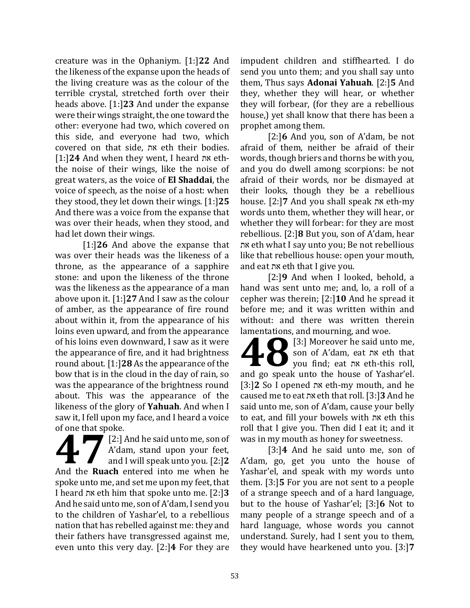creature was in the Ophaniym. [1:]**22** And the likeness of the expanse upon the heads of the living creature was as the colour of the terrible crystal, stretched forth over their heads above. [1:]**23** And under the expanse were their wings straight, the one toward the other: everyone had two, which covered on this side, and everyone had two, which covered on that side, את eth their bodies. [1:]**24** And when they went, I heard את eththe noise of their wings, like the noise of great waters, as the voice of **El Shaddai**, the voice of speech, as the noise of a host: when they stood, they let down their wings. [1:]**25**  And there was a voice from the expanse that was over their heads, when they stood, and had let down their wings.

[1:]**26** And above the expanse that was over their heads was the likeness of a throne, as the appearance of a sapphire stone: and upon the likeness of the throne was the likeness as the appearance of a man above upon it. [1:]**27** And I saw as the colour of amber, as the appearance of fire round about within it, from the appearance of his loins even upward, and from the appearance of his loins even downward, I saw as it were the appearance of fire, and it had brightness round about. [1:]**28** As the appearance of the bow that is in the cloud in the day of rain, so was the appearance of the brightness round about. This was the appearance of the likeness of the glory of **Yahuah**. And when I saw it, I fell upon my face, and I heard a voice of one that spoke.

[2:] And he said unto me, son of A'dam, stand upon your feet, and I will speak unto you. [2:]**2** Electrical Spoke.<br>
The Electrical enterprise and I will speak unto you. [2:]2<br>
And the **Ruach** entered into me when he spoke unto me, and set me upon my feet, that I heard את eth him that spoke unto me. [2:]**3** And he said unto me, son of A'dam, I send you to the children of Yashar'el, to a rebellious nation that has rebelled against me: they and their fathers have transgressed against me, even unto this very day. [2:]**4** For they are

impudent children and stiffhearted. I do send you unto them; and you shall say unto them, Thus says **Adonai Yahuah**. [2:]**5** And they, whether they will hear, or whether they will forbear, (for they are a rebellious house,) yet shall know that there has been a prophet among them.

[2:]**6** And you, son of A'dam, be not afraid of them, neither be afraid of their words, though briers and thorns be with you, and you do dwell among scorpions: be not afraid of their words, nor be dismayed at their looks, though they be a rebellious house. [2:]**7** And you shall speak את eth-my words unto them, whether they will hear, or whether they will forbear: for they are most rebellious. [2:]**8** But you, son of A'dam, hear את eth what I say unto you; Be not rebellious like that rebellious house: open your mouth, and eat את eth that I give you.

[2:]**9** And when I looked, behold, a hand was sent unto me; and, lo, a roll of a cepher was therein; [2:]**10** And he spread it before me; and it was written within and without: and there was written therein lamentations, and mourning, and woe.

[3:] Moreover he said unto me, son of A'dam, eat את eth that you find; eat את eth-this roll, and modifing, and woe.<br> **48**<br>
son of A'dam, eat nx eth that<br>
you find; eat nx eth-this roll,<br>
and go speak unto the house of Yashar'el. [3:]**2** So I opened את eth-my mouth, and he caused me to eat את eth that roll. [3:]**3** And he said unto me, son of A'dam, cause your belly to eat, and fill your bowels with את eth this roll that I give you. Then did I eat it; and it was in my mouth as honey for sweetness.

[3:]**4** And he said unto me, son of A'dam, go, get you unto the house of Yashar'el, and speak with my words unto them. [3:]**5** For you are not sent to a people of a strange speech and of a hard language, but to the house of Yashar'el; [3:]**6** Not to many people of a strange speech and of a hard language, whose words you cannot understand. Surely, had I sent you to them, they would have hearkened unto you. [3:]**7**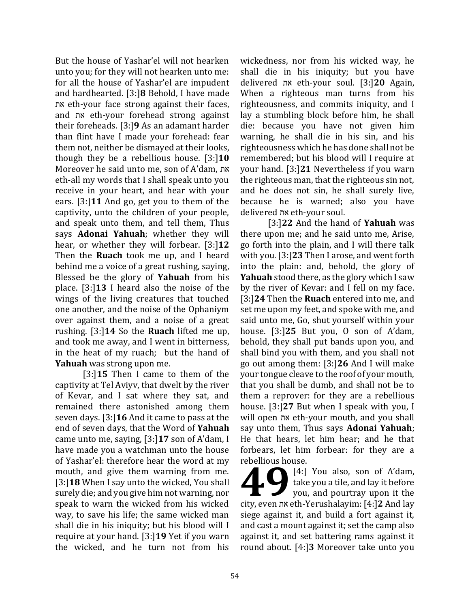But the house of Yashar'el will not hearken unto you; for they will not hearken unto me: for all the house of Yashar'el are impudent and hardhearted. [3:]**8** Behold, I have made את eth-your face strong against their faces, and את eth-your forehead strong against their foreheads. [3:]**9** As an adamant harder than flint have I made your forehead: fear them not, neither be dismayed at their looks, though they be a rebellious house. [3:]**10** Moreover he said unto me, son of A'dam, את eth-all my words that I shall speak unto you receive in your heart, and hear with your ears. [3:]**11** And go, get you to them of the captivity, unto the children of your people, and speak unto them, and tell them, Thus says **Adonai Yahuah**; whether they will hear, or whether they will forbear. [3:]**12** Then the **Ruach** took me up, and I heard behind me a voice of a great rushing, saying, Blessed be the glory of **Yahuah** from his place. [3:]**13** I heard also the noise of the wings of the living creatures that touched one another, and the noise of the Ophaniym over against them, and a noise of a great rushing. [3:]**14** So the **Ruach** lifted me up, and took me away, and I went in bitterness, in the heat of my ruach; but the hand of **Yahuah** was strong upon me.

[3:]**15** Then I came to them of the captivity at Tel Aviyv, that dwelt by the river of Kevar, and I sat where they sat, and remained there astonished among them seven days. [3:]**16** And it came to pass at the end of seven days, that the Word of **Yahuah** came unto me, saying, [3:]**17** son of A'dam, I have made you a watchman unto the house of Yashar'el: therefore hear the word at my mouth, and give them warning from me. [3:]**18** When I say unto the wicked, You shall surely die; and you give him not warning, nor speak to warn the wicked from his wicked way, to save his life; the same wicked man shall die in his iniquity; but his blood will I require at your hand. [3:]**19** Yet if you warn the wicked, and he turn not from his wickedness, nor from his wicked way, he shall die in his iniquity; but you have delivered את eth-your soul. [3:]**20** Again, When a righteous man turns from his righteousness, and commits iniquity, and I lay a stumbling block before him, he shall die: because you have not given him warning, he shall die in his sin, and his righteousness which he has done shall not be remembered; but his blood will I require at your hand. [3:]**21** Nevertheless if you warn the righteous man, that the righteous sin not, and he does not sin, he shall surely live, because he is warned; also you have delivered את eth-your soul.

[3:]**22** And the hand of **Yahuah** was there upon me; and he said unto me, Arise, go forth into the plain, and I will there talk with you. [3:]**23** Then I arose, and went forth into the plain: and, behold, the glory of **Yahuah** stood there, as the glory which I saw by the river of Kevar: and I fell on my face. [3:]**24** Then the **Ruach** entered into me, and set me upon my feet, and spoke with me, and said unto me, Go, shut yourself within your house. [3:]**25** But you, O son of A'dam, behold, they shall put bands upon you, and shall bind you with them, and you shall not go out among them: [3:]**26** And I will make your tongue cleave to the roof of your mouth, that you shall be dumb, and shall not be to them a reprover: for they are a rebellious house. [3:]**27** But when I speak with you, I will open את eth-your mouth, and you shall say unto them, Thus says **Adonai Yahuah**; He that hears, let him hear; and he that forbears, let him forbear: for they are a rebellious house.

[4:] You also, son of A'dam, take you a tile, and lay it before you, and pourtray upon it the **f f**  $\begin{bmatrix} 4:1 \\ 1 \end{bmatrix}$  You also, son of A'dam, take you a tile, and lay it before you, and pourtray upon it the city, even nx eth-Yerushalayim: [4:] **2** And lay siege against it, and build a fort against it, and cast a mount against it; set the camp also against it, and set battering rams against it round about. [4:]**3** Moreover take unto you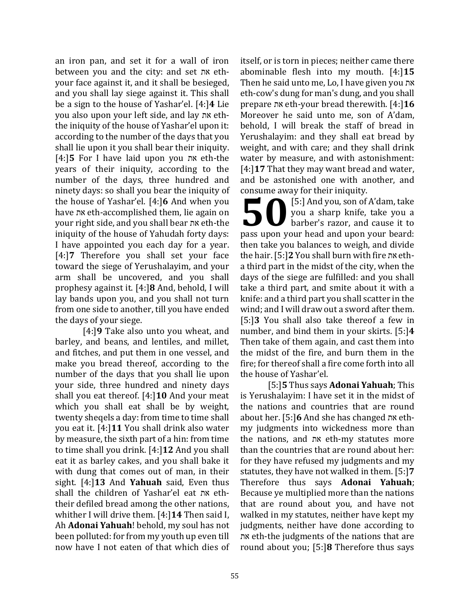an iron pan, and set it for a wall of iron between you and the city: and set את ethyour face against it, and it shall be besieged, and you shall lay siege against it. This shall be a sign to the house of Yashar'el. [4:]**4** Lie you also upon your left side, and lay את eththe iniquity of the house of Yashar'el upon it: according to the number of the days that you shall lie upon it you shall bear their iniquity. [4:]**5** For I have laid upon you את eth-the years of their iniquity, according to the number of the days, three hundred and ninety days: so shall you bear the iniquity of the house of Yashar'el. [4:]**6** And when you have את eth-accomplished them, lie again on your right side, and you shall bear את eth-the iniquity of the house of Yahudah forty days: I have appointed you each day for a year. [4:]**7** Therefore you shall set your face toward the siege of Yerushalayim, and your arm shall be uncovered, and you shall prophesy against it. [4:]**8** And, behold, I will lay bands upon you, and you shall not turn from one side to another, till you have ended the days of your siege.

[4:]**9** Take also unto you wheat, and barley, and beans, and lentiles, and millet, and fitches, and put them in one vessel, and make you bread thereof, according to the number of the days that you shall lie upon your side, three hundred and ninety days shall you eat thereof. [4:]**10** And your meat which you shall eat shall be by weight, twenty sheqels a day: from time to time shall you eat it. [4:]**11** You shall drink also water by measure, the sixth part of a hin: from time to time shall you drink. [4:]**12** And you shall eat it as barley cakes, and you shall bake it with dung that comes out of man, in their sight. [4:]**13** And **Yahuah** said, Even thus shall the children of Yashar'el eat את eththeir defiled bread among the other nations, whither I will drive them. [4:]**14** Then said I, Ah **Adonai Yahuah**! behold, my soul has not been polluted: for from my youth up even till now have I not eaten of that which dies of itself, or is torn in pieces; neither came there abominable flesh into my mouth. [4:]**15** Then he said unto me, Lo, I have given you את eth-cow's dung for man's dung, and you shall prepare את eth-your bread therewith. [4:]**16** Moreover he said unto me, son of A'dam, behold, I will break the staff of bread in Yerushalayim: and they shall eat bread by weight, and with care; and they shall drink water by measure, and with astonishment: [4:]**17** That they may want bread and water, and be astonished one with another, and consume away for their iniquity.

[5:] And you, son of A'dam, take you a sharp knife, take you a barber's razor, and cause it to **basis and an** integrals.<br> **b**  $\begin{bmatrix}\n5:\right]$  And you, son of A'dam, take<br>
you a sharp knife, take you a<br>
barber's razor, and cause it to<br>
pass upon your head and upon your beard: then take you balances to weigh, and divide the hair. [5:]**2** You shall burn with fire את etha third part in the midst of the city, when the days of the siege are fulfilled: and you shall take a third part, and smite about it with a knife: and a third part you shall scatter in the wind; and I will draw out a sword after them. [5:]**3** You shall also take thereof a few in number, and bind them in your skirts. [5:]**4**  Then take of them again, and cast them into the midst of the fire, and burn them in the fire; for thereof shall a fire come forth into all the house of Yashar'el.

[5:]**5** Thus says **Adonai Yahuah**; This is Yerushalayim: I have set it in the midst of the nations and countries that are round about her. [5:]**6** And she has changed את ethmy judgments into wickedness more than the nations, and את eth-my statutes more than the countries that are round about her: for they have refused my judgments and my statutes, they have not walked in them. [5:]**7** Therefore thus says **Adonai Yahuah**; Because ye multiplied more than the nations that are round about you, and have not walked in my statutes, neither have kept my judgments, neither have done according to את eth-the judgments of the nations that are round about you; [5:]**8** Therefore thus says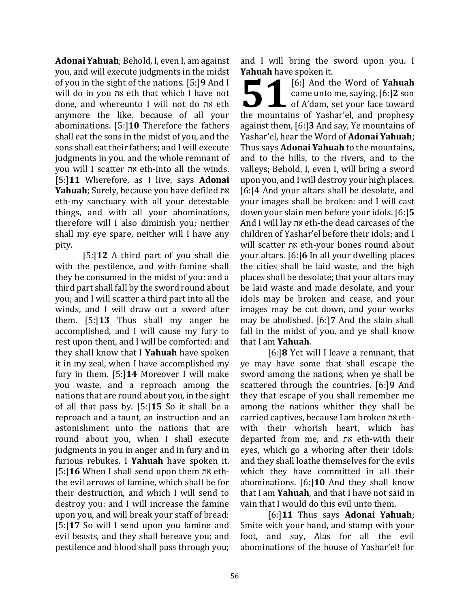**Adonai Yahuah**; Behold, I, even I, am against you, and will execute judgments in the midst of you in the sight of the nations. [5:]**9** And I will do in you את eth that which I have not done, and whereunto I will not do את eth anymore the like, because of all your abominations. [5:]**10** Therefore the fathers shall eat the sons in the midst of you, and the sons shall eat their fathers; and I will execute judgments in you, and the whole remnant of you will I scatter את eth-into all the winds. [5:]**11** Wherefore, as I live, says **Adonai Yahuah**; Surely, because you have defiled את eth-my sanctuary with all your detestable things, and with all your abominations, therefore will I also diminish you; neither shall my eye spare, neither will I have any pity.

[5:]**12** A third part of you shall die with the pestilence, and with famine shall they be consumed in the midst of you: and a third part shall fall by the sword round about you; and I will scatter a third part into all the winds, and I will draw out a sword after them. [5:]**13** Thus shall my anger be accomplished, and I will cause my fury to rest upon them, and I will be comforted: and they shall know that I **Yahuah** have spoken it in my zeal, when I have accomplished my fury in them. [5:]**14** Moreover I will make you waste, and a reproach among the nations that are round about you, in the sight of all that pass by. [5:]**15** So it shall be a reproach and a taunt, an instruction and an astonishment unto the nations that are round about you, when I shall execute judgments in you in anger and in fury and in furious rebukes. I **Yahuah** have spoken it. [5:]**16** When I shall send upon them את eththe evil arrows of famine, which shall be for their destruction, and which I will send to destroy you: and I will increase the famine upon you, and will break your staff of bread: [5:]**17** So will I send upon you famine and evil beasts, and they shall bereave you; and pestilence and blood shall pass through you;

and I will bring the sword upon you. I **Yahuah** have spoken it.

[6:] And the Word of **Yahuah** came unto me, saying, [6:]**2** son **1** [6:] And the Word of Yahuah<br>
came unto me, saying, [6:]2 son<br>
of A'dam, set your face toward the mountains of Yashar'el, and prophesy against them, [6:]**3** And say, Ye mountains of Yashar'el, hear the Word of **Adonai Yahuah**; Thus says **Adonai Yahuah** to the mountains, and to the hills, to the rivers, and to the valleys; Behold, I, even I, will bring a sword upon you, and I will destroy your high places. [6:]**4** And your altars shall be desolate, and your images shall be broken: and I will cast down your slain men before your idols. [6:]**5** And I will lay את eth-the dead carcases of the children of Yashar'el before their idols; and I will scatter את eth-your bones round about your altars. [6:]**6** In all your dwelling places the cities shall be laid waste, and the high places shall be desolate; that your altars may be laid waste and made desolate, and your idols may be broken and cease, and your images may be cut down, and your works may be abolished. [6:]**7** And the slain shall fall in the midst of you, and ye shall know that I am **Yahuah**.

[6:]**8** Yet will I leave a remnant, that ye may have some that shall escape the sword among the nations, when ye shall be scattered through the countries. [6:]**9** And they that escape of you shall remember me among the nations whither they shall be carried captives, because I am broken את ethwith their whorish heart, which has departed from me, and את eth-with their eyes, which go a whoring after their idols: and they shall loathe themselves for the evils which they have committed in all their abominations. [6:]**10** And they shall know that I am **Yahuah**, and that I have not said in vain that I would do this evil unto them.

[6:]**11** Thus says **Adonai Yahuah**; Smite with your hand, and stamp with your foot, and say, Alas for all the evil abominations of the house of Yashar'el! for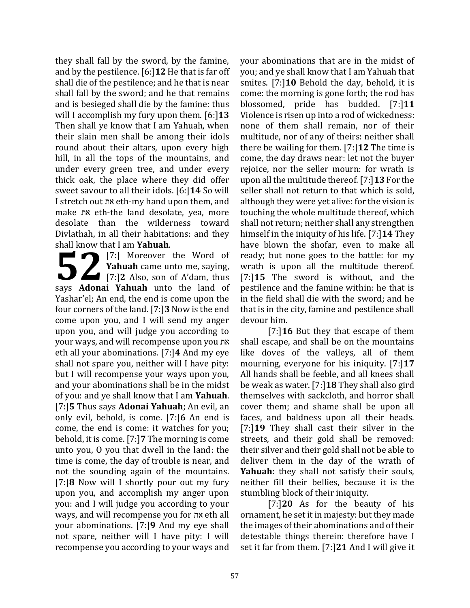they shall fall by the sword, by the famine, and by the pestilence. [6:]**12** He that is far off shall die of the pestilence; and he that is near shall fall by the sword; and he that remains and is besieged shall die by the famine: thus will I accomplish my fury upon them. [6:]**13** Then shall ye know that I am Yahuah, when their slain men shall be among their idols round about their altars, upon every high hill, in all the tops of the mountains, and under every green tree, and under every thick oak, the place where they did offer sweet savour to all their idols. [6:]**14** So will I stretch out את eth-my hand upon them, and make את eth-the land desolate, yea, more desolate than the wilderness toward Divlathah, in all their habitations: and they shall know that I am **Yahuah**.

[7:] Moreover the Word of **Yahuah** came unto me, saying, **52** [7:] Moreover the Word of Yahuah came unto me, saying,<br>
[7:]2 Also, son of A'dam, thus say:<br> **22** Also, son of A'dam, thus says **Adonai Yahuah** unto the land of Yashar'el; An end, the end is come upon the four corners of the land. [7:]**3** Now is the end come upon you, and I will send my anger upon you, and will judge you according to your ways, and will recompense upon you את eth all your abominations. [7:]**4** And my eye shall not spare you, neither will I have pity: but I will recompense your ways upon you, and your abominations shall be in the midst of you: and ye shall know that I am **Yahuah**. [7:]**5** Thus says **Adonai Yahuah**; An evil, an only evil, behold, is come. [7:]**6** An end is come, the end is come: it watches for you; behold, it is come. [7:]**7** The morning is come unto you, O you that dwell in the land: the time is come, the day of trouble is near, and not the sounding again of the mountains. [7:]**8** Now will I shortly pour out my fury upon you, and accomplish my anger upon you: and I will judge you according to your ways, and will recompense you for את eth all your abominations. [7:]**9** And my eye shall not spare, neither will I have pity: I will recompense you according to your ways and

your abominations that are in the midst of you; and ye shall know that I am Yahuah that smites. [7:]**10** Behold the day, behold, it is come: the morning is gone forth; the rod has blossomed, pride has budded. [7:]**11** Violence is risen up into a rod of wickedness: none of them shall remain, nor of their multitude, nor of any of theirs: neither shall there be wailing for them. [7:]**12** The time is come, the day draws near: let not the buyer rejoice, nor the seller mourn: for wrath is upon all the multitude thereof. [7:]**13** For the seller shall not return to that which is sold, although they were yet alive: for the vision is touching the whole multitude thereof, which shall not return; neither shall any strengthen himself in the iniquity of his life. [7:]**14** They have blown the shofar, even to make all ready; but none goes to the battle: for my wrath is upon all the multitude thereof. [7:]**15** The sword is without, and the pestilence and the famine within: he that is in the field shall die with the sword; and he that is in the city, famine and pestilence shall devour him.

[7:]**16** But they that escape of them shall escape, and shall be on the mountains like doves of the valleys, all of them mourning, everyone for his iniquity. [7:]**17** All hands shall be feeble, and all knees shall be weak as water. [7:]**18** They shall also gird themselves with sackcloth, and horror shall cover them; and shame shall be upon all faces, and baldness upon all their heads. [7:]**19** They shall cast their silver in the streets, and their gold shall be removed: their silver and their gold shall not be able to deliver them in the day of the wrath of **Yahuah**: they shall not satisfy their souls, neither fill their bellies, because it is the stumbling block of their iniquity.

[7:]**20** As for the beauty of his ornament, he set it in majesty: but they made the images of their abominations and of their detestable things therein: therefore have I set it far from them. [7:]**21** And I will give it